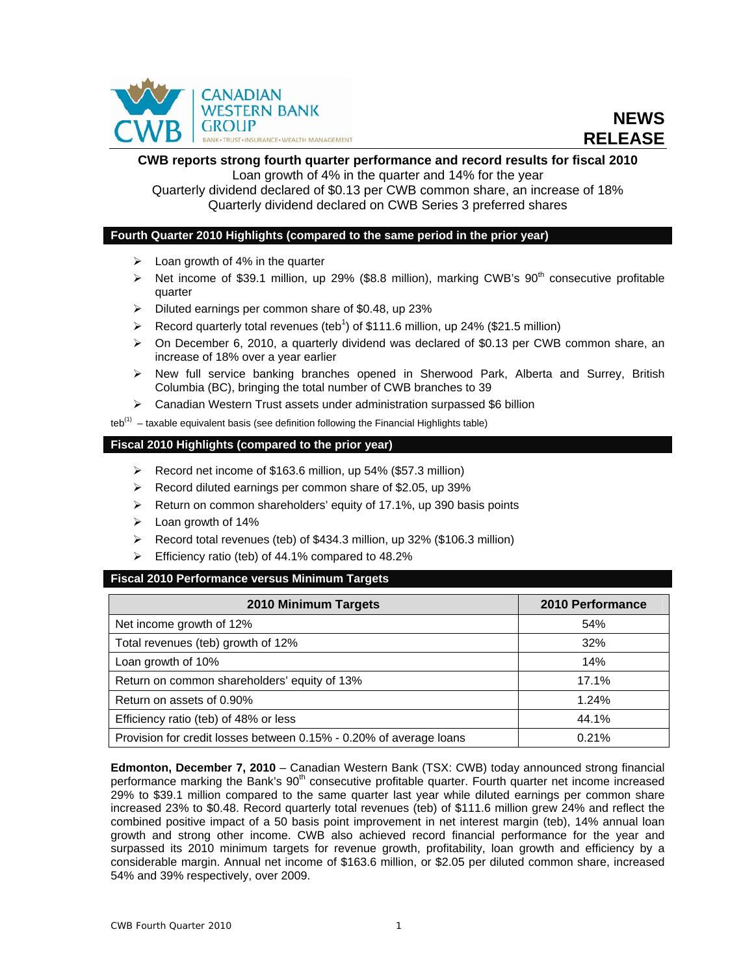

# **CWB reports strong fourth quarter performance and record results for fiscal 2010**  Loan growth of 4% in the quarter and 14% for the year

Quarterly dividend declared of \$0.13 per CWB common share, an increase of 18% Quarterly dividend declared on CWB Series 3 preferred shares

# **Fourth Quarter 2010 Highlights (compared to the same period in the prior year)**

- $\geqslant$  Loan growth of 4% in the quarter
- $\triangleright$  Net income of \$39.1 million, up 29% (\$8.8 million), marking CWB's 90<sup>th</sup> consecutive profitable quarter
- $\triangleright$  Diluted earnings per common share of \$0.48, up 23%
- Record quarterly total revenues (teb<sup>1</sup>) of \$111.6 million, up 24% (\$21.5 million)
- $\triangleright$  On December 6, 2010, a quarterly dividend was declared of \$0.13 per CWB common share, an increase of 18% over a year earlier
- $\triangleright$  New full service banking branches opened in Sherwood Park, Alberta and Surrey, British Columbia (BC), bringing the total number of CWB branches to 39
- $\triangleright$  Canadian Western Trust assets under administration surpassed \$6 billion

teb<sup>(1)</sup> – taxable equivalent basis (see definition following the Financial Highlights table)

### **Fiscal 2010 Highlights (compared to the prior year)**

- $\triangleright$  Record net income of \$163.6 million, up 54% (\$57.3 million)
- $\triangleright$  Record diluted earnings per common share of \$2.05, up 39%
- $\triangleright$  Return on common shareholders' equity of 17.1%, up 390 basis points
- $\triangleright$  Loan growth of 14%
- $\triangleright$  Record total revenues (teb) of \$434.3 million, up 32% (\$106.3 million)
- $\triangleright$  Efficiency ratio (teb) of 44.1% compared to 48.2%

### **Fiscal 2010 Performance versus Minimum Targets**

| 2010 Minimum Targets                                               | 2010 Performance |
|--------------------------------------------------------------------|------------------|
| Net income growth of 12%                                           | 54%              |
| Total revenues (teb) growth of 12%                                 | 32%              |
| Loan growth of 10%                                                 | 14%              |
| Return on common shareholders' equity of 13%                       | 17.1%            |
| Return on assets of 0.90%                                          | 1.24%            |
| Efficiency ratio (teb) of 48% or less                              | 44.1%            |
| Provision for credit losses between 0.15% - 0.20% of average loans | 0.21%            |

**Edmonton, December 7, 2010** – Canadian Western Bank (TSX: CWB) today announced strong financial performance marking the Bank's 90<sup>th</sup> consecutive profitable quarter. Fourth quarter net income increased 29% to \$39.1 million compared to the same quarter last year while diluted earnings per common share increased 23% to \$0.48. Record quarterly total revenues (teb) of \$111.6 million grew 24% and reflect the combined positive impact of a 50 basis point improvement in net interest margin (teb), 14% annual loan growth and strong other income. CWB also achieved record financial performance for the year and surpassed its 2010 minimum targets for revenue growth, profitability, loan growth and efficiency by a considerable margin. Annual net income of \$163.6 million, or \$2.05 per diluted common share, increased 54% and 39% respectively, over 2009.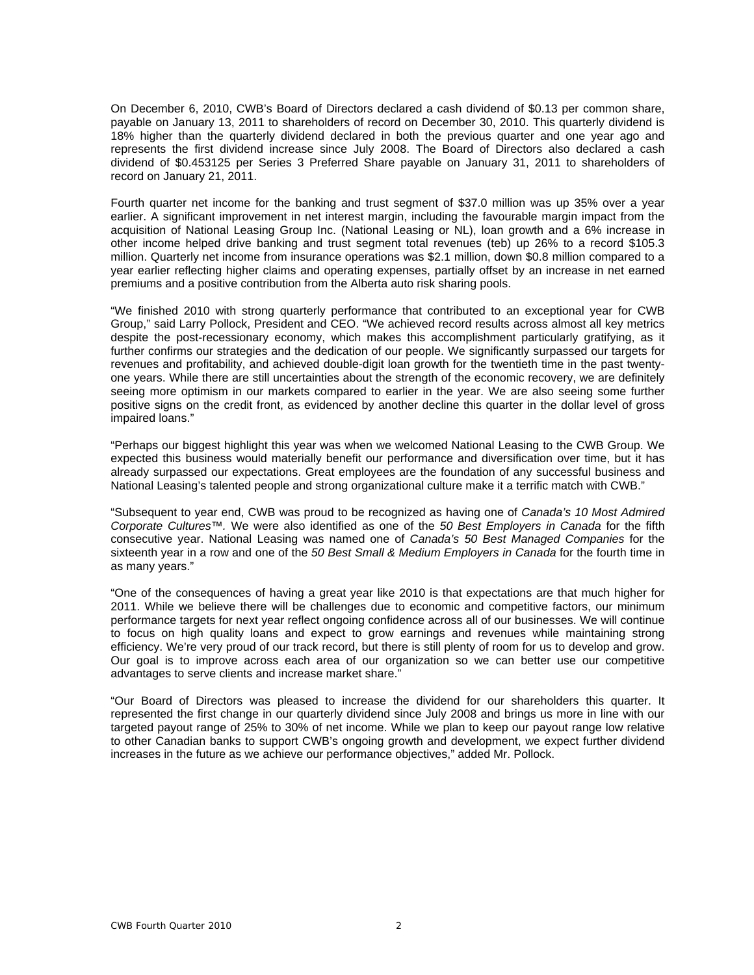On December 6, 2010, CWB's Board of Directors declared a cash dividend of \$0.13 per common share, payable on January 13, 2011 to shareholders of record on December 30, 2010. This quarterly dividend is 18% higher than the quarterly dividend declared in both the previous quarter and one year ago and represents the first dividend increase since July 2008. The Board of Directors also declared a cash dividend of \$0.453125 per Series 3 Preferred Share payable on January 31, 2011 to shareholders of record on January 21, 2011.

Fourth quarter net income for the banking and trust segment of \$37.0 million was up 35% over a year earlier. A significant improvement in net interest margin, including the favourable margin impact from the acquisition of National Leasing Group Inc. (National Leasing or NL), loan growth and a 6% increase in other income helped drive banking and trust segment total revenues (teb) up 26% to a record \$105.3 million. Quarterly net income from insurance operations was \$2.1 million, down \$0.8 million compared to a year earlier reflecting higher claims and operating expenses, partially offset by an increase in net earned premiums and a positive contribution from the Alberta auto risk sharing pools.

"We finished 2010 with strong quarterly performance that contributed to an exceptional year for CWB Group," said Larry Pollock, President and CEO. "We achieved record results across almost all key metrics despite the post-recessionary economy, which makes this accomplishment particularly gratifying, as it further confirms our strategies and the dedication of our people. We significantly surpassed our targets for revenues and profitability, and achieved double-digit loan growth for the twentieth time in the past twentyone years. While there are still uncertainties about the strength of the economic recovery, we are definitely seeing more optimism in our markets compared to earlier in the year. We are also seeing some further positive signs on the credit front, as evidenced by another decline this quarter in the dollar level of gross impaired loans."

"Perhaps our biggest highlight this year was when we welcomed National Leasing to the CWB Group. We expected this business would materially benefit our performance and diversification over time, but it has already surpassed our expectations. Great employees are the foundation of any successful business and National Leasing's talented people and strong organizational culture make it a terrific match with CWB."

"Subsequent to year end, CWB was proud to be recognized as having one of *Canada's 10 Most Admired Corporate Cultures™.* We were also identified as one of the *50 Best Employers in Canada* for the fifth consecutive year. National Leasing was named one of *Canada's 50 Best Managed Companies* for the sixteenth year in a row and one of the *50 Best Small & Medium Employers in Canada* for the fourth time in as many years."

"One of the consequences of having a great year like 2010 is that expectations are that much higher for 2011. While we believe there will be challenges due to economic and competitive factors, our minimum performance targets for next year reflect ongoing confidence across all of our businesses. We will continue to focus on high quality loans and expect to grow earnings and revenues while maintaining strong efficiency. We're very proud of our track record, but there is still plenty of room for us to develop and grow. Our goal is to improve across each area of our organization so we can better use our competitive advantages to serve clients and increase market share."

"Our Board of Directors was pleased to increase the dividend for our shareholders this quarter. It represented the first change in our quarterly dividend since July 2008 and brings us more in line with our targeted payout range of 25% to 30% of net income. While we plan to keep our payout range low relative to other Canadian banks to support CWB's ongoing growth and development, we expect further dividend increases in the future as we achieve our performance objectives," added Mr. Pollock.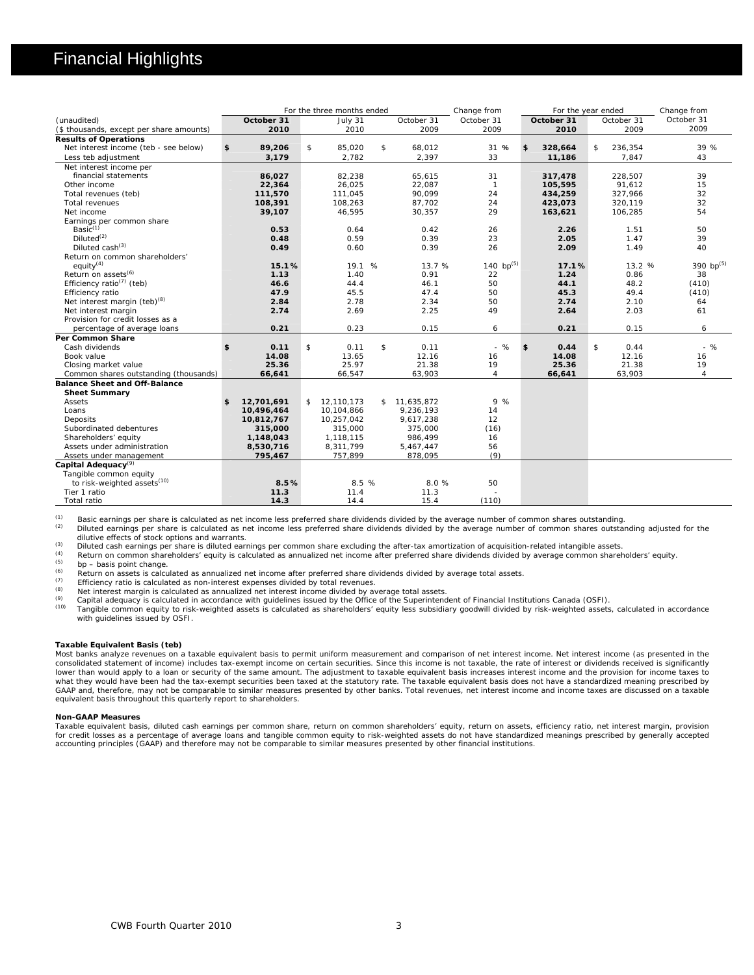# Financial Highlights

| October 31<br>October 31<br>October 31<br>October 31<br>(unaudited)<br>October 31<br>October 31<br>July 31<br>2009<br>2009<br>2010<br>2009<br>2010<br>2010<br>2009<br>(\$ thousands, except per share amounts)<br><b>Results of Operations</b><br>31 %<br>Net interest income (teb - see below)<br>89,206<br>\$<br>85,020<br>\$<br>68,012<br>328,664<br>236,354<br>\$<br>\$<br>\$<br>2,782<br>2,397<br>33<br>3,179<br>11,186<br>7,847<br>43<br>Less teb adjustment<br>Net interest income per<br>82,238<br>65,615<br>31<br>39<br>financial statements<br>86,027<br>317,478<br>228,507<br>Other income<br>26,025<br>$\overline{1}$<br>91,612<br>15<br>22,364<br>22,087<br>105,595<br>111,045<br>90,099<br>24<br>327,966<br>32<br>111,570<br>434,259<br>Total revenues (teb)<br>24<br>32<br>Total revenues<br>108,391<br>108,263<br>87,702<br>423,073<br>320,119<br>29<br>54<br>Net income<br>39,107<br>46,595<br>30,357<br>163,621<br>106,285<br>Earnings per common share<br>Basi $c^{(1)}$<br>0.53<br>0.64<br>0.42<br>26<br>2.26<br>1.51<br>50<br>Diluted <sup>(2)</sup><br>0.59<br>0.39<br>23<br>2.05<br>1.47<br>39<br>0.48<br>Diluted cash $(3)$<br>0.39<br>26<br>2.09<br>1.49<br>40<br>0.49<br>0.60<br>Return on common shareholders' | Change from<br>For the three months ended<br>Change from<br>For the year ended  |
|-------------------------------------------------------------------------------------------------------------------------------------------------------------------------------------------------------------------------------------------------------------------------------------------------------------------------------------------------------------------------------------------------------------------------------------------------------------------------------------------------------------------------------------------------------------------------------------------------------------------------------------------------------------------------------------------------------------------------------------------------------------------------------------------------------------------------------------------------------------------------------------------------------------------------------------------------------------------------------------------------------------------------------------------------------------------------------------------------------------------------------------------------------------------------------------------------------------------------------------------|---------------------------------------------------------------------------------|
|                                                                                                                                                                                                                                                                                                                                                                                                                                                                                                                                                                                                                                                                                                                                                                                                                                                                                                                                                                                                                                                                                                                                                                                                                                           |                                                                                 |
|                                                                                                                                                                                                                                                                                                                                                                                                                                                                                                                                                                                                                                                                                                                                                                                                                                                                                                                                                                                                                                                                                                                                                                                                                                           |                                                                                 |
|                                                                                                                                                                                                                                                                                                                                                                                                                                                                                                                                                                                                                                                                                                                                                                                                                                                                                                                                                                                                                                                                                                                                                                                                                                           |                                                                                 |
|                                                                                                                                                                                                                                                                                                                                                                                                                                                                                                                                                                                                                                                                                                                                                                                                                                                                                                                                                                                                                                                                                                                                                                                                                                           | 39 %                                                                            |
|                                                                                                                                                                                                                                                                                                                                                                                                                                                                                                                                                                                                                                                                                                                                                                                                                                                                                                                                                                                                                                                                                                                                                                                                                                           |                                                                                 |
|                                                                                                                                                                                                                                                                                                                                                                                                                                                                                                                                                                                                                                                                                                                                                                                                                                                                                                                                                                                                                                                                                                                                                                                                                                           |                                                                                 |
|                                                                                                                                                                                                                                                                                                                                                                                                                                                                                                                                                                                                                                                                                                                                                                                                                                                                                                                                                                                                                                                                                                                                                                                                                                           |                                                                                 |
|                                                                                                                                                                                                                                                                                                                                                                                                                                                                                                                                                                                                                                                                                                                                                                                                                                                                                                                                                                                                                                                                                                                                                                                                                                           |                                                                                 |
|                                                                                                                                                                                                                                                                                                                                                                                                                                                                                                                                                                                                                                                                                                                                                                                                                                                                                                                                                                                                                                                                                                                                                                                                                                           |                                                                                 |
|                                                                                                                                                                                                                                                                                                                                                                                                                                                                                                                                                                                                                                                                                                                                                                                                                                                                                                                                                                                                                                                                                                                                                                                                                                           |                                                                                 |
|                                                                                                                                                                                                                                                                                                                                                                                                                                                                                                                                                                                                                                                                                                                                                                                                                                                                                                                                                                                                                                                                                                                                                                                                                                           |                                                                                 |
|                                                                                                                                                                                                                                                                                                                                                                                                                                                                                                                                                                                                                                                                                                                                                                                                                                                                                                                                                                                                                                                                                                                                                                                                                                           |                                                                                 |
|                                                                                                                                                                                                                                                                                                                                                                                                                                                                                                                                                                                                                                                                                                                                                                                                                                                                                                                                                                                                                                                                                                                                                                                                                                           |                                                                                 |
|                                                                                                                                                                                                                                                                                                                                                                                                                                                                                                                                                                                                                                                                                                                                                                                                                                                                                                                                                                                                                                                                                                                                                                                                                                           |                                                                                 |
|                                                                                                                                                                                                                                                                                                                                                                                                                                                                                                                                                                                                                                                                                                                                                                                                                                                                                                                                                                                                                                                                                                                                                                                                                                           |                                                                                 |
|                                                                                                                                                                                                                                                                                                                                                                                                                                                                                                                                                                                                                                                                                                                                                                                                                                                                                                                                                                                                                                                                                                                                                                                                                                           |                                                                                 |
| equity <sup>(4)</sup><br>15.1%                                                                                                                                                                                                                                                                                                                                                                                                                                                                                                                                                                                                                                                                                                                                                                                                                                                                                                                                                                                                                                                                                                                                                                                                            | 140 bp <sup>(5)</sup><br>390 bp $(5)$<br>%<br>13.7 %<br>13.2 %<br>19.1<br>17.1% |
| Return on assets <sup>(6)</sup><br>1.40<br>0.91<br>0.86<br>1.13<br>22<br>1.24<br>38                                                                                                                                                                                                                                                                                                                                                                                                                                                                                                                                                                                                                                                                                                                                                                                                                                                                                                                                                                                                                                                                                                                                                       |                                                                                 |
| Efficiency ratio <sup>(7)</sup> (teb)<br>44.4<br>46.6<br>46.1<br>50<br>44.1<br>48.2<br>(410)                                                                                                                                                                                                                                                                                                                                                                                                                                                                                                                                                                                                                                                                                                                                                                                                                                                                                                                                                                                                                                                                                                                                              |                                                                                 |
| Efficiency ratio<br>47.9<br>45.5<br>47.4<br>50<br>45.3<br>49.4<br>(410)                                                                                                                                                                                                                                                                                                                                                                                                                                                                                                                                                                                                                                                                                                                                                                                                                                                                                                                                                                                                                                                                                                                                                                   |                                                                                 |
| Net interest margin (teb) <sup>(8)</sup><br>2.34<br>2.84<br>2.78<br>50<br>2.74<br>2.10<br>64                                                                                                                                                                                                                                                                                                                                                                                                                                                                                                                                                                                                                                                                                                                                                                                                                                                                                                                                                                                                                                                                                                                                              |                                                                                 |
| Net interest margin<br>2.74<br>2.69<br>2.25<br>49<br>2.64<br>2.03<br>61                                                                                                                                                                                                                                                                                                                                                                                                                                                                                                                                                                                                                                                                                                                                                                                                                                                                                                                                                                                                                                                                                                                                                                   |                                                                                 |
| Provision for credit losses as a                                                                                                                                                                                                                                                                                                                                                                                                                                                                                                                                                                                                                                                                                                                                                                                                                                                                                                                                                                                                                                                                                                                                                                                                          |                                                                                 |
| 0.21<br>0.23<br>0.15<br>percentage of average loans<br>0.15<br>6<br>0.21<br>6                                                                                                                                                                                                                                                                                                                                                                                                                                                                                                                                                                                                                                                                                                                                                                                                                                                                                                                                                                                                                                                                                                                                                             |                                                                                 |
| Per Common Share                                                                                                                                                                                                                                                                                                                                                                                                                                                                                                                                                                                                                                                                                                                                                                                                                                                                                                                                                                                                                                                                                                                                                                                                                          |                                                                                 |
| $-$ %<br>\$<br>\$<br>\$<br>\$<br>0.11<br>\$<br>0.44<br>Cash dividends<br>0.11<br>0.11<br>0.44                                                                                                                                                                                                                                                                                                                                                                                                                                                                                                                                                                                                                                                                                                                                                                                                                                                                                                                                                                                                                                                                                                                                             | $-$ %                                                                           |
| 14.08<br>12.16<br>14.08<br>Book value<br>13.65<br>16<br>12.16<br>16                                                                                                                                                                                                                                                                                                                                                                                                                                                                                                                                                                                                                                                                                                                                                                                                                                                                                                                                                                                                                                                                                                                                                                       |                                                                                 |
| 25.36<br>19<br>Closing market value<br>25.97<br>21.38<br>25.36<br>21.38<br>19                                                                                                                                                                                                                                                                                                                                                                                                                                                                                                                                                                                                                                                                                                                                                                                                                                                                                                                                                                                                                                                                                                                                                             |                                                                                 |
| Common shares outstanding (thousands)<br>66,641<br>66,547<br>63,903<br>$\overline{4}$<br>66,641<br>63,903<br>$\overline{4}$                                                                                                                                                                                                                                                                                                                                                                                                                                                                                                                                                                                                                                                                                                                                                                                                                                                                                                                                                                                                                                                                                                               |                                                                                 |
| <b>Balance Sheet and Off-Balance</b>                                                                                                                                                                                                                                                                                                                                                                                                                                                                                                                                                                                                                                                                                                                                                                                                                                                                                                                                                                                                                                                                                                                                                                                                      |                                                                                 |
| <b>Sheet Summary</b>                                                                                                                                                                                                                                                                                                                                                                                                                                                                                                                                                                                                                                                                                                                                                                                                                                                                                                                                                                                                                                                                                                                                                                                                                      |                                                                                 |
| 9%<br>Assets<br>12,701,691<br>\$12,110,173<br>\$11,635,872<br>\$                                                                                                                                                                                                                                                                                                                                                                                                                                                                                                                                                                                                                                                                                                                                                                                                                                                                                                                                                                                                                                                                                                                                                                          |                                                                                 |
| 9,236,193<br>14<br>Loans<br>10,496,464<br>10,104,866                                                                                                                                                                                                                                                                                                                                                                                                                                                                                                                                                                                                                                                                                                                                                                                                                                                                                                                                                                                                                                                                                                                                                                                      |                                                                                 |
| 12<br>Deposits<br>9,617,238<br>10,812,767<br>10,257,042                                                                                                                                                                                                                                                                                                                                                                                                                                                                                                                                                                                                                                                                                                                                                                                                                                                                                                                                                                                                                                                                                                                                                                                   |                                                                                 |
| (16)<br>Subordinated debentures<br>315,000<br>375,000<br>315,000                                                                                                                                                                                                                                                                                                                                                                                                                                                                                                                                                                                                                                                                                                                                                                                                                                                                                                                                                                                                                                                                                                                                                                          |                                                                                 |
| Shareholders' equity<br>1,118,115<br>986,499<br>16<br>1,148,043                                                                                                                                                                                                                                                                                                                                                                                                                                                                                                                                                                                                                                                                                                                                                                                                                                                                                                                                                                                                                                                                                                                                                                           |                                                                                 |
| Assets under administration<br>56<br>8,530,716<br>8,311,799<br>5,467,447                                                                                                                                                                                                                                                                                                                                                                                                                                                                                                                                                                                                                                                                                                                                                                                                                                                                                                                                                                                                                                                                                                                                                                  |                                                                                 |
| (9)<br>757,899<br>878,095<br>Assets under management<br>795,467                                                                                                                                                                                                                                                                                                                                                                                                                                                                                                                                                                                                                                                                                                                                                                                                                                                                                                                                                                                                                                                                                                                                                                           |                                                                                 |
| Capital Adequacy <sup>(9)</sup>                                                                                                                                                                                                                                                                                                                                                                                                                                                                                                                                                                                                                                                                                                                                                                                                                                                                                                                                                                                                                                                                                                                                                                                                           |                                                                                 |
| Tangible common equity                                                                                                                                                                                                                                                                                                                                                                                                                                                                                                                                                                                                                                                                                                                                                                                                                                                                                                                                                                                                                                                                                                                                                                                                                    |                                                                                 |
| to risk-weighted assets <sup>(10)</sup><br>8.5 %<br>8.0%<br>8.5%<br>50                                                                                                                                                                                                                                                                                                                                                                                                                                                                                                                                                                                                                                                                                                                                                                                                                                                                                                                                                                                                                                                                                                                                                                    |                                                                                 |
| Tier 1 ratio<br>11.4<br>11.3<br>11.3                                                                                                                                                                                                                                                                                                                                                                                                                                                                                                                                                                                                                                                                                                                                                                                                                                                                                                                                                                                                                                                                                                                                                                                                      |                                                                                 |
| 15.4<br>(110)<br>Total ratio<br>14.3<br>14.4                                                                                                                                                                                                                                                                                                                                                                                                                                                                                                                                                                                                                                                                                                                                                                                                                                                                                                                                                                                                                                                                                                                                                                                              |                                                                                 |

(1) Basic earnings per share is calculated as net income less preferred share dividends divided by the average number of common shares outstanding.<br>(2) Diluted earnings per share is calculated as net income less preferred dilutive effects of stock options and warrants.

(3) Diluted cash earnings per share is diluted earnings per common share excluding the after-tax amortization of acquisition-related intangible assets.<br>(4) Beturn on common shareholders' equity is calculated as annualized

(4) Return on common shareholders' equity is calculated as annualized net income after preferred share dividends divided by average common shareholders' equity.<br>
(5) bp – basis point change.

Francisco Control assets is calculated as annualized net income after preferred share dividends divided by average total assets.<br>
Francisco Control is calculated as non-interest expenses divided by total revenues.<br>
Met int

(9) Capital adequacy is calculated in accordance with guidelines issued by the Office of the Superintendent of Financial Institutions Canada (OSFI).<br>(10) Tangible common equity to risk-weighted assets is calculated as shar with guidelines issued by OSFI.

#### **Taxable Equivalent Basis (teb)**

Most banks analyze revenues on a taxable equivalent basis to permit uniform measurement and comparison of net interest income. Net interest income (as presented in the<br>consolidated statement of income) includes tax-exempt lower than would apply to a loan or security of the same amount. The adjustment to taxable equivalent basis increases interest income and the provision for income taxes to what they would have been had the tax-exempt securities been taxed at the statutory rate. The taxable equivalent basis does not have a standardized meaning prescribed by<br>GAAP and, therefore, may not be comparable to simila equivalent basis throughout this quarterly report to shareholders.

#### **Non-GAAP Measures**

Taxable equivalent basis, diluted cash earnings per common share, return on common shareholders' equity, return on assets, efficiency ratio, net interest margin, provision for credit losses as a percentage of average loans and tangible common equity to risk-weighted assets do not have standardized meanings prescribed by generally accepted accounting principles (GAAP) and therefore may not be comparable to similar measures presented by other financial institutions.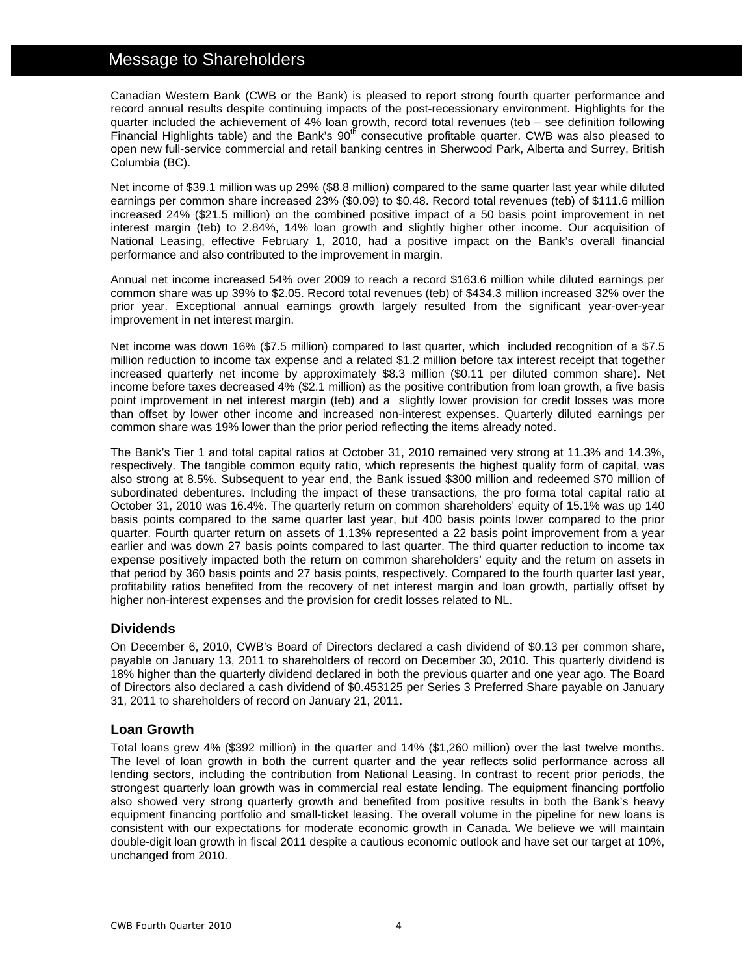# Message to Shareholders

Canadian Western Bank (CWB or the Bank) is pleased to report strong fourth quarter performance and record annual results despite continuing impacts of the post-recessionary environment. Highlights for the quarter included the achievement of 4% loan growth, record total revenues (teb – see definition following Financial Highlights table) and the Bank's  $90<sup>th</sup>$  consecutive profitable quarter. CWB was also pleased to open new full-service commercial and retail banking centres in Sherwood Park, Alberta and Surrey, British Columbia (BC).

Net income of \$39.1 million was up 29% (\$8.8 million) compared to the same quarter last year while diluted earnings per common share increased 23% (\$0.09) to \$0.48. Record total revenues (teb) of \$111.6 million increased 24% (\$21.5 million) on the combined positive impact of a 50 basis point improvement in net interest margin (teb) to 2.84%, 14% loan growth and slightly higher other income. Our acquisition of National Leasing, effective February 1, 2010, had a positive impact on the Bank's overall financial performance and also contributed to the improvement in margin.

Annual net income increased 54% over 2009 to reach a record \$163.6 million while diluted earnings per common share was up 39% to \$2.05. Record total revenues (teb) of \$434.3 million increased 32% over the prior year. Exceptional annual earnings growth largely resulted from the significant year-over-year improvement in net interest margin.

Net income was down 16% (\$7.5 million) compared to last quarter, which included recognition of a \$7.5 million reduction to income tax expense and a related \$1.2 million before tax interest receipt that together increased quarterly net income by approximately \$8.3 million (\$0.11 per diluted common share). Net income before taxes decreased 4% (\$2.1 million) as the positive contribution from loan growth, a five basis point improvement in net interest margin (teb) and a slightly lower provision for credit losses was more than offset by lower other income and increased non-interest expenses. Quarterly diluted earnings per common share was 19% lower than the prior period reflecting the items already noted.

The Bank's Tier 1 and total capital ratios at October 31, 2010 remained very strong at 11.3% and 14.3%, respectively. The tangible common equity ratio, which represents the highest quality form of capital, was also strong at 8.5%. Subsequent to year end, the Bank issued \$300 million and redeemed \$70 million of subordinated debentures. Including the impact of these transactions, the pro forma total capital ratio at October 31, 2010 was 16.4%. The quarterly return on common shareholders' equity of 15.1% was up 140 basis points compared to the same quarter last year, but 400 basis points lower compared to the prior quarter. Fourth quarter return on assets of 1.13% represented a 22 basis point improvement from a year earlier and was down 27 basis points compared to last quarter. The third quarter reduction to income tax expense positively impacted both the return on common shareholders' equity and the return on assets in that period by 360 basis points and 27 basis points, respectively. Compared to the fourth quarter last year, profitability ratios benefited from the recovery of net interest margin and loan growth, partially offset by higher non-interest expenses and the provision for credit losses related to NL.

# **Dividends**

On December 6, 2010, CWB's Board of Directors declared a cash dividend of \$0.13 per common share, payable on January 13, 2011 to shareholders of record on December 30, 2010. This quarterly dividend is 18% higher than the quarterly dividend declared in both the previous quarter and one year ago. The Board of Directors also declared a cash dividend of \$0.453125 per Series 3 Preferred Share payable on January 31, 2011 to shareholders of record on January 21, 2011.

# **Loan Growth**

Total loans grew 4% (\$392 million) in the quarter and 14% (\$1,260 million) over the last twelve months. The level of loan growth in both the current quarter and the year reflects solid performance across all lending sectors, including the contribution from National Leasing. In contrast to recent prior periods, the strongest quarterly loan growth was in commercial real estate lending. The equipment financing portfolio also showed very strong quarterly growth and benefited from positive results in both the Bank's heavy equipment financing portfolio and small-ticket leasing. The overall volume in the pipeline for new loans is consistent with our expectations for moderate economic growth in Canada. We believe we will maintain double-digit loan growth in fiscal 2011 despite a cautious economic outlook and have set our target at 10%, unchanged from 2010.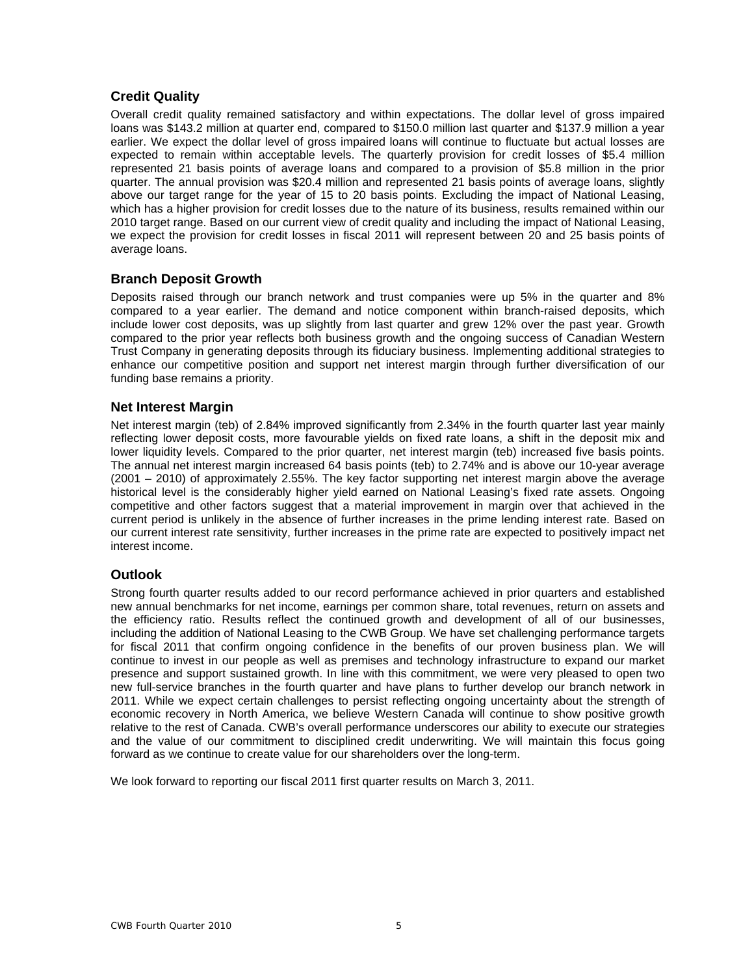# **Credit Quality**

Overall credit quality remained satisfactory and within expectations. The dollar level of gross impaired loans was \$143.2 million at quarter end, compared to \$150.0 million last quarter and \$137.9 million a year earlier. We expect the dollar level of gross impaired loans will continue to fluctuate but actual losses are expected to remain within acceptable levels. The quarterly provision for credit losses of \$5.4 million represented 21 basis points of average loans and compared to a provision of \$5.8 million in the prior quarter. The annual provision was \$20.4 million and represented 21 basis points of average loans, slightly above our target range for the year of 15 to 20 basis points. Excluding the impact of National Leasing, which has a higher provision for credit losses due to the nature of its business, results remained within our 2010 target range. Based on our current view of credit quality and including the impact of National Leasing, we expect the provision for credit losses in fiscal 2011 will represent between 20 and 25 basis points of average loans.

# **Branch Deposit Growth**

Deposits raised through our branch network and trust companies were up 5% in the quarter and 8% compared to a year earlier. The demand and notice component within branch-raised deposits, which include lower cost deposits, was up slightly from last quarter and grew 12% over the past year. Growth compared to the prior year reflects both business growth and the ongoing success of Canadian Western Trust Company in generating deposits through its fiduciary business. Implementing additional strategies to enhance our competitive position and support net interest margin through further diversification of our funding base remains a priority.

# **Net Interest Margin**

Net interest margin (teb) of 2.84% improved significantly from 2.34% in the fourth quarter last year mainly reflecting lower deposit costs, more favourable yields on fixed rate loans, a shift in the deposit mix and lower liquidity levels. Compared to the prior quarter, net interest margin (teb) increased five basis points. The annual net interest margin increased 64 basis points (teb) to 2.74% and is above our 10-year average (2001 – 2010) of approximately 2.55%. The key factor supporting net interest margin above the average historical level is the considerably higher yield earned on National Leasing's fixed rate assets. Ongoing competitive and other factors suggest that a material improvement in margin over that achieved in the current period is unlikely in the absence of further increases in the prime lending interest rate. Based on our current interest rate sensitivity, further increases in the prime rate are expected to positively impact net interest income.

# **Outlook**

Strong fourth quarter results added to our record performance achieved in prior quarters and established new annual benchmarks for net income, earnings per common share, total revenues, return on assets and the efficiency ratio. Results reflect the continued growth and development of all of our businesses, including the addition of National Leasing to the CWB Group. We have set challenging performance targets for fiscal 2011 that confirm ongoing confidence in the benefits of our proven business plan. We will continue to invest in our people as well as premises and technology infrastructure to expand our market presence and support sustained growth. In line with this commitment, we were very pleased to open two new full-service branches in the fourth quarter and have plans to further develop our branch network in 2011. While we expect certain challenges to persist reflecting ongoing uncertainty about the strength of economic recovery in North America, we believe Western Canada will continue to show positive growth relative to the rest of Canada. CWB's overall performance underscores our ability to execute our strategies and the value of our commitment to disciplined credit underwriting. We will maintain this focus going forward as we continue to create value for our shareholders over the long-term.

We look forward to reporting our fiscal 2011 first quarter results on March 3, 2011.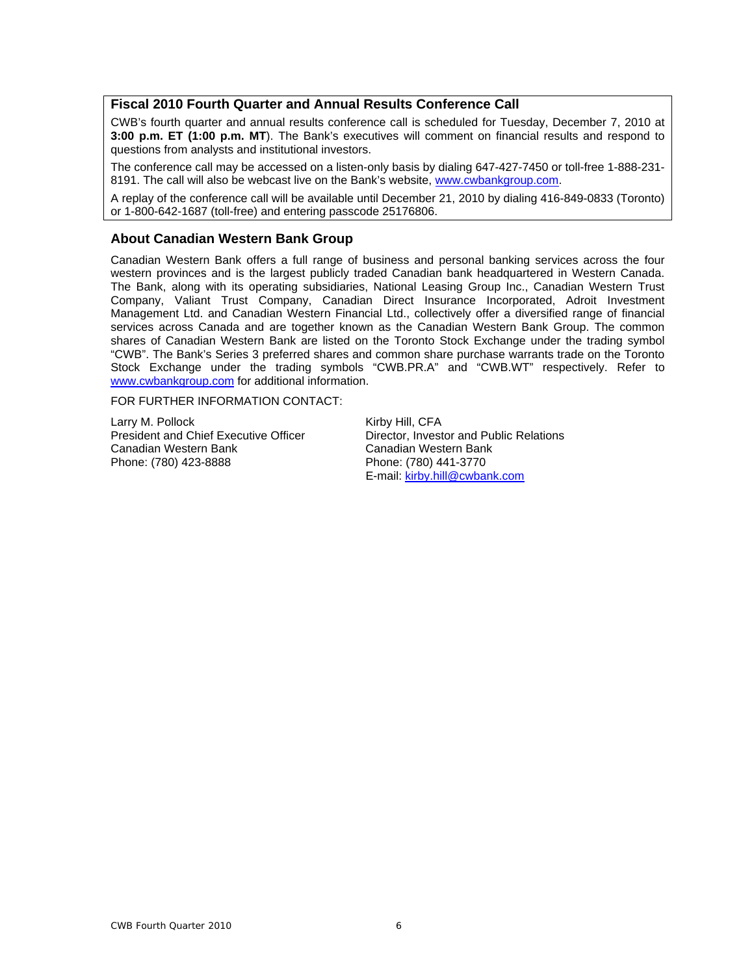# **Fiscal 2010 Fourth Quarter and Annual Results Conference Call**

CWB's fourth quarter and annual results conference call is scheduled for Tuesday, December 7, 2010 at **3:00 p.m. ET (1:00 p.m. MT**). The Bank's executives will comment on financial results and respond to questions from analysts and institutional investors.

The conference call may be accessed on a listen-only basis by dialing 647-427-7450 or toll-free 1-888-231- 8191. The call will also be webcast live on the Bank's website, www.cwbankgroup.com.

A replay of the conference call will be available until December 21, 2010 by dialing 416-849-0833 (Toronto) or 1-800-642-1687 (toll-free) and entering passcode 25176806.

# **About Canadian Western Bank Group**

Canadian Western Bank offers a full range of business and personal banking services across the four western provinces and is the largest publicly traded Canadian bank headquartered in Western Canada. The Bank, along with its operating subsidiaries, National Leasing Group Inc., Canadian Western Trust Company, Valiant Trust Company, Canadian Direct Insurance Incorporated, Adroit Investment Management Ltd. and Canadian Western Financial Ltd., collectively offer a diversified range of financial services across Canada and are together known as the Canadian Western Bank Group. The common shares of Canadian Western Bank are listed on the Toronto Stock Exchange under the trading symbol "CWB". The Bank's Series 3 preferred shares and common share purchase warrants trade on the Toronto Stock Exchange under the trading symbols "CWB.PR.A" and "CWB.WT" respectively. Refer to www.cwbankgroup.com for additional information.

FOR FURTHER INFORMATION CONTACT:

Larry M. Pollock Kirby Hill, CFA Canadian Western Bank Canadian Western Bank Canadian Western Bank<br>
Phone: (780) 423-8888 Phone: (780) 441-3770

President and Chief Executive Officer **Director, Investor and Public Relations** Phone: (780) 441-3770 E-mail: kirby.hill@cwbank.com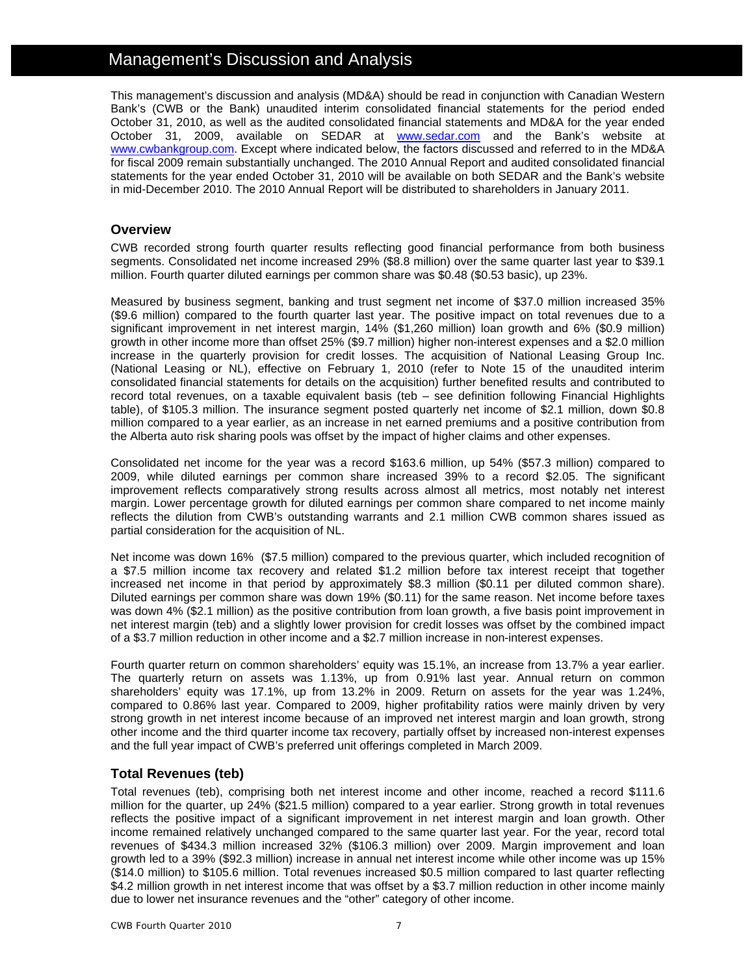# Management's Discussion and Analysis

This management's discussion and analysis (MD&A) should be read in conjunction with Canadian Western Bank's (CWB or the Bank) unaudited interim consolidated financial statements for the period ended October 31, 2010, as well as the audited consolidated financial statements and MD&A for the year ended October 31, 2009, available on SEDAR at **www.sedar.com** and the Bank's website at www.cwbankgroup.com. Except where indicated below, the factors discussed and referred to in the MD&A for fiscal 2009 remain substantially unchanged. The 2010 Annual Report and audited consolidated financial statements for the year ended October 31, 2010 will be available on both SEDAR and the Bank's website in mid-December 2010. The 2010 Annual Report will be distributed to shareholders in January 2011.

# **Overview**

CWB recorded strong fourth quarter results reflecting good financial performance from both business segments. Consolidated net income increased 29% (\$8.8 million) over the same quarter last year to \$39.1 million. Fourth quarter diluted earnings per common share was \$0.48 (\$0.53 basic), up 23%.

Measured by business segment, banking and trust segment net income of \$37.0 million increased 35% (\$9.6 million) compared to the fourth quarter last year. The positive impact on total revenues due to a significant improvement in net interest margin, 14% (\$1,260 million) loan growth and 6% (\$0.9 million) growth in other income more than offset 25% (\$9.7 million) higher non-interest expenses and a \$2.0 million increase in the quarterly provision for credit losses. The acquisition of National Leasing Group Inc. (National Leasing or NL), effective on February 1, 2010 (refer to Note 15 of the unaudited interim consolidated financial statements for details on the acquisition) further benefited results and contributed to record total revenues, on a taxable equivalent basis (teb – see definition following Financial Highlights table), of \$105.3 million. The insurance segment posted quarterly net income of \$2.1 million, down \$0.8 million compared to a year earlier, as an increase in net earned premiums and a positive contribution from the Alberta auto risk sharing pools was offset by the impact of higher claims and other expenses.

Consolidated net income for the year was a record \$163.6 million, up 54% (\$57.3 million) compared to 2009, while diluted earnings per common share increased 39% to a record \$2.05. The significant improvement reflects comparatively strong results across almost all metrics, most notably net interest margin. Lower percentage growth for diluted earnings per common share compared to net income mainly reflects the dilution from CWB's outstanding warrants and 2.1 million CWB common shares issued as partial consideration for the acquisition of NL.

Net income was down 16% (\$7.5 million) compared to the previous quarter, which included recognition of a \$7.5 million income tax recovery and related \$1.2 million before tax interest receipt that together increased net income in that period by approximately \$8.3 million (\$0.11 per diluted common share). Diluted earnings per common share was down 19% (\$0.11) for the same reason. Net income before taxes was down 4% (\$2.1 million) as the positive contribution from loan growth, a five basis point improvement in net interest margin (teb) and a slightly lower provision for credit losses was offset by the combined impact of a \$3.7 million reduction in other income and a \$2.7 million increase in non-interest expenses.

Fourth quarter return on common shareholders' equity was 15.1%, an increase from 13.7% a year earlier. The quarterly return on assets was 1.13%, up from 0.91% last year. Annual return on common shareholders' equity was 17.1%, up from 13.2% in 2009. Return on assets for the year was 1.24%, compared to 0.86% last year. Compared to 2009, higher profitability ratios were mainly driven by very strong growth in net interest income because of an improved net interest margin and loan growth, strong other income and the third quarter income tax recovery, partially offset by increased non-interest expenses and the full year impact of CWB's preferred unit offerings completed in March 2009.

# **Total Revenues (teb)**

Total revenues (teb), comprising both net interest income and other income, reached a record \$111.6 million for the quarter, up 24% (\$21.5 million) compared to a year earlier. Strong growth in total revenues reflects the positive impact of a significant improvement in net interest margin and loan growth. Other income remained relatively unchanged compared to the same quarter last year. For the year, record total revenues of \$434.3 million increased 32% (\$106.3 million) over 2009. Margin improvement and loan growth led to a 39% (\$92.3 million) increase in annual net interest income while other income was up 15% (\$14.0 million) to \$105.6 million. Total revenues increased \$0.5 million compared to last quarter reflecting \$4.2 million growth in net interest income that was offset by a \$3.7 million reduction in other income mainly due to lower net insurance revenues and the "other" category of other income.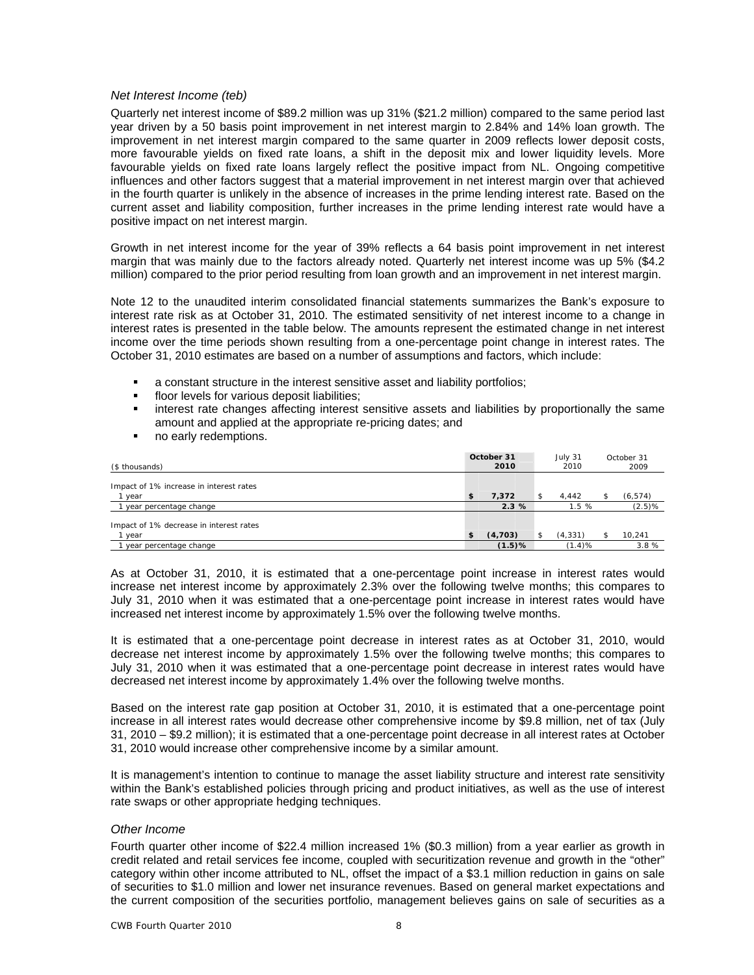### *Net Interest Income (teb)*

Quarterly net interest income of \$89.2 million was up 31% (\$21.2 million) compared to the same period last year driven by a 50 basis point improvement in net interest margin to 2.84% and 14% loan growth. The improvement in net interest margin compared to the same quarter in 2009 reflects lower deposit costs, more favourable yields on fixed rate loans, a shift in the deposit mix and lower liquidity levels. More favourable yields on fixed rate loans largely reflect the positive impact from NL. Ongoing competitive influences and other factors suggest that a material improvement in net interest margin over that achieved in the fourth quarter is unlikely in the absence of increases in the prime lending interest rate. Based on the current asset and liability composition, further increases in the prime lending interest rate would have a positive impact on net interest margin.

Growth in net interest income for the year of 39% reflects a 64 basis point improvement in net interest margin that was mainly due to the factors already noted. Quarterly net interest income was up 5% (\$4.2 million) compared to the prior period resulting from loan growth and an improvement in net interest margin.

Note 12 to the unaudited interim consolidated financial statements summarizes the Bank's exposure to interest rate risk as at October 31, 2010. The estimated sensitivity of net interest income to a change in interest rates is presented in the table below. The amounts represent the estimated change in net interest income over the time periods shown resulting from a one-percentage point change in interest rates. The October 31, 2010 estimates are based on a number of assumptions and factors, which include:

- a constant structure in the interest sensitive asset and liability portfolios;
- floor levels for various deposit liabilities;
- interest rate changes affecting interest sensitive assets and liabilities by proportionally the same amount and applied at the appropriate re-pricing dates; and
- no early redemptions.

| (\$ thousands)                                  | October 31<br>2010 | July 31<br>2010 | October 31<br>2009 |
|-------------------------------------------------|--------------------|-----------------|--------------------|
| Impact of 1% increase in interest rates<br>year | \$<br>7,372        | 4.442           | (6, 574)           |
| year percentage change                          | 2.3%               | 1.5%            | (2.5)%             |
| Impact of 1% decrease in interest rates<br>year | \$<br>(4,703)      | (4, 331)        | 10,241             |
| year percentage change                          | $(1.5)$ %          | (1.4)%          | 3.8%               |

As at October 31, 2010, it is estimated that a one-percentage point increase in interest rates would increase net interest income by approximately 2.3% over the following twelve months; this compares to July 31, 2010 when it was estimated that a one-percentage point increase in interest rates would have increased net interest income by approximately 1.5% over the following twelve months.

It is estimated that a one-percentage point decrease in interest rates as at October 31, 2010, would decrease net interest income by approximately 1.5% over the following twelve months; this compares to July 31, 2010 when it was estimated that a one-percentage point decrease in interest rates would have decreased net interest income by approximately 1.4% over the following twelve months.

Based on the interest rate gap position at October 31, 2010, it is estimated that a one-percentage point increase in all interest rates would decrease other comprehensive income by \$9.8 million, net of tax (July 31, 2010 – \$9.2 million); it is estimated that a one-percentage point decrease in all interest rates at October 31, 2010 would increase other comprehensive income by a similar amount.

It is management's intention to continue to manage the asset liability structure and interest rate sensitivity within the Bank's established policies through pricing and product initiatives, as well as the use of interest rate swaps or other appropriate hedging techniques.

### *Other Income*

Fourth quarter other income of \$22.4 million increased 1% (\$0.3 million) from a year earlier as growth in credit related and retail services fee income, coupled with securitization revenue and growth in the "other" category within other income attributed to NL, offset the impact of a \$3.1 million reduction in gains on sale of securities to \$1.0 million and lower net insurance revenues. Based on general market expectations and the current composition of the securities portfolio, management believes gains on sale of securities as a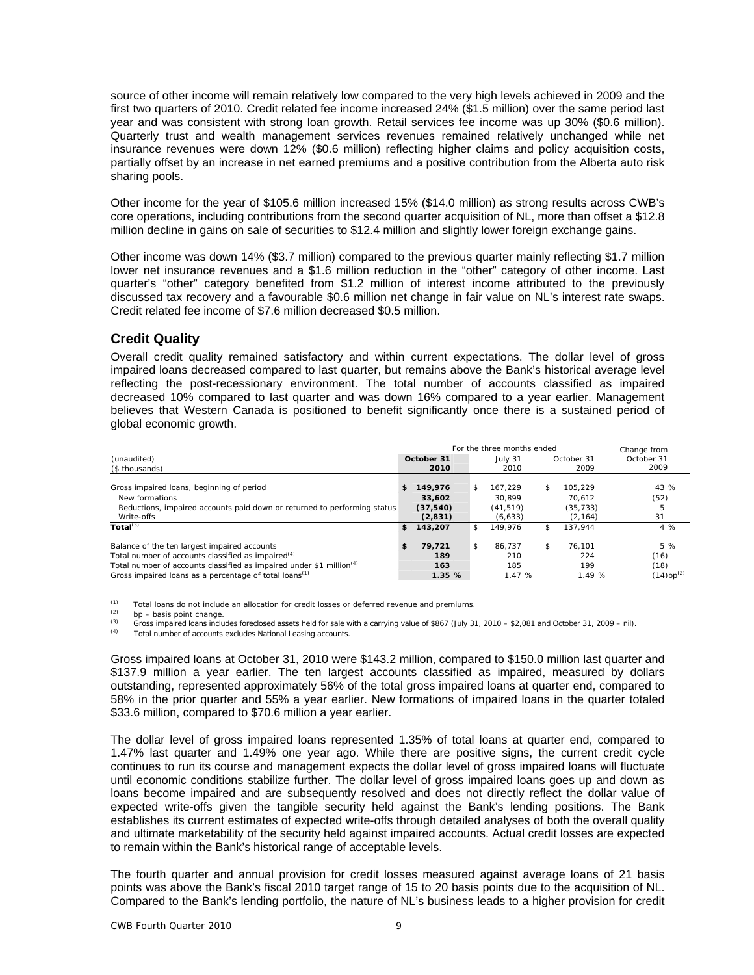source of other income will remain relatively low compared to the very high levels achieved in 2009 and the first two quarters of 2010. Credit related fee income increased 24% (\$1.5 million) over the same period last year and was consistent with strong loan growth. Retail services fee income was up 30% (\$0.6 million). Quarterly trust and wealth management services revenues remained relatively unchanged while net insurance revenues were down 12% (\$0.6 million) reflecting higher claims and policy acquisition costs, partially offset by an increase in net earned premiums and a positive contribution from the Alberta auto risk sharing pools.

Other income for the year of \$105.6 million increased 15% (\$14.0 million) as strong results across CWB's core operations, including contributions from the second quarter acquisition of NL, more than offset a \$12.8 million decline in gains on sale of securities to \$12.4 million and slightly lower foreign exchange gains.

Other income was down 14% (\$3.7 million) compared to the previous quarter mainly reflecting \$1.7 million lower net insurance revenues and a \$1.6 million reduction in the "other" category of other income. Last quarter's "other" category benefited from \$1.2 million of interest income attributed to the previously discussed tax recovery and a favourable \$0.6 million net change in fair value on NL's interest rate swaps. Credit related fee income of \$7.6 million decreased \$0.5 million.

# **Credit Quality**

Overall credit quality remained satisfactory and within current expectations. The dollar level of gross impaired loans decreased compared to last quarter, but remains above the Bank's historical average level reflecting the post-recessionary environment. The total number of accounts classified as impaired decreased 10% compared to last quarter and was down 16% compared to a year earlier. Management believes that Western Canada is positioned to benefit significantly once there is a sustained period of global economic growth.

|                                                                                                                                                                                                                                                                          |     |                                           |     | For the three months ended                |                                                  | Change from                           |
|--------------------------------------------------------------------------------------------------------------------------------------------------------------------------------------------------------------------------------------------------------------------------|-----|-------------------------------------------|-----|-------------------------------------------|--------------------------------------------------|---------------------------------------|
| (unaudited)<br>(\$ thousands)                                                                                                                                                                                                                                            |     | October 31<br>2010                        |     | July 31<br>2010                           | October 31<br>2009                               | October 31<br>2009                    |
| Gross impaired loans, beginning of period<br>New formations<br>Reductions, impaired accounts paid down or returned to performing status<br>Write-offs                                                                                                                    | S   | 149,976<br>33,602<br>(37, 540)<br>(2,831) | \$  | 167.229<br>30.899<br>(41.519)<br>(6, 633) | \$<br>105.229<br>70.612<br>(35, 733)<br>(2, 164) | 43 %<br>(52)<br>ь<br>31               |
| Total $^{(3)}$                                                                                                                                                                                                                                                           | \$. | 143,207                                   | \$. | 149.976                                   | 137.944                                          | 4 %                                   |
| Balance of the ten largest impaired accounts<br>Total number of accounts classified as impaired <sup>(4)</sup><br>Total number of accounts classified as impaired under \$1 million <sup>(4)</sup><br>Gross impaired loans as a percentage of total loans <sup>(1)</sup> | \$  | 79.721<br>189<br>163<br>1.35%             | \$  | 86.737<br>210<br>185<br>1.47%             | \$<br>76.101<br>224<br>199<br>1.49 %             | 5 %<br>(16)<br>(18)<br>$(14)bp^{(2)}$ |

(1) Total loans do not include an allocation for credit losses or deferred revenue and premiums.<br>
(2) be – basis point change.<br>  $\frac{f(2)}{f(2)}$  (bb) 2)

Gross impaired loans includes foreclosed assets held for sale with a carrying value of \$867 (July 31, 2010 – \$2,081 and October 31, 2009 – nil).<br>
Total number of accounts excludes National Leasing accounts.

Gross impaired loans at October 31, 2010 were \$143.2 million, compared to \$150.0 million last quarter and \$137.9 million a year earlier. The ten largest accounts classified as impaired, measured by dollars outstanding, represented approximately 56% of the total gross impaired loans at quarter end, compared to 58% in the prior quarter and 55% a year earlier. New formations of impaired loans in the quarter totaled \$33.6 million, compared to \$70.6 million a year earlier.

The dollar level of gross impaired loans represented 1.35% of total loans at quarter end, compared to 1.47% last quarter and 1.49% one year ago. While there are positive signs, the current credit cycle continues to run its course and management expects the dollar level of gross impaired loans will fluctuate until economic conditions stabilize further. The dollar level of gross impaired loans goes up and down as loans become impaired and are subsequently resolved and does not directly reflect the dollar value of expected write-offs given the tangible security held against the Bank's lending positions. The Bank establishes its current estimates of expected write-offs through detailed analyses of both the overall quality and ultimate marketability of the security held against impaired accounts. Actual credit losses are expected to remain within the Bank's historical range of acceptable levels.

The fourth quarter and annual provision for credit losses measured against average loans of 21 basis points was above the Bank's fiscal 2010 target range of 15 to 20 basis points due to the acquisition of NL. Compared to the Bank's lending portfolio, the nature of NL's business leads to a higher provision for credit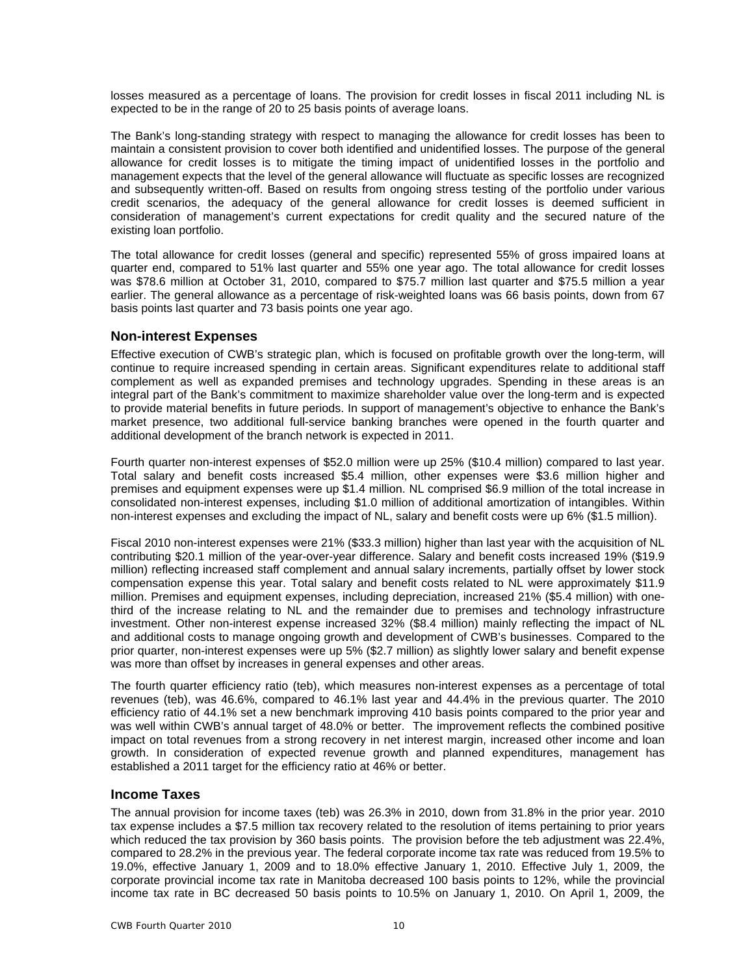losses measured as a percentage of loans. The provision for credit losses in fiscal 2011 including NL is expected to be in the range of 20 to 25 basis points of average loans.

The Bank's long-standing strategy with respect to managing the allowance for credit losses has been to maintain a consistent provision to cover both identified and unidentified losses. The purpose of the general allowance for credit losses is to mitigate the timing impact of unidentified losses in the portfolio and management expects that the level of the general allowance will fluctuate as specific losses are recognized and subsequently written-off. Based on results from ongoing stress testing of the portfolio under various credit scenarios, the adequacy of the general allowance for credit losses is deemed sufficient in consideration of management's current expectations for credit quality and the secured nature of the existing loan portfolio.

The total allowance for credit losses (general and specific) represented 55% of gross impaired loans at quarter end, compared to 51% last quarter and 55% one year ago. The total allowance for credit losses was \$78.6 million at October 31, 2010, compared to \$75.7 million last quarter and \$75.5 million a year earlier. The general allowance as a percentage of risk-weighted loans was 66 basis points, down from 67 basis points last quarter and 73 basis points one year ago.

### **Non-interest Expenses**

Effective execution of CWB's strategic plan, which is focused on profitable growth over the long-term, will continue to require increased spending in certain areas. Significant expenditures relate to additional staff complement as well as expanded premises and technology upgrades. Spending in these areas is an integral part of the Bank's commitment to maximize shareholder value over the long-term and is expected to provide material benefits in future periods. In support of management's objective to enhance the Bank's market presence, two additional full-service banking branches were opened in the fourth quarter and additional development of the branch network is expected in 2011.

Fourth quarter non-interest expenses of \$52.0 million were up 25% (\$10.4 million) compared to last year. Total salary and benefit costs increased \$5.4 million, other expenses were \$3.6 million higher and premises and equipment expenses were up \$1.4 million. NL comprised \$6.9 million of the total increase in consolidated non-interest expenses, including \$1.0 million of additional amortization of intangibles. Within non-interest expenses and excluding the impact of NL, salary and benefit costs were up 6% (\$1.5 million).

Fiscal 2010 non-interest expenses were 21% (\$33.3 million) higher than last year with the acquisition of NL contributing \$20.1 million of the year-over-year difference. Salary and benefit costs increased 19% (\$19.9 million) reflecting increased staff complement and annual salary increments, partially offset by lower stock compensation expense this year. Total salary and benefit costs related to NL were approximately \$11.9 million. Premises and equipment expenses, including depreciation, increased 21% (\$5.4 million) with onethird of the increase relating to NL and the remainder due to premises and technology infrastructure investment. Other non-interest expense increased 32% (\$8.4 million) mainly reflecting the impact of NL and additional costs to manage ongoing growth and development of CWB's businesses. Compared to the prior quarter, non-interest expenses were up 5% (\$2.7 million) as slightly lower salary and benefit expense was more than offset by increases in general expenses and other areas.

The fourth quarter efficiency ratio (teb), which measures non-interest expenses as a percentage of total revenues (teb), was 46.6%, compared to 46.1% last year and 44.4% in the previous quarter. The 2010 efficiency ratio of 44.1% set a new benchmark improving 410 basis points compared to the prior year and was well within CWB's annual target of 48.0% or better. The improvement reflects the combined positive impact on total revenues from a strong recovery in net interest margin, increased other income and loan growth. In consideration of expected revenue growth and planned expenditures, management has established a 2011 target for the efficiency ratio at 46% or better.

# **Income Taxes**

The annual provision for income taxes (teb) was 26.3% in 2010, down from 31.8% in the prior year. 2010 tax expense includes a \$7.5 million tax recovery related to the resolution of items pertaining to prior years which reduced the tax provision by 360 basis points. The provision before the teb adjustment was 22.4%, compared to 28.2% in the previous year. The federal corporate income tax rate was reduced from 19.5% to 19.0%, effective January 1, 2009 and to 18.0% effective January 1, 2010. Effective July 1, 2009, the corporate provincial income tax rate in Manitoba decreased 100 basis points to 12%, while the provincial income tax rate in BC decreased 50 basis points to 10.5% on January 1, 2010. On April 1, 2009, the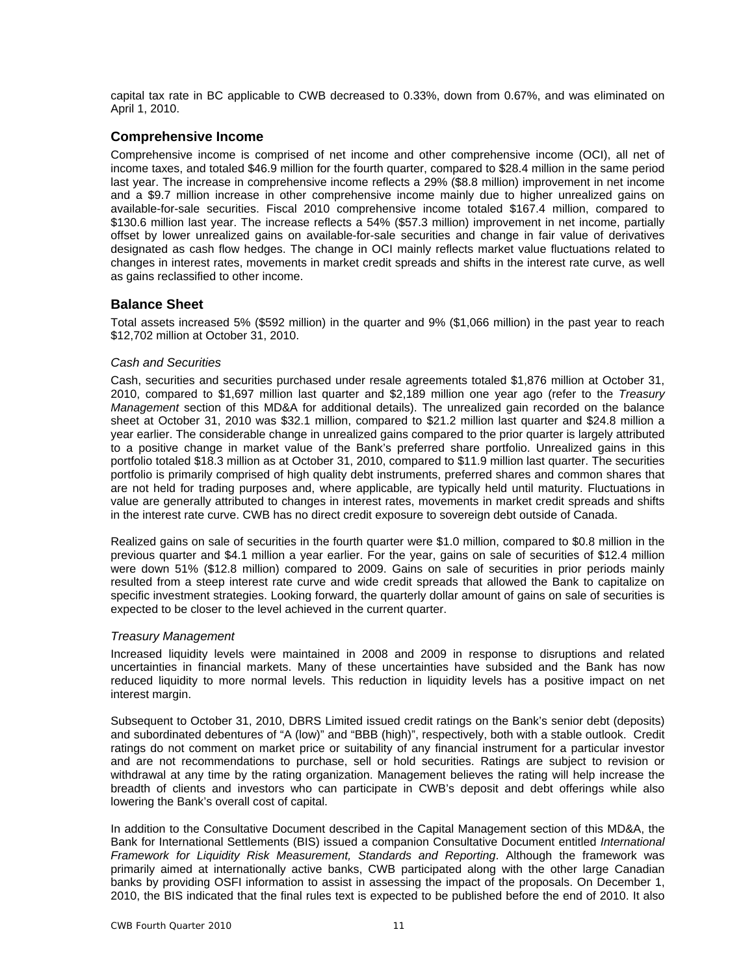capital tax rate in BC applicable to CWB decreased to 0.33%, down from 0.67%, and was eliminated on April 1, 2010.

# **Comprehensive Income**

Comprehensive income is comprised of net income and other comprehensive income (OCI), all net of income taxes, and totaled \$46.9 million for the fourth quarter, compared to \$28.4 million in the same period last year. The increase in comprehensive income reflects a 29% (\$8.8 million) improvement in net income and a \$9.7 million increase in other comprehensive income mainly due to higher unrealized gains on available-for-sale securities. Fiscal 2010 comprehensive income totaled \$167.4 million, compared to \$130.6 million last year. The increase reflects a 54% (\$57.3 million) improvement in net income, partially offset by lower unrealized gains on available-for-sale securities and change in fair value of derivatives designated as cash flow hedges. The change in OCI mainly reflects market value fluctuations related to changes in interest rates, movements in market credit spreads and shifts in the interest rate curve, as well as gains reclassified to other income.

# **Balance Sheet**

Total assets increased 5% (\$592 million) in the quarter and 9% (\$1,066 million) in the past year to reach \$12,702 million at October 31, 2010.

### *Cash and Securities*

Cash, securities and securities purchased under resale agreements totaled \$1,876 million at October 31, 2010, compared to \$1,697 million last quarter and \$2,189 million one year ago (refer to the *Treasury Management* section of this MD&A for additional details). The unrealized gain recorded on the balance sheet at October 31, 2010 was \$32.1 million, compared to \$21.2 million last quarter and \$24.8 million a year earlier. The considerable change in unrealized gains compared to the prior quarter is largely attributed to a positive change in market value of the Bank's preferred share portfolio. Unrealized gains in this portfolio totaled \$18.3 million as at October 31, 2010, compared to \$11.9 million last quarter. The securities portfolio is primarily comprised of high quality debt instruments, preferred shares and common shares that are not held for trading purposes and, where applicable, are typically held until maturity. Fluctuations in value are generally attributed to changes in interest rates, movements in market credit spreads and shifts in the interest rate curve. CWB has no direct credit exposure to sovereign debt outside of Canada.

Realized gains on sale of securities in the fourth quarter were \$1.0 million, compared to \$0.8 million in the previous quarter and \$4.1 million a year earlier. For the year, gains on sale of securities of \$12.4 million were down 51% (\$12.8 million) compared to 2009. Gains on sale of securities in prior periods mainly resulted from a steep interest rate curve and wide credit spreads that allowed the Bank to capitalize on specific investment strategies. Looking forward, the quarterly dollar amount of gains on sale of securities is expected to be closer to the level achieved in the current quarter.

### *Treasury Management*

Increased liquidity levels were maintained in 2008 and 2009 in response to disruptions and related uncertainties in financial markets. Many of these uncertainties have subsided and the Bank has now reduced liquidity to more normal levels. This reduction in liquidity levels has a positive impact on net interest margin.

Subsequent to October 31, 2010, DBRS Limited issued credit ratings on the Bank's senior debt (deposits) and subordinated debentures of "A (low)" and "BBB (high)", respectively, both with a stable outlook. Credit ratings do not comment on market price or suitability of any financial instrument for a particular investor and are not recommendations to purchase, sell or hold securities. Ratings are subject to revision or withdrawal at any time by the rating organization. Management believes the rating will help increase the breadth of clients and investors who can participate in CWB's deposit and debt offerings while also lowering the Bank's overall cost of capital.

In addition to the Consultative Document described in the Capital Management section of this MD&A, the Bank for International Settlements (BIS) issued a companion Consultative Document entitled *International Framework for Liquidity Risk Measurement, Standards and Reporting*. Although the framework was primarily aimed at internationally active banks, CWB participated along with the other large Canadian banks by providing OSFI information to assist in assessing the impact of the proposals. On December 1, 2010, the BIS indicated that the final rules text is expected to be published before the end of 2010. It also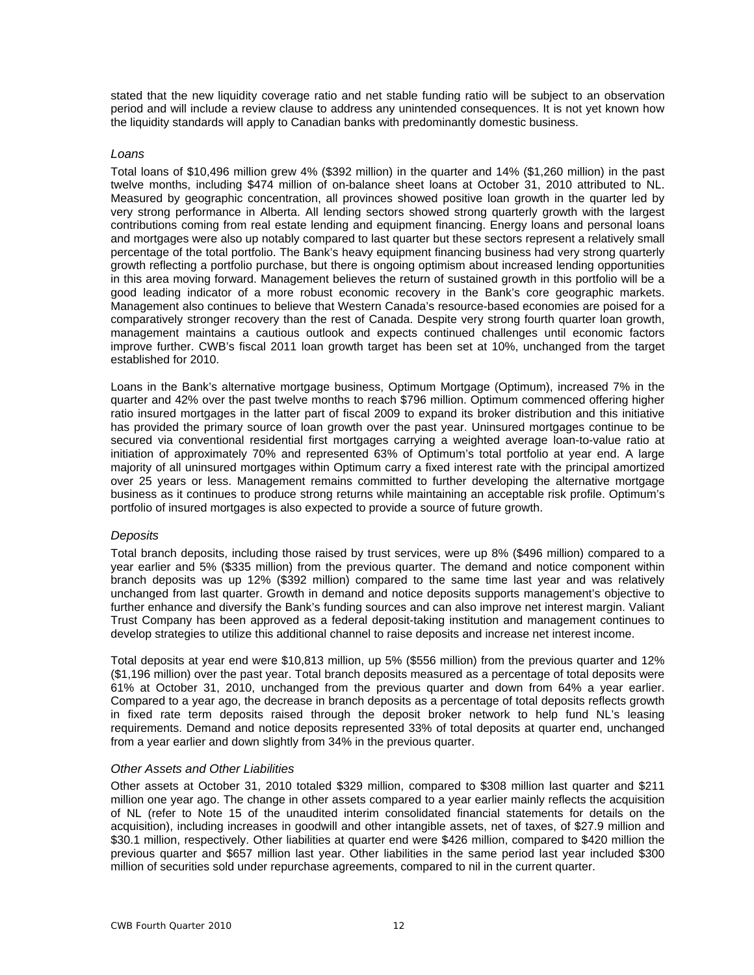stated that the new liquidity coverage ratio and net stable funding ratio will be subject to an observation period and will include a review clause to address any unintended consequences. It is not yet known how the liquidity standards will apply to Canadian banks with predominantly domestic business.

### *Loans*

Total loans of \$10,496 million grew 4% (\$392 million) in the quarter and 14% (\$1,260 million) in the past twelve months, including \$474 million of on-balance sheet loans at October 31, 2010 attributed to NL. Measured by geographic concentration, all provinces showed positive loan growth in the quarter led by very strong performance in Alberta. All lending sectors showed strong quarterly growth with the largest contributions coming from real estate lending and equipment financing. Energy loans and personal loans and mortgages were also up notably compared to last quarter but these sectors represent a relatively small percentage of the total portfolio. The Bank's heavy equipment financing business had very strong quarterly growth reflecting a portfolio purchase, but there is ongoing optimism about increased lending opportunities in this area moving forward. Management believes the return of sustained growth in this portfolio will be a good leading indicator of a more robust economic recovery in the Bank's core geographic markets. Management also continues to believe that Western Canada's resource-based economies are poised for a comparatively stronger recovery than the rest of Canada. Despite very strong fourth quarter loan growth, management maintains a cautious outlook and expects continued challenges until economic factors improve further. CWB's fiscal 2011 loan growth target has been set at 10%, unchanged from the target established for 2010.

Loans in the Bank's alternative mortgage business, Optimum Mortgage (Optimum), increased 7% in the quarter and 42% over the past twelve months to reach \$796 million. Optimum commenced offering higher ratio insured mortgages in the latter part of fiscal 2009 to expand its broker distribution and this initiative has provided the primary source of loan growth over the past year. Uninsured mortgages continue to be secured via conventional residential first mortgages carrying a weighted average loan-to-value ratio at initiation of approximately 70% and represented 63% of Optimum's total portfolio at year end. A large majority of all uninsured mortgages within Optimum carry a fixed interest rate with the principal amortized over 25 years or less. Management remains committed to further developing the alternative mortgage business as it continues to produce strong returns while maintaining an acceptable risk profile. Optimum's portfolio of insured mortgages is also expected to provide a source of future growth.

### *Deposits*

Total branch deposits, including those raised by trust services, were up 8% (\$496 million) compared to a year earlier and 5% (\$335 million) from the previous quarter. The demand and notice component within branch deposits was up 12% (\$392 million) compared to the same time last year and was relatively unchanged from last quarter. Growth in demand and notice deposits supports management's objective to further enhance and diversify the Bank's funding sources and can also improve net interest margin. Valiant Trust Company has been approved as a federal deposit-taking institution and management continues to develop strategies to utilize this additional channel to raise deposits and increase net interest income.

Total deposits at year end were \$10,813 million, up 5% (\$556 million) from the previous quarter and 12% (\$1,196 million) over the past year. Total branch deposits measured as a percentage of total deposits were 61% at October 31, 2010, unchanged from the previous quarter and down from 64% a year earlier. Compared to a year ago, the decrease in branch deposits as a percentage of total deposits reflects growth in fixed rate term deposits raised through the deposit broker network to help fund NL's leasing requirements. Demand and notice deposits represented 33% of total deposits at quarter end, unchanged from a year earlier and down slightly from 34% in the previous quarter.

### *Other Assets and Other Liabilities*

Other assets at October 31, 2010 totaled \$329 million, compared to \$308 million last quarter and \$211 million one year ago. The change in other assets compared to a year earlier mainly reflects the acquisition of NL (refer to Note 15 of the unaudited interim consolidated financial statements for details on the acquisition), including increases in goodwill and other intangible assets, net of taxes, of \$27.9 million and \$30.1 million, respectively. Other liabilities at quarter end were \$426 million, compared to \$420 million the previous quarter and \$657 million last year. Other liabilities in the same period last year included \$300 million of securities sold under repurchase agreements, compared to nil in the current quarter.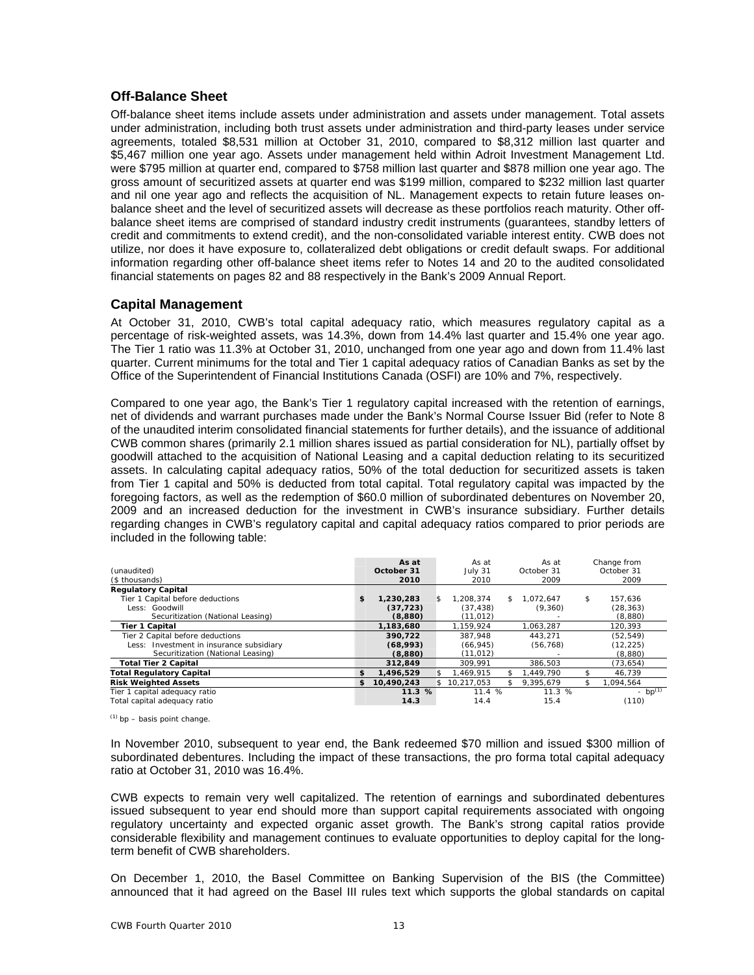# **Off-Balance Sheet**

Off-balance sheet items include assets under administration and assets under management. Total assets under administration, including both trust assets under administration and third-party leases under service agreements, totaled \$8,531 million at October 31, 2010, compared to \$8,312 million last quarter and \$5,467 million one year ago. Assets under management held within Adroit Investment Management Ltd. were \$795 million at quarter end, compared to \$758 million last quarter and \$878 million one year ago. The gross amount of securitized assets at quarter end was \$199 million, compared to \$232 million last quarter and nil one year ago and reflects the acquisition of NL. Management expects to retain future leases onbalance sheet and the level of securitized assets will decrease as these portfolios reach maturity. Other offbalance sheet items are comprised of standard industry credit instruments (guarantees, standby letters of credit and commitments to extend credit), and the non-consolidated variable interest entity. CWB does not utilize, nor does it have exposure to, collateralized debt obligations or credit default swaps. For additional information regarding other off-balance sheet items refer to Notes 14 and 20 to the audited consolidated financial statements on pages 82 and 88 respectively in the Bank's 2009 Annual Report.

# **Capital Management**

At October 31, 2010, CWB's total capital adequacy ratio, which measures regulatory capital as a percentage of risk-weighted assets, was 14.3%, down from 14.4% last quarter and 15.4% one year ago. The Tier 1 ratio was 11.3% at October 31, 2010, unchanged from one year ago and down from 11.4% last quarter. Current minimums for the total and Tier 1 capital adequacy ratios of Canadian Banks as set by the Office of the Superintendent of Financial Institutions Canada (OSFI) are 10% and 7%, respectively.

Compared to one year ago, the Bank's Tier 1 regulatory capital increased with the retention of earnings, net of dividends and warrant purchases made under the Bank's Normal Course Issuer Bid (refer to Note 8 of the unaudited interim consolidated financial statements for further details), and the issuance of additional CWB common shares (primarily 2.1 million shares issued as partial consideration for NL), partially offset by goodwill attached to the acquisition of National Leasing and a capital deduction relating to its securitized assets. In calculating capital adequacy ratios, 50% of the total deduction for securitized assets is taken from Tier 1 capital and 50% is deducted from total capital. Total regulatory capital was impacted by the foregoing factors, as well as the redemption of \$60.0 million of subordinated debentures on November 20, 2009 and an increased deduction for the investment in CWB's insurance subsidiary. Further details regarding changes in CWB's regulatory capital and capital adequacy ratios compared to prior periods are included in the following table:

| (unaudited)<br>(\$ thousands)            |     | As at<br>October 31<br>2010 |     | As at<br>July 31<br>2010 |     | As at<br>October 31<br>2009 | Change from<br>October 31<br>2009 |
|------------------------------------------|-----|-----------------------------|-----|--------------------------|-----|-----------------------------|-----------------------------------|
| <b>Regulatory Capital</b>                |     |                             |     |                          |     |                             |                                   |
| Tier 1 Capital before deductions         | \$  | 1,230,283                   | \$. | 1.208.374                | \$. | 1.072.647                   | \$<br>157,636                     |
| Less: Goodwill                           |     | (37, 723)                   |     | (37, 438)                |     | (9,360)                     | (28, 363)                         |
| Securitization (National Leasing)        |     | (8,880)                     |     | (11,012)                 |     |                             | (8,880)                           |
| <b>Tier 1 Capital</b>                    |     | 1,183,680                   |     | 1,159,924                |     | 1,063,287                   | 120,393                           |
| Tier 2 Capital before deductions         |     | 390.722                     |     | 387.948                  |     | 443.271                     | (52, 549)                         |
| Less: Investment in insurance subsidiary |     | (68,993)                    |     | (66, 945)                |     | (56, 768)                   | (12, 225)                         |
| Securitization (National Leasing)        |     | (8,880)                     |     | (11, 012)                |     |                             | (8,880)                           |
| <b>Total Tier 2 Capital</b>              |     | 312,849                     |     | 309.991                  |     | 386.503                     | (73, 654)                         |
| Total Regulatory Capital                 | \$  | 1,496,529                   | \$. | .469.915                 |     | .449.790                    | 46.739                            |
| <b>Risk Weighted Assets</b>              | \$. | 10,490,243                  |     | \$10,217,053             |     | 9,395,679                   | \$<br>1,094,564                   |
| Tier 1 capital adequacy ratio            |     | 11.3%                       |     | 11.4 %                   |     | 11.3 %                      | - $bp^{(1)}$                      |
| Total capital adequacy ratio             |     | 14.3                        |     | 14.4                     |     | 15.4                        | (110)                             |

 $(1)$  bp – basis point change.

In November 2010, subsequent to year end, the Bank redeemed \$70 million and issued \$300 million of subordinated debentures. Including the impact of these transactions, the pro forma total capital adequacy ratio at October 31, 2010 was 16.4%.

CWB expects to remain very well capitalized. The retention of earnings and subordinated debentures issued subsequent to year end should more than support capital requirements associated with ongoing regulatory uncertainty and expected organic asset growth. The Bank's strong capital ratios provide considerable flexibility and management continues to evaluate opportunities to deploy capital for the longterm benefit of CWB shareholders.

On December 1, 2010, the Basel Committee on Banking Supervision of the BIS (the Committee) announced that it had agreed on the Basel III rules text which supports the global standards on capital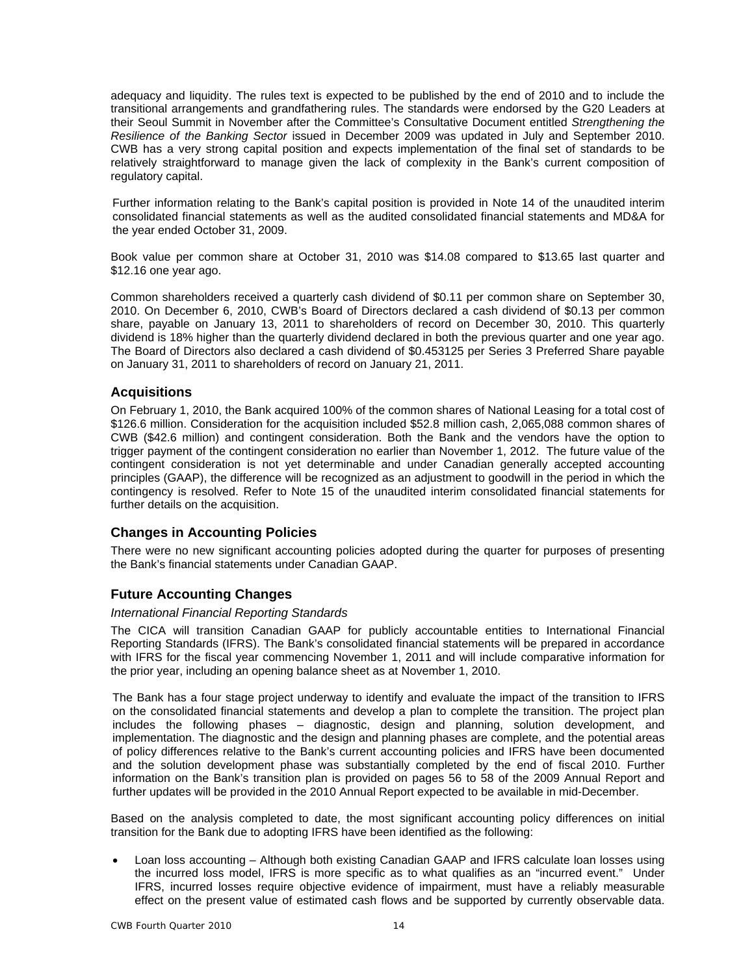adequacy and liquidity. The rules text is expected to be published by the end of 2010 and to include the transitional arrangements and grandfathering rules. The standards were endorsed by the G20 Leaders at their Seoul Summit in November after the Committee's Consultative Document entitled *Strengthening the Resilience of the Banking Sector* issued in December 2009 was updated in July and September 2010. CWB has a very strong capital position and expects implementation of the final set of standards to be relatively straightforward to manage given the lack of complexity in the Bank's current composition of regulatory capital.

Further information relating to the Bank's capital position is provided in Note 14 of the unaudited interim consolidated financial statements as well as the audited consolidated financial statements and MD&A for the year ended October 31, 2009.

Book value per common share at October 31, 2010 was \$14.08 compared to \$13.65 last quarter and \$12.16 one year ago.

Common shareholders received a quarterly cash dividend of \$0.11 per common share on September 30, 2010. On December 6, 2010, CWB's Board of Directors declared a cash dividend of \$0.13 per common share, payable on January 13, 2011 to shareholders of record on December 30, 2010. This quarterly dividend is 18% higher than the quarterly dividend declared in both the previous quarter and one year ago. The Board of Directors also declared a cash dividend of \$0.453125 per Series 3 Preferred Share payable on January 31, 2011 to shareholders of record on January 21, 2011.

# **Acquisitions**

On February 1, 2010, the Bank acquired 100% of the common shares of National Leasing for a total cost of \$126.6 million. Consideration for the acquisition included \$52.8 million cash, 2,065,088 common shares of CWB (\$42.6 million) and contingent consideration. Both the Bank and the vendors have the option to trigger payment of the contingent consideration no earlier than November 1, 2012. The future value of the contingent consideration is not yet determinable and under Canadian generally accepted accounting principles (GAAP), the difference will be recognized as an adjustment to goodwill in the period in which the contingency is resolved. Refer to Note 15 of the unaudited interim consolidated financial statements for further details on the acquisition.

## **Changes in Accounting Policies**

There were no new significant accounting policies adopted during the quarter for purposes of presenting the Bank's financial statements under Canadian GAAP.

# **Future Accounting Changes**

## *International Financial Reporting Standards*

The CICA will transition Canadian GAAP for publicly accountable entities to International Financial Reporting Standards (IFRS). The Bank's consolidated financial statements will be prepared in accordance with IFRS for the fiscal year commencing November 1, 2011 and will include comparative information for the prior year, including an opening balance sheet as at November 1, 2010.

The Bank has a four stage project underway to identify and evaluate the impact of the transition to IFRS on the consolidated financial statements and develop a plan to complete the transition. The project plan includes the following phases – diagnostic, design and planning, solution development, and implementation. The diagnostic and the design and planning phases are complete, and the potential areas of policy differences relative to the Bank's current accounting policies and IFRS have been documented and the solution development phase was substantially completed by the end of fiscal 2010. Further information on the Bank's transition plan is provided on pages 56 to 58 of the 2009 Annual Report and further updates will be provided in the 2010 Annual Report expected to be available in mid-December.

Based on the analysis completed to date, the most significant accounting policy differences on initial transition for the Bank due to adopting IFRS have been identified as the following:

 Loan loss accounting – Although both existing Canadian GAAP and IFRS calculate loan losses using the incurred loss model, IFRS is more specific as to what qualifies as an "incurred event." Under IFRS, incurred losses require objective evidence of impairment, must have a reliably measurable effect on the present value of estimated cash flows and be supported by currently observable data.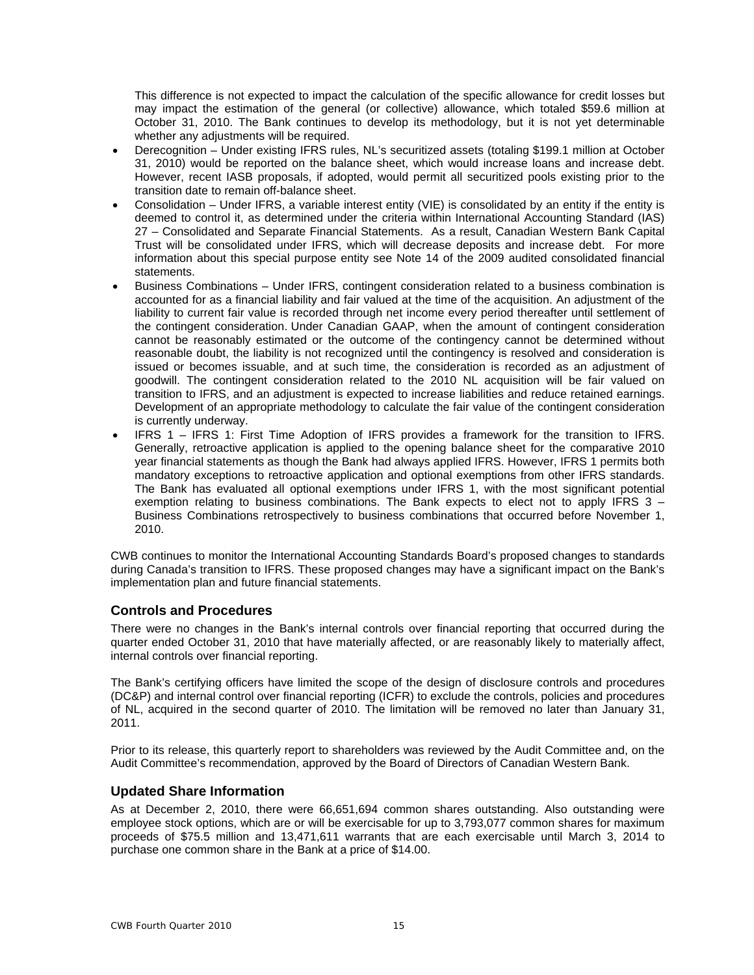This difference is not expected to impact the calculation of the specific allowance for credit losses but may impact the estimation of the general (or collective) allowance, which totaled \$59.6 million at October 31, 2010. The Bank continues to develop its methodology, but it is not yet determinable whether any adjustments will be required.

- Derecognition Under existing IFRS rules, NL's securitized assets (totaling \$199.1 million at October 31, 2010) would be reported on the balance sheet, which would increase loans and increase debt. However, recent IASB proposals, if adopted, would permit all securitized pools existing prior to the transition date to remain off-balance sheet.
- Consolidation Under IFRS, a variable interest entity (VIE) is consolidated by an entity if the entity is deemed to control it, as determined under the criteria within International Accounting Standard (IAS) 27 – Consolidated and Separate Financial Statements. As a result, Canadian Western Bank Capital Trust will be consolidated under IFRS, which will decrease deposits and increase debt. For more information about this special purpose entity see Note 14 of the 2009 audited consolidated financial statements.
- Business Combinations Under IFRS, contingent consideration related to a business combination is accounted for as a financial liability and fair valued at the time of the acquisition. An adjustment of the liability to current fair value is recorded through net income every period thereafter until settlement of the contingent consideration. Under Canadian GAAP, when the amount of contingent consideration cannot be reasonably estimated or the outcome of the contingency cannot be determined without reasonable doubt, the liability is not recognized until the contingency is resolved and consideration is issued or becomes issuable, and at such time, the consideration is recorded as an adjustment of goodwill. The contingent consideration related to the 2010 NL acquisition will be fair valued on transition to IFRS, and an adjustment is expected to increase liabilities and reduce retained earnings. Development of an appropriate methodology to calculate the fair value of the contingent consideration is currently underway.
- IFRS 1 IFRS 1: First Time Adoption of IFRS provides a framework for the transition to IFRS. Generally, retroactive application is applied to the opening balance sheet for the comparative 2010 year financial statements as though the Bank had always applied IFRS. However, IFRS 1 permits both mandatory exceptions to retroactive application and optional exemptions from other IFRS standards. The Bank has evaluated all optional exemptions under IFRS 1, with the most significant potential exemption relating to business combinations. The Bank expects to elect not to apply IFRS 3 – Business Combinations retrospectively to business combinations that occurred before November 1, 2010.

CWB continues to monitor the International Accounting Standards Board's proposed changes to standards during Canada's transition to IFRS. These proposed changes may have a significant impact on the Bank's implementation plan and future financial statements.

## **Controls and Procedures**

There were no changes in the Bank's internal controls over financial reporting that occurred during the quarter ended October 31, 2010 that have materially affected, or are reasonably likely to materially affect, internal controls over financial reporting.

The Bank's certifying officers have limited the scope of the design of disclosure controls and procedures (DC&P) and internal control over financial reporting (ICFR) to exclude the controls, policies and procedures of NL, acquired in the second quarter of 2010. The limitation will be removed no later than January 31, 2011.

Prior to its release, this quarterly report to shareholders was reviewed by the Audit Committee and, on the Audit Committee's recommendation, approved by the Board of Directors of Canadian Western Bank.

# **Updated Share Information**

As at December 2, 2010, there were 66,651,694 common shares outstanding. Also outstanding were employee stock options, which are or will be exercisable for up to 3,793,077 common shares for maximum proceeds of \$75.5 million and 13,471,611 warrants that are each exercisable until March 3, 2014 to purchase one common share in the Bank at a price of \$14.00.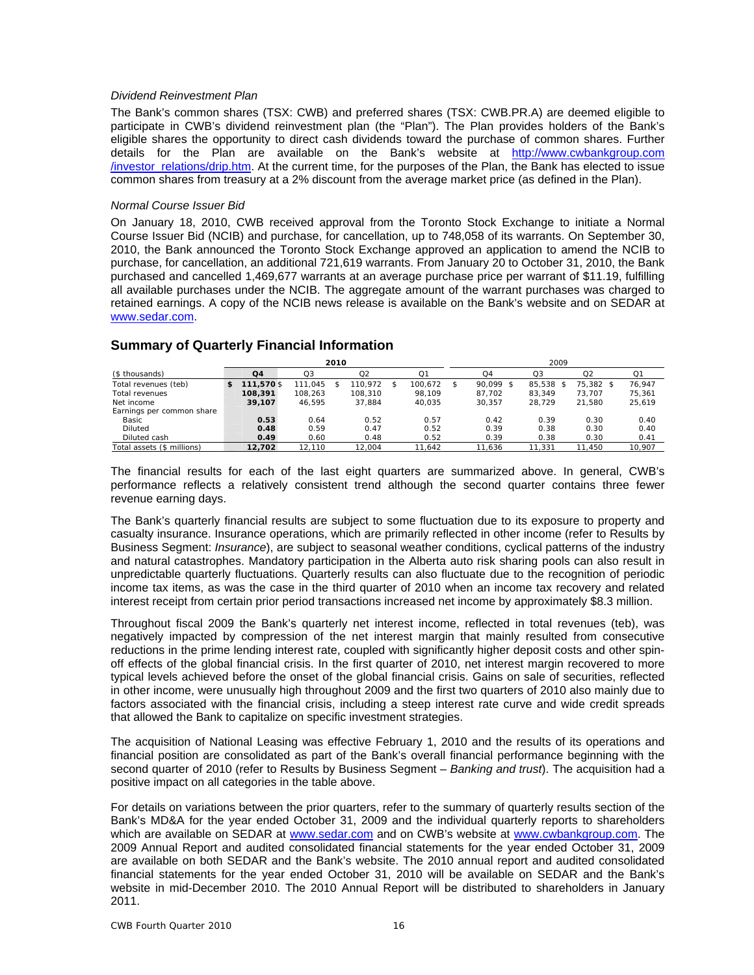### *Dividend Reinvestment Plan*

The Bank's common shares (TSX: CWB) and preferred shares (TSX: CWB.PR.A) are deemed eligible to participate in CWB's dividend reinvestment plan (the "Plan"). The Plan provides holders of the Bank's eligible shares the opportunity to direct cash dividends toward the purchase of common shares. Further details for the Plan are available on the Bank's website at http://www.cwbankgroup.com /investor\_relations/drip.htm. At the current time, for the purposes of the Plan, the Bank has elected to issue common shares from treasury at a 2% discount from the average market price (as defined in the Plan).

### *Normal Course Issuer Bid*

On January 18, 2010, CWB received approval from the Toronto Stock Exchange to initiate a Normal Course Issuer Bid (NCIB) and purchase, for cancellation, up to 748,058 of its warrants. On September 30, 2010, the Bank announced the Toronto Stock Exchange approved an application to amend the NCIB to purchase, for cancellation, an additional 721,619 warrants. From January 20 to October 31, 2010, the Bank purchased and cancelled 1,469,677 warrants at an average purchase price per warrant of \$11.19, fulfilling all available purchases under the NCIB. The aggregate amount of the warrant purchases was charged to retained earnings. A copy of the NCIB news release is available on the Bank's website and on SEDAR at www.sedar.com.

|                            |            |         | 2010 |         |   |         | 2009 |           |                |                |        |  |  |  |  |
|----------------------------|------------|---------|------|---------|---|---------|------|-----------|----------------|----------------|--------|--|--|--|--|
| (\$ thousands)             | Q4         | Q3      |      | Q2      |   | Q1      |      | Q4        | Q <sub>3</sub> | Q <sub>2</sub> | Q1     |  |  |  |  |
| Total revenues (teb)       | 111,570 \$ | 111.045 |      | 110.972 | S | 100.672 | S    | 90.099 \$ | 85,538         | 75.382 \$      | 76.947 |  |  |  |  |
| Total revenues             | 108,391    | 108.263 |      | 108.310 |   | 98.109  |      | 87.702    | 83.349         | 73.707         | 75,361 |  |  |  |  |
| Net income                 | 39,107     | 46.595  |      | 37.884  |   | 40.035  |      | 30.357    | 28.729         | 21.580         | 25,619 |  |  |  |  |
| Earnings per common share  |            |         |      |         |   |         |      |           |                |                |        |  |  |  |  |
| Basic                      | 0.53       | 0.64    |      | 0.52    |   | 0.57    |      | 0.42      | 0.39           | 0.30           | 0.40   |  |  |  |  |
| Diluted                    | 0.48       | 0.59    |      | 0.47    |   | 0.52    |      | 0.39      | 0.38           | 0.30           | 0.40   |  |  |  |  |
| Diluted cash               | 0.49       | 0.60    |      | 0.48    |   | 0.52    |      | 0.39      | 0.38           | 0.30           | 0.41   |  |  |  |  |
| Total assets (\$ millions) | 12,702     | 12.110  |      | 12.004  |   | 11.642  |      | '1,636    | 11.331         | 11.450         | 10.907 |  |  |  |  |

# **Summary of Quarterly Financial Information**

The financial results for each of the last eight quarters are summarized above. In general, CWB's performance reflects a relatively consistent trend although the second quarter contains three fewer revenue earning days.

The Bank's quarterly financial results are subject to some fluctuation due to its exposure to property and casualty insurance. Insurance operations, which are primarily reflected in other income (refer to Results by Business Segment: *Insurance*), are subject to seasonal weather conditions, cyclical patterns of the industry and natural catastrophes. Mandatory participation in the Alberta auto risk sharing pools can also result in unpredictable quarterly fluctuations. Quarterly results can also fluctuate due to the recognition of periodic income tax items, as was the case in the third quarter of 2010 when an income tax recovery and related interest receipt from certain prior period transactions increased net income by approximately \$8.3 million.

Throughout fiscal 2009 the Bank's quarterly net interest income, reflected in total revenues (teb), was negatively impacted by compression of the net interest margin that mainly resulted from consecutive reductions in the prime lending interest rate, coupled with significantly higher deposit costs and other spinoff effects of the global financial crisis. In the first quarter of 2010, net interest margin recovered to more typical levels achieved before the onset of the global financial crisis. Gains on sale of securities, reflected in other income, were unusually high throughout 2009 and the first two quarters of 2010 also mainly due to factors associated with the financial crisis, including a steep interest rate curve and wide credit spreads that allowed the Bank to capitalize on specific investment strategies.

The acquisition of National Leasing was effective February 1, 2010 and the results of its operations and financial position are consolidated as part of the Bank's overall financial performance beginning with the second quarter of 2010 (refer to Results by Business Segment – *Banking and trust*). The acquisition had a positive impact on all categories in the table above.

For details on variations between the prior quarters, refer to the summary of quarterly results section of the Bank's MD&A for the year ended October 31, 2009 and the individual quarterly reports to shareholders which are available on SEDAR at www.sedar.com and on CWB's website at www.cwbankgroup.com. The 2009 Annual Report and audited consolidated financial statements for the year ended October 31, 2009 are available on both SEDAR and the Bank's website. The 2010 annual report and audited consolidated financial statements for the year ended October 31, 2010 will be available on SEDAR and the Bank's website in mid-December 2010. The 2010 Annual Report will be distributed to shareholders in January 2011.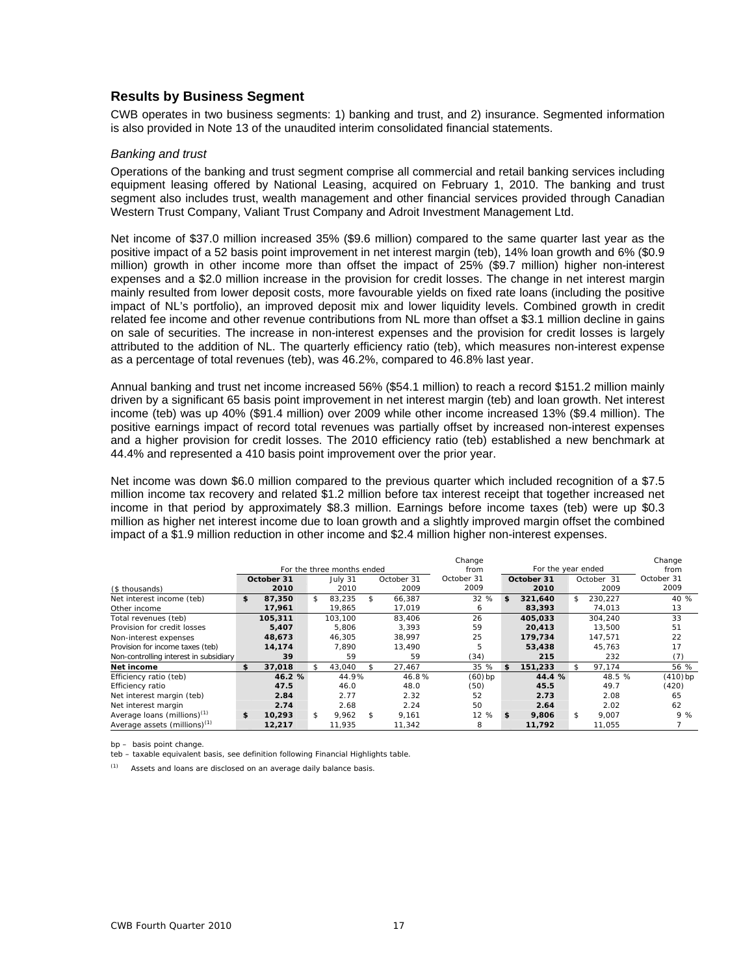## **Results by Business Segment**

CWB operates in two business segments: 1) banking and trust, and 2) insurance. Segmented information is also provided in Note 13 of the unaudited interim consolidated financial statements.

### *Banking and trust*

Operations of the banking and trust segment comprise all commercial and retail banking services including equipment leasing offered by National Leasing, acquired on February 1, 2010. The banking and trust segment also includes trust, wealth management and other financial services provided through Canadian Western Trust Company, Valiant Trust Company and Adroit Investment Management Ltd.

Net income of \$37.0 million increased 35% (\$9.6 million) compared to the same quarter last year as the positive impact of a 52 basis point improvement in net interest margin (teb), 14% loan growth and 6% (\$0.9 million) growth in other income more than offset the impact of 25% (\$9.7 million) higher non-interest expenses and a \$2.0 million increase in the provision for credit losses. The change in net interest margin mainly resulted from lower deposit costs, more favourable yields on fixed rate loans (including the positive impact of NL's portfolio), an improved deposit mix and lower liquidity levels. Combined growth in credit related fee income and other revenue contributions from NL more than offset a \$3.1 million decline in gains on sale of securities. The increase in non-interest expenses and the provision for credit losses is largely attributed to the addition of NL. The quarterly efficiency ratio (teb), which measures non-interest expense as a percentage of total revenues (teb), was 46.2%, compared to 46.8% last year.

Annual banking and trust net income increased 56% (\$54.1 million) to reach a record \$151.2 million mainly driven by a significant 65 basis point improvement in net interest margin (teb) and loan growth. Net interest income (teb) was up 40% (\$91.4 million) over 2009 while other income increased 13% (\$9.4 million). The positive earnings impact of record total revenues was partially offset by increased non-interest expenses and a higher provision for credit losses. The 2010 efficiency ratio (teb) established a new benchmark at 44.4% and represented a 410 basis point improvement over the prior year.

Net income was down \$6.0 million compared to the previous quarter which included recognition of a \$7.5 million income tax recovery and related \$1.2 million before tax interest receipt that together increased net income in that period by approximately \$8.3 million. Earnings before income taxes (teb) were up \$0.3 million as higher net interest income due to loan growth and a slightly improved margin offset the combined impact of a \$1.9 million reduction in other income and \$2.4 million higher non-interest expenses.

|                                          |              | For the three months ended |              | Change<br>from |    | For the year ended |               | Change<br>from |
|------------------------------------------|--------------|----------------------------|--------------|----------------|----|--------------------|---------------|----------------|
|                                          | October 31   | July 31                    | October 31   | October 31     |    | October 31         | October 31    | October 31     |
| (\$ thousands)                           | 2010         | 2010                       | 2009         | 2009           |    | 2010               | 2009          | 2009           |
| Net interest income (teb)                | \$<br>87,350 | \$<br>83.235               | \$<br>66.387 | 32 %           | \$ | 321.640            | \$<br>230.227 | 40 %           |
| Other income                             | 17,961       | 19,865                     | 17.019       | 6              |    | 83,393             | 74.013        | 13             |
| Total revenues (teb)                     | 105,311      | 103.100                    | 83.406       | 26             |    | 405.033            | 304.240       | 33             |
| Provision for credit losses              | 5,407        | 5.806                      | 3.393        | 59             |    | 20,413             | 13,500        | 51             |
| Non-interest expenses                    | 48,673       | 46.305                     | 38.997       | 25             |    | 179,734            | 147.571       | 22             |
| Provision for income taxes (teb)         | 14,174       | 7.890                      | 13.490       | 5              |    | 53,438             | 45.763        | 17             |
| Non-controlling interest in subsidiary   | 39           | 59                         | 59           | (34)           |    | 215                | 232           | (7)            |
| Net income                               | \$<br>37,018 | \$<br>43,040               | \$<br>27,467 | 35 %           | £. | 151,233            | \$<br>97,174  | 56 %           |
| Efficiency ratio (teb)                   | 46.2 %       | 44.9%                      | 46.8%        | $(60)$ bp      |    | 44.4 %             | 48.5 %        | $(410)$ bp     |
| Efficiency ratio                         | 47.5         | 46.0                       | 48.0         | (50)           |    | 45.5               | 49.7          | (420)          |
| Net interest margin (teb)                | 2.84         | 2.77                       | 2.32         | 52             |    | 2.73               | 2.08          | 65             |
| Net interest margin                      | 2.74         | 2.68                       | 2.24         | 50             |    | 2.64               | 2.02          | 62             |
| Average loans (millions) <sup>(1)</sup>  | \$<br>10.293 | \$<br>9.962                | \$<br>9.161  | 12 %           | \$ | 9,806              | \$<br>9.007   | 9%             |
| Average assets (millions) <sup>(1)</sup> | 12,217       | 11.935                     | 11.342       | 8              |    | 11.792             | 11.055        |                |

bp – basis point change.

teb – taxable equivalent basis, see definition following Financial Highlights table.

 $(1)$  Assets and loans are disclosed on an average daily balance basis.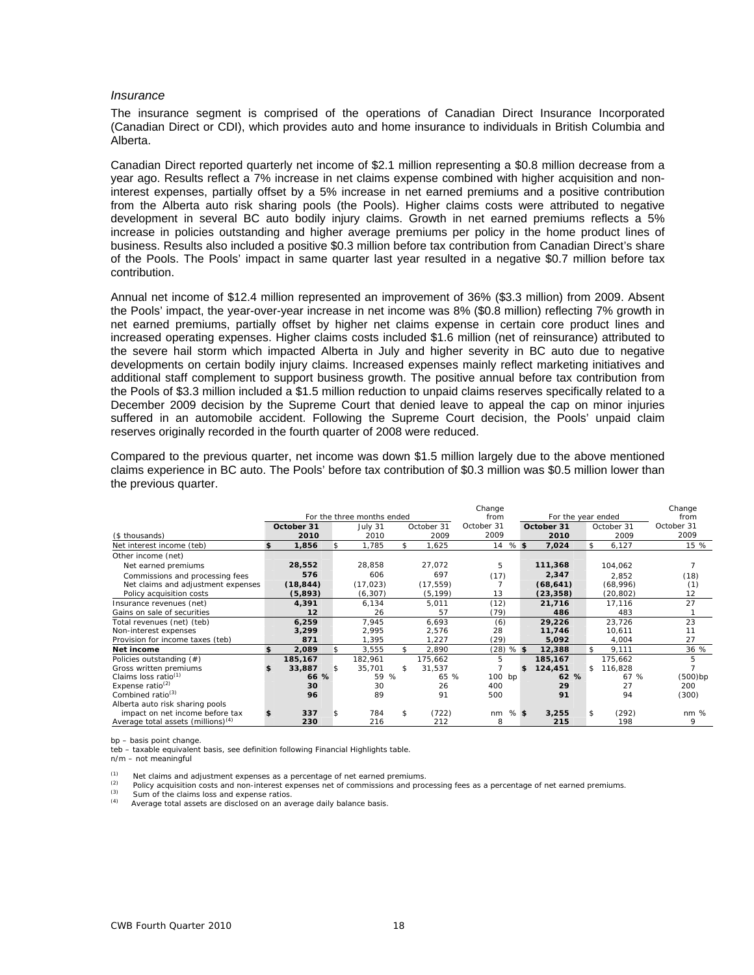### *Insurance*

The insurance segment is comprised of the operations of Canadian Direct Insurance Incorporated (Canadian Direct or CDI), which provides auto and home insurance to individuals in British Columbia and Alberta.

Canadian Direct reported quarterly net income of \$2.1 million representing a \$0.8 million decrease from a year ago. Results reflect a 7% increase in net claims expense combined with higher acquisition and noninterest expenses, partially offset by a 5% increase in net earned premiums and a positive contribution from the Alberta auto risk sharing pools (the Pools). Higher claims costs were attributed to negative development in several BC auto bodily injury claims. Growth in net earned premiums reflects a 5% increase in policies outstanding and higher average premiums per policy in the home product lines of business. Results also included a positive \$0.3 million before tax contribution from Canadian Direct's share of the Pools. The Pools' impact in same quarter last year resulted in a negative \$0.7 million before tax contribution.

Annual net income of \$12.4 million represented an improvement of 36% (\$3.3 million) from 2009. Absent the Pools' impact, the year-over-year increase in net income was 8% (\$0.8 million) reflecting 7% growth in net earned premiums, partially offset by higher net claims expense in certain core product lines and increased operating expenses. Higher claims costs included \$1.6 million (net of reinsurance) attributed to the severe hail storm which impacted Alberta in July and higher severity in BC auto due to negative developments on certain bodily injury claims. Increased expenses mainly reflect marketing initiatives and additional staff complement to support business growth. The positive annual before tax contribution from the Pools of \$3.3 million included a \$1.5 million reduction to unpaid claims reserves specifically related to a December 2009 decision by the Supreme Court that denied leave to appeal the cap on minor injuries suffered in an automobile accident. Following the Supreme Court decision, the Pools' unpaid claim reserves originally recorded in the fourth quarter of 2008 were reduced.

Compared to the previous quarter, net income was down \$1.5 million largely due to the above mentioned claims experience in BC auto. The Pools' before tax contribution of \$0.3 million was \$0.5 million lower than the previous quarter.

|                                                |             |     |                            |              | Change     |        |                    |               | Change     |
|------------------------------------------------|-------------|-----|----------------------------|--------------|------------|--------|--------------------|---------------|------------|
|                                                |             |     | For the three months ended |              | from       |        | For the year ended |               | from       |
|                                                | October 31  |     | July 31                    | October 31   | October 31 |        | October 31         | October 31    | October 31 |
| (\$ thousands)                                 | 2010        |     | 2010                       | 2009         | 2009       |        | 2010               | 2009          | 2009       |
| Net interest income (teb)                      | \$<br>1,856 | \$. | 1,785                      | \$<br>1,625  | 14         | $%$ \$ | 7,024              | \$<br>6,127   | 15 %       |
| Other income (net)                             |             |     |                            |              |            |        |                    |               |            |
| Net earned premiums                            | 28,552      |     | 28,858                     | 27,072       | 5          |        | 111,368            | 104,062       |            |
| Commissions and processing fees                | 576         |     | 606                        | 697          | (17)       |        | 2,347              | 2,852         | (18)       |
| Net claims and adjustment expenses             | (18, 844)   |     | (17, 023)                  | (17, 559)    |            |        | (68, 641)          | (68,996)      | (1)        |
| Policy acquisition costs                       | (5,893)     |     | (6, 307)                   | (5, 199)     | 13         |        | (23, 358)          | (20, 802)     | 12         |
| Insurance revenues (net)                       | 4,391       |     | 6,134                      | 5,011        | (12)       |        | 21,716             | 17,116        | 27         |
| Gains on sale of securities                    | 12          |     | 26                         | 57           | (79)       |        | 486                | 483           |            |
| Total revenues (net) (teb)                     | 6,259       |     | 7,945                      | 6,693        | (6)        |        | 29,226             | 23,726        | 23         |
| Non-interest expenses                          | 3,299       |     | 2,995                      | 2,576        | 28         |        | 11,746             | 10,611        | 11         |
| Provision for income taxes (teb)               | 871         |     | 1,395                      | 1,227        | (29)       |        | 5,092              | 4,004         | 27         |
| Net income                                     | \$<br>2,089 | \$  | 3,555                      | \$<br>2,890  | (28)       | $%$ \$ | 12,388             | \$<br>9,111   | 36 %       |
| Policies outstanding (#)                       | 185,167     |     | 182,961                    | 175,662      | 5          |        | 185,167            | 175,662       | 5          |
| Gross written premiums                         | 33,887      | \$  | 35,701                     | \$<br>31,537 |            |        | \$<br>124,451      | \$<br>116,828 |            |
| Claims loss ratio <sup>(1)</sup>               | 66 %        |     | 59<br>%                    | 65 %         | 100 bp     |        | 62<br>$\%$         | 67 %          | (500)bp    |
| Expense ratio $(2)$                            | 30          |     | 30                         | 26           | 400        |        | 29                 | 27            | 200        |
| Combined ratio <sup>(3)</sup>                  | 96          |     | 89                         | 91           | 500        |        | 91                 | 94            | (300)      |
| Alberta auto risk sharing pools                |             |     |                            |              |            |        |                    |               |            |
| impact on net income before tax                | 337         | \$  | 784                        | \$<br>(722)  | nm         | $%$ \$ | 3,255              | \$<br>(292)   | $nm$ %     |
| Average total assets (millions) <sup>(4)</sup> | 230         |     | 216                        | 212          | 8          |        | 215                | 198           | 9          |

bp – basis point change.

teb – taxable equivalent basis, see definition following Financial Highlights table.

n/m – not meaningful

(1) Net claims and adjustment expenses as a percentage of net earned premiums.<br>
Policy acquisition costs and non-interest expenses net of commissions and processing fees as a percentage of net earned premiums.<br>
(3) Sum of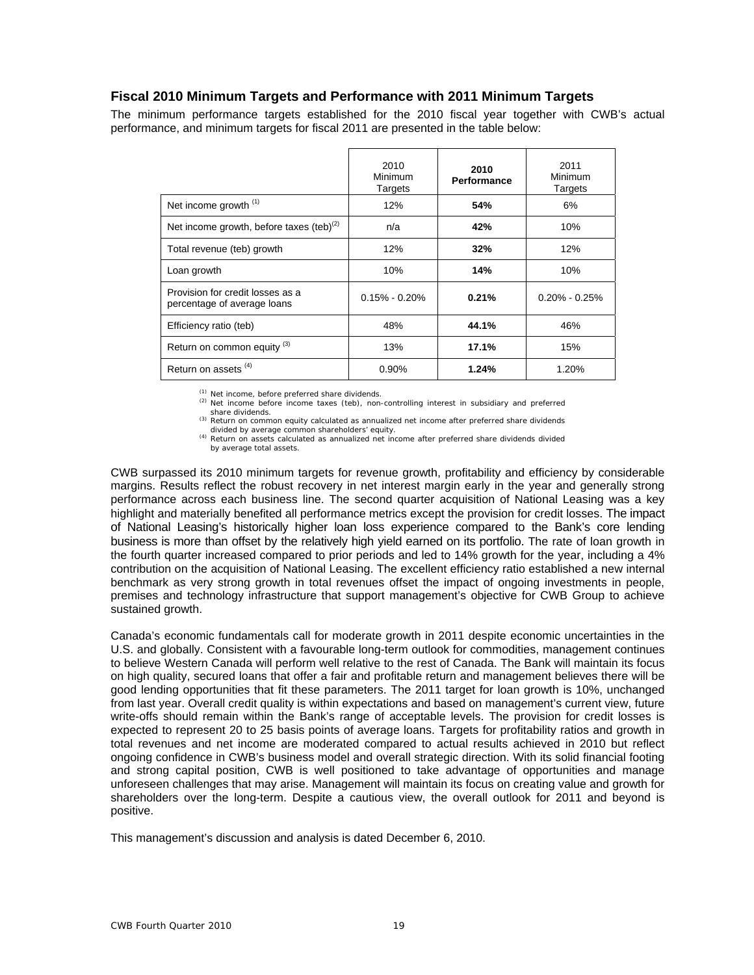# **Fiscal 2010 Minimum Targets and Performance with 2011 Minimum Targets**

The minimum performance targets established for the 2010 fiscal year together with CWB's actual performance, and minimum targets for fiscal 2011 are presented in the table below:

|                                                                 | 2010<br>Minimum<br>Targets | 2010<br>Performance | 2011<br>Minimum<br>Targets |
|-----------------------------------------------------------------|----------------------------|---------------------|----------------------------|
| Net income growth <sup>(1)</sup>                                | 12%                        | 54%                 | 6%                         |
| Net income growth, before taxes $(teb)^{(2)}$                   | n/a                        | 42%                 | 10%                        |
| Total revenue (teb) growth                                      | 12%                        | 32%                 | 12%                        |
| Loan growth                                                     | 10%                        | 14%                 | 10%                        |
| Provision for credit losses as a<br>percentage of average loans | $0.15\% - 0.20\%$          | 0.21%               | $0.20\% - 0.25\%$          |
| Efficiency ratio (teb)                                          | 48%                        | 44.1%               | 46%                        |
| Return on common equity <sup>(3)</sup>                          | 13%                        | 17.1%               | 15%                        |
| Return on assets <sup>(4)</sup>                                 | 0.90%                      | 1.24%               | 1.20%                      |

(1) Net income, before preferred share dividends.<br>
(2) Net income before income taxes (teb), non-controlling interest in subsidiary and preferred share dividends.

(3) Return on common equity calculated as annualized net income after preferred share dividends divided by average common shareholders' equity.<br><sup>(4)</sup> Return on assets calculated as annualized net income after preferred share dividends divided

by average total assets.

CWB surpassed its 2010 minimum targets for revenue growth, profitability and efficiency by considerable margins. Results reflect the robust recovery in net interest margin early in the year and generally strong performance across each business line. The second quarter acquisition of National Leasing was a key highlight and materially benefited all performance metrics except the provision for credit losses. The impact of National Leasing's historically higher loan loss experience compared to the Bank's core lending business is more than offset by the relatively high yield earned on its portfolio. The rate of loan growth in the fourth quarter increased compared to prior periods and led to 14% growth for the year, including a 4% contribution on the acquisition of National Leasing. The excellent efficiency ratio established a new internal benchmark as very strong growth in total revenues offset the impact of ongoing investments in people, premises and technology infrastructure that support management's objective for CWB Group to achieve sustained growth.

Canada's economic fundamentals call for moderate growth in 2011 despite economic uncertainties in the U.S. and globally. Consistent with a favourable long-term outlook for commodities, management continues to believe Western Canada will perform well relative to the rest of Canada. The Bank will maintain its focus on high quality, secured loans that offer a fair and profitable return and management believes there will be good lending opportunities that fit these parameters. The 2011 target for loan growth is 10%, unchanged from last year. Overall credit quality is within expectations and based on management's current view, future write-offs should remain within the Bank's range of acceptable levels. The provision for credit losses is expected to represent 20 to 25 basis points of average loans. Targets for profitability ratios and growth in total revenues and net income are moderated compared to actual results achieved in 2010 but reflect ongoing confidence in CWB's business model and overall strategic direction. With its solid financial footing and strong capital position, CWB is well positioned to take advantage of opportunities and manage unforeseen challenges that may arise. Management will maintain its focus on creating value and growth for shareholders over the long-term. Despite a cautious view, the overall outlook for 2011 and beyond is positive.

This management's discussion and analysis is dated December 6, 2010.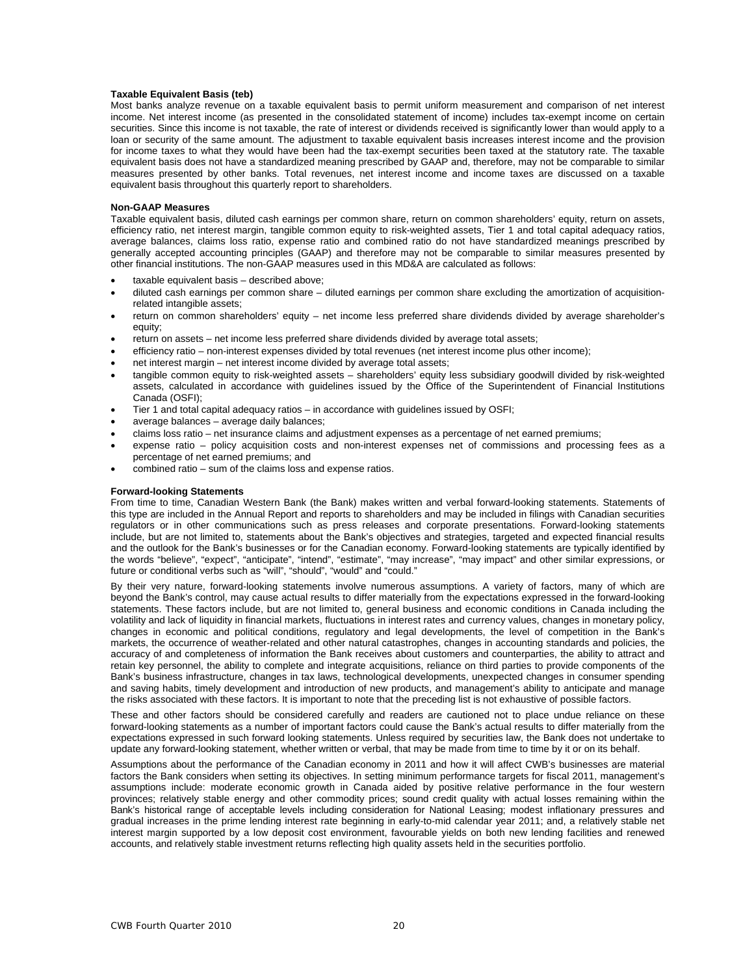### **Taxable Equivalent Basis (teb)**

Most banks analyze revenue on a taxable equivalent basis to permit uniform measurement and comparison of net interest income. Net interest income (as presented in the consolidated statement of income) includes tax-exempt income on certain securities. Since this income is not taxable, the rate of interest or dividends received is significantly lower than would apply to a loan or security of the same amount. The adjustment to taxable equivalent basis increases interest income and the provision for income taxes to what they would have been had the tax-exempt securities been taxed at the statutory rate. The taxable equivalent basis does not have a standardized meaning prescribed by GAAP and, therefore, may not be comparable to similar measures presented by other banks. Total revenues, net interest income and income taxes are discussed on a taxable equivalent basis throughout this quarterly report to shareholders.

### **Non-GAAP Measures**

Taxable equivalent basis, diluted cash earnings per common share, return on common shareholders' equity, return on assets, efficiency ratio, net interest margin, tangible common equity to risk-weighted assets, Tier 1 and total capital adequacy ratios, average balances, claims loss ratio, expense ratio and combined ratio do not have standardized meanings prescribed by generally accepted accounting principles (GAAP) and therefore may not be comparable to similar measures presented by other financial institutions. The non-GAAP measures used in this MD&A are calculated as follows:

- taxable equivalent basis described above;
- diluted cash earnings per common share diluted earnings per common share excluding the amortization of acquisitionrelated intangible assets;
- return on common shareholders' equity net income less preferred share dividends divided by average shareholder's equity;
- return on assets net income less preferred share dividends divided by average total assets;
- efficiency ratio non-interest expenses divided by total revenues (net interest income plus other income);
- net interest margin net interest income divided by average total assets;
- tangible common equity to risk-weighted assets shareholders' equity less subsidiary goodwill divided by risk-weighted assets, calculated in accordance with guidelines issued by the Office of the Superintendent of Financial Institutions Canada (OSFI);
- Tier 1 and total capital adequacy ratios in accordance with guidelines issued by OSFI;
- average balances average daily balances;
- claims loss ratio net insurance claims and adjustment expenses as a percentage of net earned premiums;
- expense ratio policy acquisition costs and non-interest expenses net of commissions and processing fees as a percentage of net earned premiums; and
- combined ratio sum of the claims loss and expense ratios.

### **Forward-looking Statements**

From time to time, Canadian Western Bank (the Bank) makes written and verbal forward-looking statements. Statements of this type are included in the Annual Report and reports to shareholders and may be included in filings with Canadian securities regulators or in other communications such as press releases and corporate presentations. Forward-looking statements include, but are not limited to, statements about the Bank's objectives and strategies, targeted and expected financial results and the outlook for the Bank's businesses or for the Canadian economy. Forward-looking statements are typically identified by the words "believe", "expect", "anticipate", "intend", "estimate", "may increase", "may impact" and other similar expressions, or future or conditional verbs such as "will", "should", "would" and "could."

By their very nature, forward-looking statements involve numerous assumptions. A variety of factors, many of which are beyond the Bank's control, may cause actual results to differ materially from the expectations expressed in the forward-looking statements. These factors include, but are not limited to, general business and economic conditions in Canada including the volatility and lack of liquidity in financial markets, fluctuations in interest rates and currency values, changes in monetary policy, changes in economic and political conditions, regulatory and legal developments, the level of competition in the Bank's markets, the occurrence of weather-related and other natural catastrophes, changes in accounting standards and policies, the accuracy of and completeness of information the Bank receives about customers and counterparties, the ability to attract and retain key personnel, the ability to complete and integrate acquisitions, reliance on third parties to provide components of the Bank's business infrastructure, changes in tax laws, technological developments, unexpected changes in consumer spending and saving habits, timely development and introduction of new products, and management's ability to anticipate and manage the risks associated with these factors. It is important to note that the preceding list is not exhaustive of possible factors.

These and other factors should be considered carefully and readers are cautioned not to place undue reliance on these forward-looking statements as a number of important factors could cause the Bank's actual results to differ materially from the expectations expressed in such forward looking statements. Unless required by securities law, the Bank does not undertake to update any forward-looking statement, whether written or verbal, that may be made from time to time by it or on its behalf.

Assumptions about the performance of the Canadian economy in 2011 and how it will affect CWB's businesses are material factors the Bank considers when setting its objectives. In setting minimum performance targets for fiscal 2011, management's assumptions include: moderate economic growth in Canada aided by positive relative performance in the four western provinces; relatively stable energy and other commodity prices; sound credit quality with actual losses remaining within the Bank's historical range of acceptable levels including consideration for National Leasing; modest inflationary pressures and gradual increases in the prime lending interest rate beginning in early-to-mid calendar year 2011; and, a relatively stable net interest margin supported by a low deposit cost environment, favourable yields on both new lending facilities and renewed accounts, and relatively stable investment returns reflecting high quality assets held in the securities portfolio.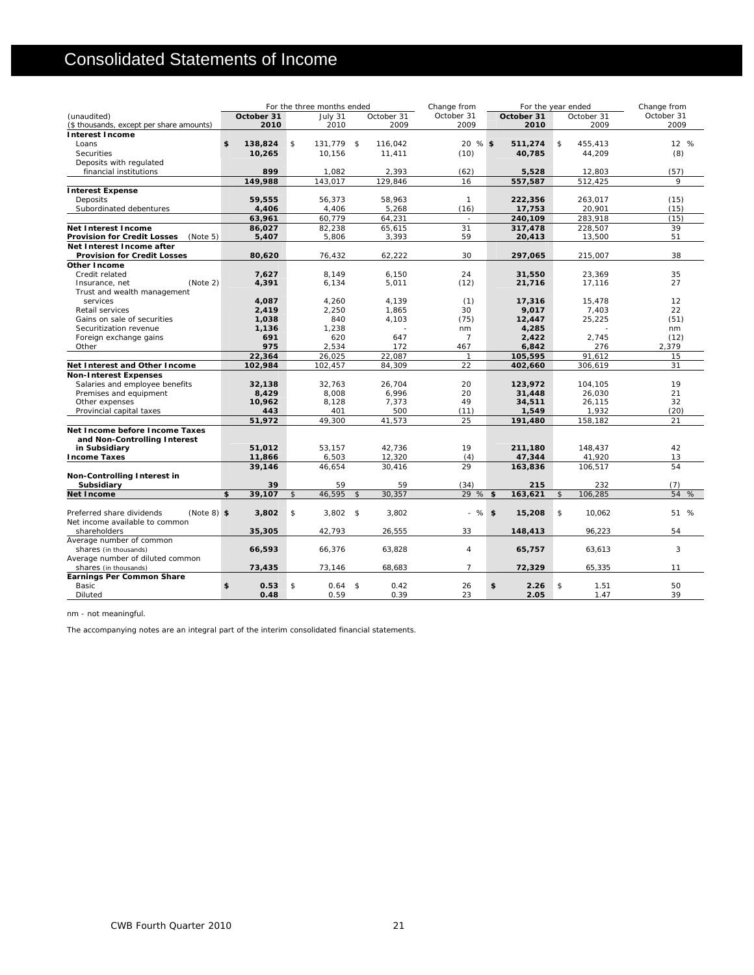# Consolidated Statements of Income

|                                                |               |                | For the three months ended |                |            | Change from    | For the year ended |                |            | Change from |
|------------------------------------------------|---------------|----------------|----------------------------|----------------|------------|----------------|--------------------|----------------|------------|-------------|
| (unaudited)                                    | October 31    |                | July 31                    |                | October 31 | October 31     | October 31         |                | October 31 | October 31  |
| (\$ thousands, except per share amounts)       | 2010          |                | 2010                       |                | 2009       | 2009           | 2010               |                | 2009       | 2009        |
| <b>Interest Income</b>                         |               |                |                            |                |            |                |                    |                |            |             |
| Loans                                          | \$<br>138,824 | \$             | 131.779 \$                 |                | 116,042    | 20 % \$        | 511,274            | \$             | 455,413    | 12 %        |
| Securities                                     | 10,265        |                | 10,156                     |                | 11,411     | (10)           | 40,785             |                | 44,209     | (8)         |
| Deposits with regulated                        |               |                |                            |                |            |                |                    |                |            |             |
| financial institutions                         | 899           |                | 1,082                      |                | 2,393      | (62)           | 5,528              |                | 12,803     | (57)        |
|                                                | 149,988       |                | 143,017                    |                | 129,846    | 16             | 557,587            |                | 512,425    | 9           |
| <b>Interest Expense</b>                        |               |                |                            |                |            |                |                    |                |            |             |
| Deposits                                       | 59,555        |                | 56,373                     |                | 58,963     | $\mathbf{1}$   | 222,356            |                | 263,017    | (15)        |
| Subordinated debentures                        | 4.406         |                | 4.406                      |                | 5,268      | (16)           | 17,753             |                | 20,901     | (15)        |
|                                                | 63,961        |                | 60,779                     |                | 64,231     | $\sim$         | 240,109            |                | 283,918    | (15)        |
| <b>Net Interest Income</b>                     | 86,027        |                | 82,238                     |                | 65,615     | 31             | 317,478            |                | 228,507    | 39          |
| <b>Provision for Credit Losses</b><br>(Note 5) | 5,407         |                | 5,806                      |                | 3,393      | 59             | 20,413             |                | 13,500     | 51          |
| Net Interest Income after                      |               |                |                            |                |            |                |                    |                |            |             |
| <b>Provision for Credit Losses</b>             | 80,620        |                | 76,432                     |                | 62,222     | 30             | 297,065            |                | 215,007    | 38          |
| Other Income                                   |               |                |                            |                |            |                |                    |                |            |             |
| Credit related                                 | 7,627         |                | 8,149                      |                | 6,150      | 24             | 31,550             |                | 23,369     | 35          |
| (Note 2)<br>Insurance, net                     | 4,391         |                | 6,134                      |                | 5,011      | (12)           | 21,716             |                | 17,116     | 27          |
| Trust and wealth management                    |               |                |                            |                |            |                |                    |                |            |             |
| services                                       | 4,087         |                | 4,260                      |                | 4,139      | (1)            | 17,316             |                | 15,478     | 12          |
| Retail services                                | 2,419         |                | 2,250                      |                | 1,865      | 30             | 9,017              |                | 7,403      | 22          |
| Gains on sale of securities                    | 1,038         |                | 840                        |                | 4,103      | (75)           | 12,447             |                | 25,225     | (51)        |
| Securitization revenue                         | 1.136         |                | 1,238                      |                |            | nm             | 4,285              |                |            | nm          |
| Foreign exchange gains                         | 691           |                | 620                        |                | 647        | $\overline{7}$ | 2,422              |                | 2,745      | (12)        |
| Other                                          | 975           |                | 2,534                      |                | 172        | 467            | 6,842              |                | 276        | 2,379       |
|                                                | 22,364        |                | 26,025                     |                | 22,087     | $\mathbf{1}$   | 105,595            |                | 91,612     | 15          |
| Net Interest and Other Income                  | 102.984       |                | 102.457                    |                | 84,309     | 22             | 402,660            |                | 306,619    | 31          |
| <b>Non-Interest Expenses</b>                   |               |                |                            |                |            |                |                    |                |            |             |
| Salaries and employee benefits                 | 32,138        |                | 32,763                     |                | 26,704     | 20             | 123,972            |                | 104,105    | 19          |
| Premises and equipment                         | 8,429         |                | 8,008                      |                | 6,996      | 20             | 31,448             |                | 26,030     | 21          |
| Other expenses                                 | 10,962        |                | 8,128                      |                | 7,373      | 49             | 34,511             |                | 26,115     | 32          |
| Provincial capital taxes                       | 443           |                | 401                        |                | 500        | (11)           | 1,549              |                | 1,932      | (20)        |
|                                                | 51,972        |                | 49,300                     |                | 41,573     | 25             | 191,480            |                | 158,182    | 21          |
| Net Income before Income Taxes                 |               |                |                            |                |            |                |                    |                |            |             |
| and Non-Controlling Interest                   |               |                |                            |                |            |                |                    |                |            |             |
| in Subsidiary                                  | 51,012        |                | 53.157                     |                | 42,736     | 19             | 211,180            |                | 148.437    | 42          |
| <b>Income Taxes</b>                            | 11,866        |                | 6,503                      |                | 12,320     | (4)            | 47,344             |                | 41,920     | 13          |
|                                                | 39,146        |                | 46,654                     |                | 30,416     | 29             | 163,836            |                | 106,517    | 54          |
| Non-Controlling Interest in                    |               |                |                            |                |            |                |                    |                |            |             |
| Subsidiary                                     | 39            |                | 59                         |                | 59         | (34)           | 215                |                | 232        | (7)         |
| Net Income                                     | \$<br>39,107  | \$             | 46,595                     | $\mathfrak{S}$ | 30,357     | 29 % \$        | 163,621            | $\mathfrak{S}$ | 106,285    | 54 %        |
|                                                |               |                |                            |                |            |                |                    |                |            |             |
| Preferred share dividends<br>$(Note 8)$ \$     | 3,802         | $\mathfrak{S}$ | $3,802$ \$                 |                | 3,802      | $-$ % \$       | 15,208             | \$             | 10,062     | 51 %        |
| Net income available to common                 |               |                |                            |                |            |                |                    |                |            |             |
| shareholders                                   | 35,305        |                | 42,793                     |                | 26,555     | 33             | 148,413            |                | 96,223     | 54          |
| Average number of common                       |               |                |                            |                |            |                |                    |                |            |             |
| shares (in thousands)                          | 66,593        |                | 66,376                     |                | 63,828     | $\overline{4}$ | 65,757             |                | 63,613     | 3           |
| Average number of diluted common               |               |                |                            |                |            |                |                    |                |            |             |
| shares (in thousands)                          | 73,435        |                | 73,146                     |                | 68,683     | $\overline{7}$ | 72,329             |                | 65,335     | 11          |
| Earnings Per Common Share<br>Basic             | \$<br>0.53    | $\mathfrak{S}$ | $0.64$ \$                  |                | 0.42       | 26             | \$<br>2.26         | \$             | 1.51       | 50          |
| Diluted                                        | 0.48          |                | 0.59                       |                | 0.39       | 23             | 2.05               |                | 1.47       | 39          |
|                                                |               |                |                            |                |            |                |                    |                |            |             |

nm - not meaningful.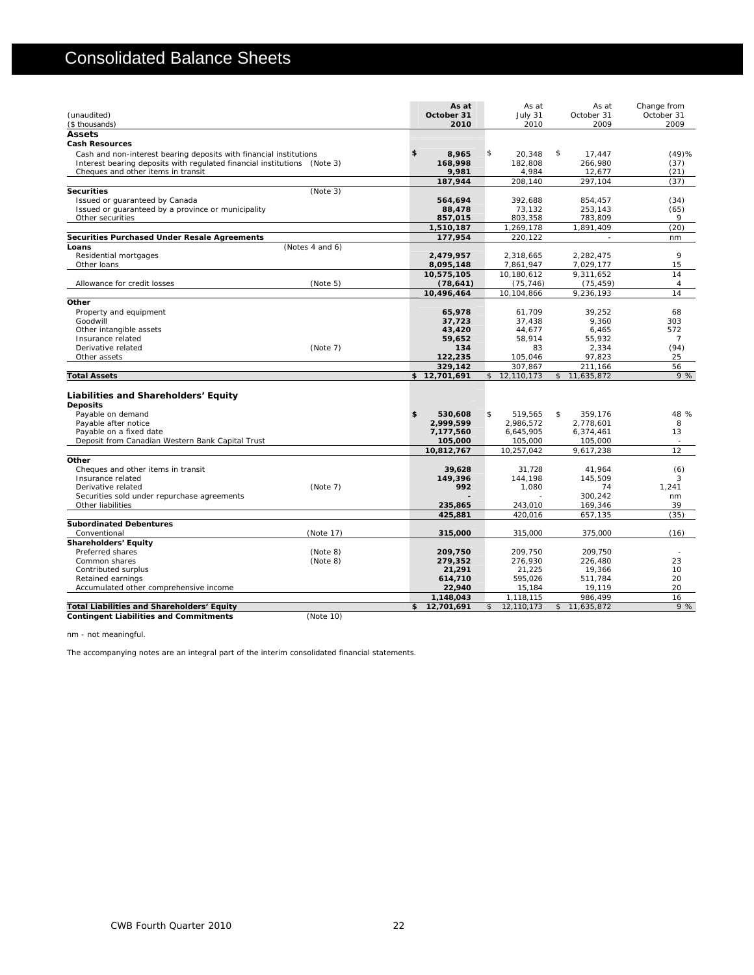# Consolidated Balance Sheets

| (unaudited)<br>(\$ thousands)                                            |                 | As at<br>October 31<br>2010 | As at<br>July 31<br>2010 | As at<br>October 31<br>2009 | Change from<br>October 31<br>2009 |
|--------------------------------------------------------------------------|-----------------|-----------------------------|--------------------------|-----------------------------|-----------------------------------|
| <b>Assets</b>                                                            |                 |                             |                          |                             |                                   |
| <b>Cash Resources</b>                                                    |                 |                             |                          |                             |                                   |
| Cash and non-interest bearing deposits with financial institutions       |                 | \$<br>8,965                 | \$<br>20,348             | \$<br>17,447                | (49)%                             |
| Interest bearing deposits with regulated financial institutions (Note 3) |                 | 168,998                     | 182,808                  | 266,980                     | (37)                              |
| Cheques and other items in transit                                       |                 | 9,981                       | 4,984                    | 12,677                      | (21)                              |
|                                                                          |                 | 187.944                     | 208,140                  | 297,104                     | (37)                              |
| <b>Securities</b>                                                        | (Note 3)        |                             |                          |                             |                                   |
| Issued or guaranteed by Canada                                           |                 | 564,694                     | 392.688                  | 854.457                     | (34)                              |
| Issued or guaranteed by a province or municipality                       |                 | 88,478                      | 73,132                   | 253,143                     | (65)                              |
| Other securities                                                         |                 | 857,015                     | 803,358                  | 783,809                     | 9                                 |
|                                                                          |                 | 1,510,187                   | 1,269,178                | 1,891,409                   | (20)                              |
| Securities Purchased Under Resale Agreements                             |                 | 177.954                     | 220,122                  | $\overline{\phantom{a}}$    | nm                                |
| Loans                                                                    | (Notes 4 and 6) |                             |                          |                             |                                   |
| Residential mortgages                                                    |                 | 2,479,957                   | 2.318.665                | 2,282,475                   | 9                                 |
| Other loans                                                              |                 | 8,095,148                   | 7,861,947                | 7,029,177                   | 15                                |
|                                                                          |                 | 10,575,105                  | 10,180,612               | 9,311,652                   | 14                                |
| Allowance for credit losses                                              | (Note 5)        | (78, 641)                   | (75, 746)                | (75, 459)                   | $\overline{4}$                    |
|                                                                          |                 | 10.496.464                  | 10.104.866               | 9,236,193                   | 14                                |
| Other                                                                    |                 |                             |                          |                             |                                   |
| Property and equipment                                                   |                 | 65,978                      | 61.709                   | 39.252                      | 68                                |
| Goodwill                                                                 |                 | 37,723                      | 37,438                   | 9,360                       | 303                               |
| Other intangible assets                                                  |                 | 43,420                      | 44,677                   | 6,465                       | 572                               |
| Insurance related                                                        |                 | 59,652                      | 58,914                   | 55,932                      | $\overline{7}$                    |
| Derivative related                                                       | (Note 7)        | 134                         | 83                       | 2,334                       | (94)                              |
| Other assets                                                             |                 | 122,235                     | 105,046                  | 97,823                      | 25                                |
|                                                                          |                 | 329,142                     | 307,867                  | 211,166                     | 56                                |
| <b>Total Assets</b>                                                      |                 | \$12,701,691                | \$12,110,173             | \$11,635,872                | 9%                                |
|                                                                          |                 |                             |                          |                             |                                   |
| Liabilities and Shareholders' Equity                                     |                 |                             |                          |                             |                                   |
| <b>Deposits</b>                                                          |                 |                             |                          |                             |                                   |
| Payable on demand                                                        |                 | \$<br>530,608               | \$<br>519,565            | \$<br>359,176               | 48 %                              |
| Payable after notice                                                     |                 | 2,999,599                   | 2,986,572                | 2,778,601                   | 8                                 |
| Payable on a fixed date                                                  |                 | 7,177,560                   | 6,645,905                | 6,374,461                   | 13                                |
| Deposit from Canadian Western Bank Capital Trust                         |                 | 105,000                     | 105,000                  | 105,000                     |                                   |
|                                                                          |                 | 10,812,767                  | 10,257,042               | 9,617,238                   | 12                                |
| Other                                                                    |                 |                             |                          |                             |                                   |
| Cheques and other items in transit                                       |                 | 39,628                      | 31,728                   | 41,964                      | (6)                               |
| Insurance related                                                        |                 | 149,396                     | 144,198                  | 145,509                     | 3                                 |
| Derivative related                                                       | (Note 7)        | 992                         | 1,080                    | 74                          | 1,241                             |
| Securities sold under repurchase agreements                              |                 |                             |                          | 300.242                     | nm                                |
| Other liabilities                                                        |                 | 235,865                     | 243,010                  | 169,346                     | 39                                |
|                                                                          |                 | 425,881                     | 420.016                  | 657,135                     | (35)                              |
| <b>Subordinated Debentures</b>                                           |                 |                             |                          |                             |                                   |
| Conventional                                                             | (Note 17)       | 315,000                     | 315,000                  | 375,000                     | (16)                              |
| <b>Shareholders' Equity</b>                                              |                 |                             |                          |                             |                                   |
| Preferred shares                                                         | (Note 8)        | 209,750                     | 209,750                  | 209,750                     | ×                                 |
| Common shares                                                            | (Note 8)        | 279,352                     | 276.930                  | 226.480                     | 23                                |
| Contributed surplus                                                      |                 | 21,291                      | 21,225                   | 19,366                      | 10                                |
| Retained earnings                                                        |                 | 614,710                     | 595,026                  | 511,784                     | 20                                |
| Accumulated other comprehensive income                                   |                 | 22,940                      | 15,184                   | 19,119                      | 20                                |
|                                                                          |                 | 1,148,043                   | 1,118,115                | 986,499                     | 16                                |
| Total Liabilities and Shareholders' Equity                               |                 | \$<br>12,701,691            | \$<br>12,110,173         | \$11,635,872                | 9%                                |

**CONTINGUART CONTINUES AND CONTINUES AND CONTINUES AND CONTINUES (Note 10)** (Note 10)

nm - not meaningful.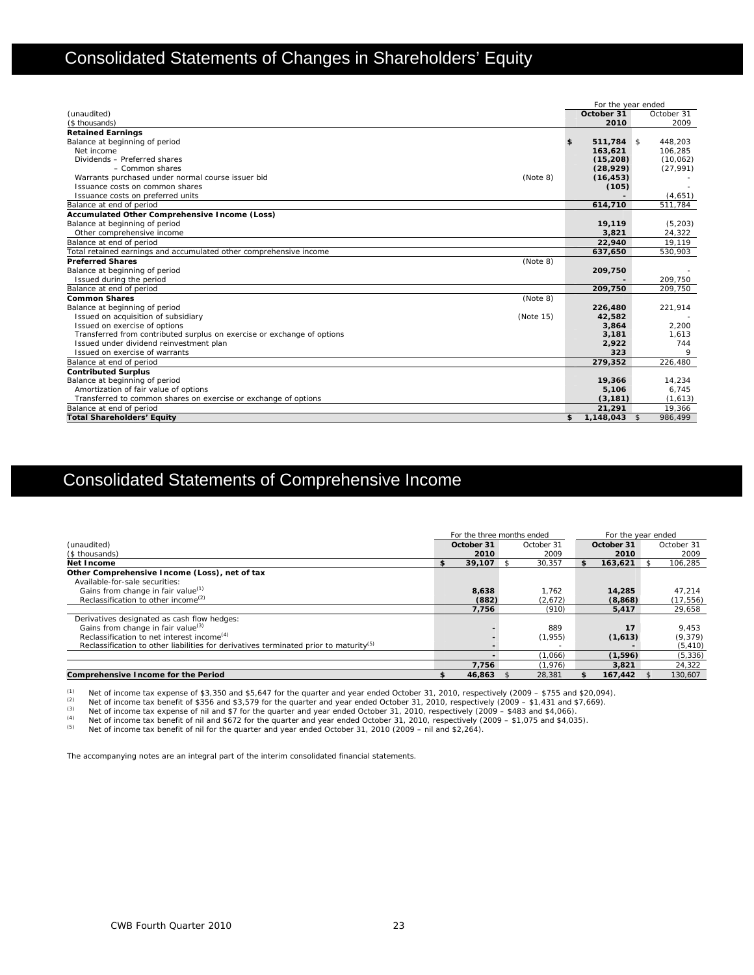# Consolidated Statements of Changes in Shareholders' Equity

|                                                                         | For the year ended   |            |
|-------------------------------------------------------------------------|----------------------|------------|
| (unaudited)                                                             | October 31           | October 31 |
| (\$ thousands)                                                          | 2010                 | 2009       |
| <b>Retained Earnings</b>                                                |                      |            |
| Balance at beginning of period                                          | 511.784 \$<br>\$     | 448.203    |
| Net income                                                              | 163,621              | 106,285    |
| Dividends - Preferred shares                                            | (15, 208)            | (10,062)   |
| $-$ Common shares                                                       | (28, 929)            | (27, 991)  |
| Warrants purchased under normal course issuer bid<br>(Note 8)           | (16, 453)            |            |
| Issuance costs on common shares                                         | (105)                |            |
| Issuance costs on preferred units                                       |                      | (4,651)    |
| Balance at end of period                                                | 614,710              | 511.784    |
| Accumulated Other Comprehensive Income (Loss)                           |                      |            |
| Balance at beginning of period                                          | 19,119               | (5, 203)   |
| Other comprehensive income                                              | 3,821                | 24,322     |
| Balance at end of period                                                | 22,940               | 19,119     |
| Total retained earnings and accumulated other comprehensive income      | 637,650              | 530,903    |
| <b>Preferred Shares</b><br>(Note 8)                                     |                      |            |
| Balance at beginning of period                                          | 209,750              |            |
| Issued during the period                                                |                      | 209.750    |
| Balance at end of period                                                | 209,750              | 209,750    |
| <b>Common Shares</b><br>(Note 8)                                        |                      |            |
| Balance at beginning of period                                          | 226,480              | 221,914    |
| Issued on acquisition of subsidiary<br>(Note 15)                        | 42,582               |            |
| Issued on exercise of options                                           | 3,864                | 2.200      |
| Transferred from contributed surplus on exercise or exchange of options | 3,181                | 1,613      |
| Issued under dividend reinvestment plan                                 | 2,922                | 744        |
| Issued on exercise of warrants                                          | 323                  |            |
| Balance at end of period                                                | 279,352              | 226,480    |
| <b>Contributed Surplus</b>                                              |                      |            |
| Balance at beginning of period                                          | 19,366               | 14.234     |
| Amortization of fair value of options                                   | 5,106                | 6.745      |
| Transferred to common shares on exercise or exchange of options         | (3, 181)             | (1,613)    |
| Balance at end of period                                                | 21,291               | 19.366     |
| <b>Total Shareholders' Equity</b>                                       | \$<br>$1,148,043$ \$ | 986,499    |

# Consolidated Statements of Comprehensive Income

|                                                                                                   | For the three months ended |            |               | For the year ended |            |  |
|---------------------------------------------------------------------------------------------------|----------------------------|------------|---------------|--------------------|------------|--|
| (unaudited)                                                                                       | October 31                 | October 31 | October 31    |                    | October 31 |  |
| (\$ thousands)                                                                                    | 2010                       | 2009       | 2010          |                    | 2009       |  |
| Net Income                                                                                        | \$<br>$39.107$ \$          | 30.357     | \$<br>163.621 |                    | 106,285    |  |
| Other Comprehensive Income (Loss), net of tax                                                     |                            |            |               |                    |            |  |
| Available-for-sale securities:                                                                    |                            |            |               |                    |            |  |
| Gains from change in fair value <sup>(1)</sup>                                                    | 8,638                      | 1.762      | 14,285        |                    | 47.214     |  |
| Reclassification to other income <sup>(2)</sup>                                                   | (882)                      | (2,672)    | (8,868)       |                    | (17, 556)  |  |
|                                                                                                   | 7,756                      | (910)      | 5,417         |                    | 29,658     |  |
| Derivatives designated as cash flow hedges:                                                       |                            |            |               |                    |            |  |
| Gains from change in fair value <sup>(3)</sup>                                                    |                            | 889        | 17            |                    | 9,453      |  |
| Reclassification to net interest income <sup>(4)</sup>                                            |                            | (1,955)    | (1,613)       |                    | (9,379)    |  |
| Reclassification to other liabilities for derivatives terminated prior to maturity <sup>(5)</sup> |                            |            |               |                    | (5, 410)   |  |
|                                                                                                   |                            | (1,066)    | (1,596)       |                    | (5, 336)   |  |
|                                                                                                   | 7.756                      | (1.976)    | 3,821         |                    | 24,322     |  |
| Comprehensive Income for the Period                                                               | 46.863                     | 28,381     | 167.442       |                    | 130.607    |  |

(1) Net of income tax expense of \$3,350 and \$5,647 for the quarter and year ended October 31, 2010, respectively (2009 – \$755 and \$20,094).<br>
Net of income tax benefit of \$356 and \$3,579 for the quarter and year ended Octo

Net of income tax benefit of nil and \$672 for the quarter and year ended October 31, 2010, respectively (2009 – \$1,075 and \$4,035).<br>Net of income tax benefit of nil and \$672 for the quarter and year ended October 31, 2010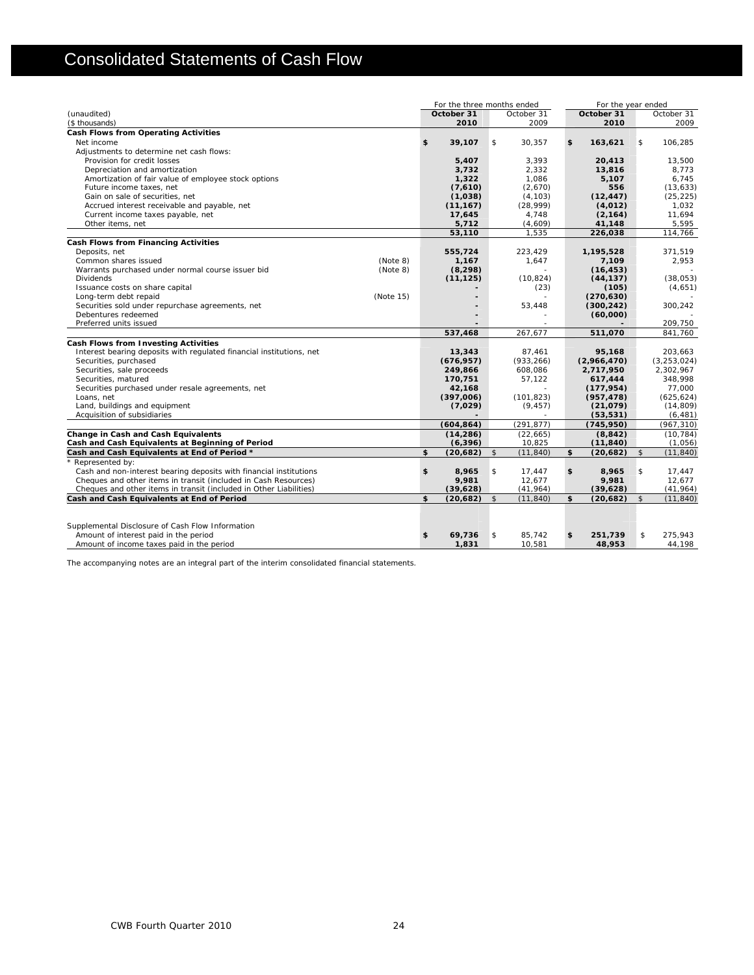# Consolidated Statements of Cash Flow

|                                                                      | For the three months ended |                |                   | For the year ended   |                |                            |  |
|----------------------------------------------------------------------|----------------------------|----------------|-------------------|----------------------|----------------|----------------------------|--|
| (unaudited)                                                          | October 31                 |                | October 31        | October 31           |                | October 31                 |  |
| (\$ thousands)                                                       | 2010                       |                | 2009              | 2010                 |                | 2009                       |  |
| Cash Flows from Operating Activities                                 |                            |                |                   |                      |                |                            |  |
| Net income                                                           | \$<br>39,107               | \$             | 30,357            | \$<br>163,621        | \$             | 106,285                    |  |
| Adjustments to determine net cash flows:                             |                            |                |                   |                      |                |                            |  |
| Provision for credit losses                                          | 5,407                      |                | 3,393             | 20,413               |                | 13,500                     |  |
| Depreciation and amortization                                        | 3,732                      |                | 2,332             | 13,816               |                | 8,773                      |  |
| Amortization of fair value of employee stock options                 | 1,322                      |                | 1,086             | 5,107                |                | 6,745                      |  |
| Future income taxes, net                                             | (7,610)                    |                | (2,670)           | 556                  |                | (13, 633)                  |  |
| Gain on sale of securities, net                                      | (1,038)                    |                | (4, 103)          | (12, 447)            |                | (25, 225)                  |  |
| Accrued interest receivable and payable, net                         | (11, 167)                  |                | (28,999)          | (4,012)              |                | 1,032                      |  |
| Current income taxes payable, net                                    | 17,645                     |                | 4,748             | (2, 164)             |                | 11.694                     |  |
| Other items, net                                                     | 5,712                      |                | (4,609)           | 41,148               |                | 5,595                      |  |
|                                                                      | 53,110                     |                | 1,535             | 226,038              |                | 114,766                    |  |
| <b>Cash Flows from Financing Activities</b>                          |                            |                |                   |                      |                |                            |  |
| Deposits, net                                                        | 555,724                    |                | 223.429           | 1,195,528            |                | 371,519                    |  |
| Common shares issued<br>(Note 8)                                     | 1,167                      |                | 1,647             | 7,109                |                | 2,953                      |  |
| Warrants purchased under normal course issuer bid<br>(Note 8)        | (8, 298)                   |                |                   | (16, 453)            |                |                            |  |
| <b>Dividends</b>                                                     | (11, 125)                  |                | (10, 824)         | (44, 137)            |                | (38, 053)                  |  |
| Issuance costs on share capital                                      |                            |                | (23)              | (105)                |                | (4,651)                    |  |
| Long-term debt repaid<br>(Note 15)                                   |                            |                |                   | (270, 630)           |                |                            |  |
| Securities sold under repurchase agreements, net                     |                            |                | 53,448            | (300, 242)           |                | 300,242                    |  |
| Debentures redeemed                                                  |                            |                |                   | (60,000)             |                |                            |  |
| Preferred units issued                                               |                            |                | 267,677           |                      |                | 209,750<br>841.760         |  |
|                                                                      | 537,468                    |                |                   | 511,070              |                |                            |  |
| <b>Cash Flows from Investing Activities</b>                          |                            |                |                   |                      |                |                            |  |
| Interest bearing deposits with regulated financial institutions, net | 13,343                     |                | 87.461            | 95.168               |                | 203.663                    |  |
| Securities, purchased<br>Securities, sale proceeds                   | (676, 957)                 |                | (933, 266)        | (2,966,470)          |                | (3, 253, 024)<br>2,302,967 |  |
| Securities, matured                                                  | 249,866<br>170,751         |                | 608,086<br>57,122 | 2,717,950<br>617,444 |                | 348,998                    |  |
| Securities purchased under resale agreements, net                    | 42,168                     |                |                   | (177, 954)           |                | 77,000                     |  |
| Loans, net                                                           | (397,006)                  |                | (101, 823)        | (957, 478)           |                | (625, 624)                 |  |
| Land, buildings and equipment                                        | (7,029)                    |                | (9, 457)          | (21, 079)            |                | (14, 809)                  |  |
| Acquisition of subsidiaries                                          |                            |                |                   | (53, 531)            |                | (6, 481)                   |  |
|                                                                      | (604, 864)                 |                | (291, 877)        | (745, 950)           |                | (967, 310)                 |  |
| Change in Cash and Cash Equivalents                                  | (14, 286)                  |                | (22, 665)         | (8, 842)             |                | (10, 784)                  |  |
| Cash and Cash Equivalents at Beginning of Period                     | (6, 396)                   |                | 10,825            | (11, 840)            |                | (1,056)                    |  |
| Cash and Cash Equivalents at End of Period *                         | \$<br>(20,682)             | $\mathfrak{S}$ | (11, 840)         | \$<br>(20,682)       | $\sqrt{2}$     | (11, 840)                  |  |
| * Represented by:                                                    |                            |                |                   |                      |                |                            |  |
| Cash and non-interest bearing deposits with financial institutions   | \$<br>8,965                | \$             | 17,447            | \$<br>8,965          | \$             | 17,447                     |  |
| Cheques and other items in transit (included in Cash Resources)      | 9,981                      |                | 12,677            | 9,981                |                | 12,677                     |  |
| Cheques and other items in transit (included in Other Liabilities)   | (39, 628)                  |                | (41, 964)         | (39, 628)            |                | (41, 964)                  |  |
| Cash and Cash Equivalents at End of Period                           | \$<br>(20, 682)            | $\mathfrak{S}$ | (11, 840)         | \$<br>(20, 682)      | $\mathfrak{S}$ | (11, 840)                  |  |
|                                                                      |                            |                |                   |                      |                |                            |  |
| Supplemental Disclosure of Cash Flow Information                     |                            |                |                   |                      |                |                            |  |
| Amount of interest paid in the period                                | \$<br>69,736               | \$             | 85,742            | \$<br>251,739        | \$             | 275.943                    |  |
| Amount of income taxes paid in the period                            | 1,831                      |                | 10,581            | 48,953               |                | 44,198                     |  |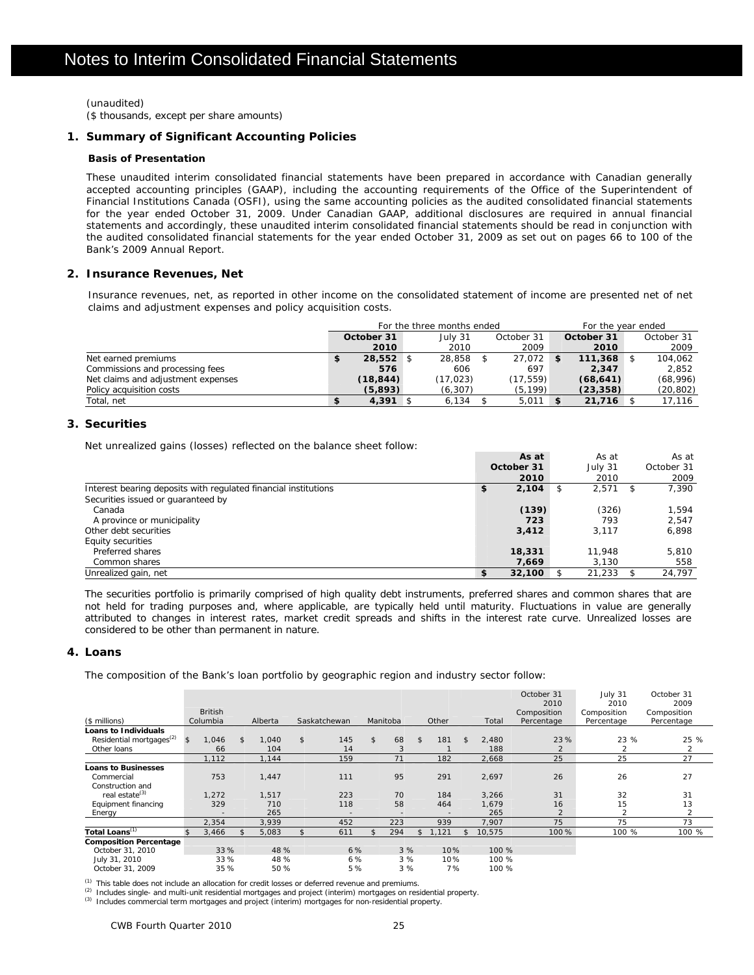(unaudited) (\$ thousands, except per share amounts)

### **1. Summary of Significant Accounting Policies**

### **Basis of Presentation**

These unaudited interim consolidated financial statements have been prepared in accordance with Canadian generally accepted accounting principles (GAAP), including the accounting requirements of the Office of the Superintendent of Financial Institutions Canada (OSFI), using the same accounting policies as the audited consolidated financial statements for the year ended October 31, 2009. Under Canadian GAAP, additional disclosures are required in annual financial statements and accordingly, these unaudited interim consolidated financial statements should be read in conjunction with the audited consolidated financial statements for the year ended October 31, 2009 as set out on pages 66 to 100 of the Bank's 2009 Annual Report.

### **2. Insurance Revenues, Net**

Insurance revenues, net, as reported in other income on the consolidated statement of income are presented net of net claims and adjustment expenses and policy acquisition costs.

|                                    |             | For the three months ended |            | For the year ended |            |            |
|------------------------------------|-------------|----------------------------|------------|--------------------|------------|------------|
|                                    | October 31  | July 31                    | October 31 |                    | October 31 | October 31 |
|                                    | 2010        | 2010                       | 2009       |                    | 2010       | 2009       |
| Net earned premiums                | $28.552$ \$ | 28,858                     | 27.072     | -\$                | 111,368    | 104.062    |
| Commissions and processing fees    | 576         | 606                        | 697        |                    | 2.347      | 2.852      |
| Net claims and adjustment expenses | (18,844)    | (17.023)                   | (17, 559)  |                    | (68, 641)  | (68,996)   |
| Policy acquisition costs           | (5.893)     | (6, 307)                   | (5, 199)   |                    | (23, 358)  | (20,802)   |
| Total, net                         | $4,391$ \$  | 6,134                      | 5.011      | \$                 | 21,716     | 17.116     |

### **3. Securities**

Net unrealized gains (losses) reflected on the balance sheet follow:

|                                                                 | As at        |   | As at   | As at      |
|-----------------------------------------------------------------|--------------|---|---------|------------|
|                                                                 | October 31   |   | July 31 | October 31 |
|                                                                 | 2010         |   | 2010    | 2009       |
| Interest bearing deposits with regulated financial institutions | 2,104<br>\$  | S | 2,571   | 7,390      |
| Securities issued or quaranteed by                              |              |   |         |            |
| Canada                                                          | (139)        |   | (326)   | 1.594      |
| A province or municipality                                      | 723          |   | 793     | 2.547      |
| Other debt securities                                           | 3,412        |   | 3.117   | 6,898      |
| Equity securities                                               |              |   |         |            |
| Preferred shares                                                | 18,331       |   | 11.948  | 5.810      |
| Common shares                                                   | 7,669        |   | 3,130   | 558        |
| Unrealized gain, net                                            | \$<br>32,100 |   | 21.233  | 24.797     |

The securities portfolio is primarily comprised of high quality debt instruments, preferred shares and common shares that are not held for trading purposes and, where applicable, are typically held until maturity. Fluctuations in value are generally attributed to changes in interest rates, market credit spreads and shifts in the interest rate curve. Unrealized losses are considered to be other than permanent in nature.

### **4. Loans**

The composition of the Bank's loan portfolio by geographic region and industry sector follow:

| (\$ millions)                        | <b>British</b><br>Columbia | Alberta     | Saskatchewan | Manitoba  |                | Other          |                | Total  | October 31<br>2010<br>Composition<br>Percentage | July 31<br>2010<br>Composition<br>Percentage | October 31<br>2009<br>Composition<br>Percentage |
|--------------------------------------|----------------------------|-------------|--------------|-----------|----------------|----------------|----------------|--------|-------------------------------------------------|----------------------------------------------|-------------------------------------------------|
| Loans to Individuals                 |                            |             |              |           |                |                |                |        |                                                 |                                              |                                                 |
| Residential mortgages <sup>(2)</sup> | \$<br>1,046                | \$<br>1.040 | \$<br>145    | \$<br>68  | $\mathfrak{L}$ | 181            | $\mathfrak{S}$ | 2,480  | 23 %                                            | 23 %                                         | 25 %                                            |
| Other loans                          | 66                         | 104         | 14           |           |                |                |                | 188    |                                                 | $\overline{2}$                               | 2                                               |
|                                      | 1,112                      | 1,144       | 159          | 71        |                | 182            |                | 2,668  | 25                                              | 25                                           | 27                                              |
| <b>Loans to Businesses</b>           |                            |             |              |           |                |                |                |        |                                                 |                                              |                                                 |
| Commercial                           | 753                        | 1,447       | 111          | 95        |                | 291            |                | 2,697  | 26                                              | 26                                           | 27                                              |
| Construction and                     |                            |             |              |           |                |                |                |        |                                                 |                                              |                                                 |
| real estate <sup>(3)</sup>           | 1,272                      | 1,517       | 223          | 70        |                | 184            |                | 3,266  | 31                                              | 32                                           | 31                                              |
| Equipment financing                  | 329                        | 710         | 118          | 58        |                | 464            |                | 1,679  | 16                                              | 15                                           | 13                                              |
| Energy                               |                            | 265         |              |           |                | $\overline{a}$ |                | 265    | $\mathcal{P}$                                   | 2                                            | 2                                               |
|                                      | 2,354                      | 3,939       | 452          | 223       |                | 939            |                | 7,907  | 75                                              | 75                                           | 73                                              |
| Total Loans <sup>(1)</sup>           | 3,466                      | 5,083       | 611          | \$<br>294 | \$             | 1.121          | $\mathbb{S}$   | 10,575 | 100 %                                           | 100 %                                        | 100 %                                           |
| <b>Composition Percentage</b>        |                            |             |              |           |                |                |                |        |                                                 |                                              |                                                 |
| October 31, 2010                     | 33 %                       | 48 %        | 6%           | 3%        |                | 10%            |                | 100 %  |                                                 |                                              |                                                 |
| July 31, 2010                        | 33 %                       | 48 %        | 6%           | 3%        |                | 10%            |                | 100 %  |                                                 |                                              |                                                 |
| October 31, 2009                     | 35 %                       | 50%         | 5%           | 3%        |                | 7%             |                | 100 %  |                                                 |                                              |                                                 |

<sup>(1)</sup> This table does not include an allocation for credit losses or deferred revenue and premiums.<br><sup>(2)</sup> Includes single- and multi-unit residential mortgages and project (interim) mortgages on residential property.<br><sup>(3)</sup>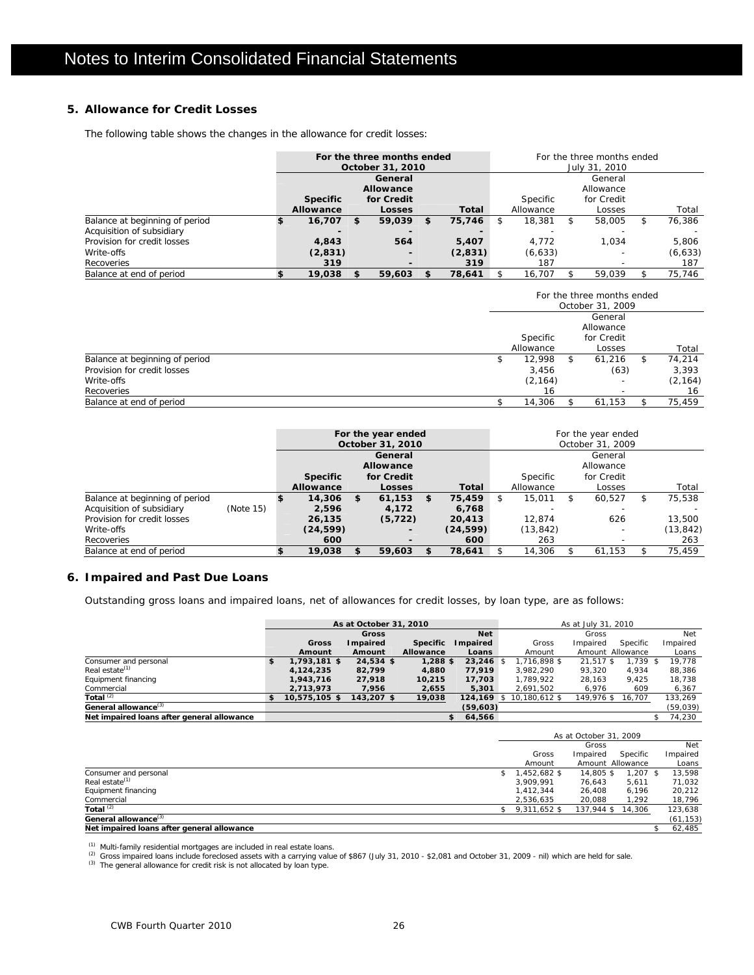### **5. Allowance for Credit Losses**

The following table shows the changes in the allowance for credit losses:

|                                |                 |   | For the three months ended<br>October 31, 2010 |    |         | For the three months ended<br>July 31, 2010 |           |     |                         |   |          |  |  |
|--------------------------------|-----------------|---|------------------------------------------------|----|---------|---------------------------------------------|-----------|-----|-------------------------|---|----------|--|--|
|                                |                 |   | General                                        |    |         |                                             |           |     | General                 |   |          |  |  |
|                                | <b>Specific</b> |   | <b>Allowance</b><br>for Credit                 |    |         |                                             | Specific  |     | Allowance<br>for Credit |   |          |  |  |
|                                | Allowance       |   | Losses                                         |    | Total   |                                             | Allowance |     | Losses                  |   | Total    |  |  |
| Balance at beginning of period | 16.707          | S | 59,039                                         | £. | 75,746  | S                                           | 18,381    | -SS | 58,005                  | S | 76.386   |  |  |
| Acquisition of subsidiary      |                 |   |                                                |    |         |                                             |           |     |                         |   |          |  |  |
| Provision for credit losses    | 4,843           |   | 564                                            |    | 5,407   |                                             | 4.772     |     | 1.034                   |   | 5.806    |  |  |
| Write-offs                     | (2,831)         |   | -                                              |    | (2,831) |                                             | (6, 633)  |     |                         |   | (6, 633) |  |  |
| Recoveries                     | 319             |   | $\overline{\phantom{0}}$                       |    | 319     |                                             | 187       |     |                         |   | 187      |  |  |
| Balance at end of period       | 19,038          |   | 59,603                                         | £. | 78.641  |                                             | 16.707    |     | 59.039                  |   | 75.746   |  |  |

|                                |   |           |    | For the three months ended<br>October 31, 2009 |   |          |
|--------------------------------|---|-----------|----|------------------------------------------------|---|----------|
|                                |   | Specific  |    | General<br>Allowance<br>for Credit             |   |          |
|                                |   | Allowance |    | Losses                                         |   | Total    |
| Balance at beginning of period | ъ | 12.998    | -S | 61,216                                         | S | 74.214   |
| Provision for credit losses    |   | 3,456     |    | (63)                                           |   | 3,393    |
| Write-offs                     |   | (2, 164)  |    |                                                |   | (2, 164) |
| Recoveries                     |   | 16        |    |                                                |   | 16       |
| Balance at end of period       |   | 14,306    |    | 61.153                                         |   | 75.459   |

|                                |           |                 |   | For the year ended<br>October 31, 2010 |              |                 |           |            | For the year ended<br>October 31, 2009 |    |           |
|--------------------------------|-----------|-----------------|---|----------------------------------------|--------------|-----------------|-----------|------------|----------------------------------------|----|-----------|
|                                |           |                 |   | General                                |              |                 |           |            | General                                |    |           |
|                                |           |                 |   | Allowance                              |              |                 |           |            | Allowance                              |    |           |
|                                |           | <b>Specific</b> |   | for Credit                             |              | <b>Specific</b> |           | for Credit |                                        |    |           |
|                                |           | Allowance       |   | Losses                                 | <b>Total</b> |                 | Allowance |            | Losses                                 |    | Total     |
| Balance at beginning of period |           | 14,306          | S | 61,153                                 | \$<br>75,459 | S.              | 15,011    | S.         | 60,527                                 | S. | 75,538    |
| Acquisition of subsidiary      | (Note 15) | 2.596           |   | 4,172                                  | 6,768        |                 |           |            |                                        |    |           |
| Provision for credit losses    |           | 26,135          |   | (5, 722)                               | 20,413       |                 | 12.874    |            | 626                                    |    | 13,500    |
| Write-offs                     |           | (24, 599)       |   | $\overline{\phantom{0}}$               | (24, 599)    |                 | (13, 842) |            |                                        |    | (13, 842) |
| Recoveries                     |           | 600             |   | $\overline{\phantom{0}}$               | 600          |                 | 263       |            |                                        |    | 263       |
| Balance at end of period       |           | 19,038          |   | 59,603                                 | 78,641       |                 | 14,306    |            | 61.153                                 |    | 75,459    |

### **6. Impaired and Past Due Loans**

Outstanding gross loans and impaired loans, net of allowances for credit losses, by loan type, are as follows:

|                                            |                      | As at October 31, 2010 |                 |            |                          | As at July 31, 2010 |            |           |
|--------------------------------------------|----------------------|------------------------|-----------------|------------|--------------------------|---------------------|------------|-----------|
|                                            |                      | <b>Gross</b>           |                 | <b>Net</b> |                          | Gross               |            | Net       |
|                                            | Gross                | Impaired               | <b>Specific</b> | Impaired   | Gross                    | Impaired            | Specific   | Impaired  |
|                                            | Amount               | Amount                 | Allowance       | Loans      | Amount                   | Amount Allowance    |            | Loans     |
| Consumer and personal                      | \$<br>$1.793.181$ \$ | $24.534$ \$            | $1.288$ \$      | 23.246 \$  | 1,716,898 \$             | 21.517 \$           | $1.739$ \$ | 19.778    |
| Real estate <sup>(1)</sup>                 | 4.124.235            | 82.799                 | 4.880           | 77.919     | 3.982.290                | 93.320              | 4.934      | 88.386    |
| Equipment financing                        | 1,943,716            | 27.918                 | 10.215          | 17,703     | 1.789.922                | 28,163              | 9.425      | 18,738    |
| Commercial                                 | 2,713,973            | 7,956                  | 2,655           | 5,301      | 2,691,502                | 6.976               | 609        | 6,367     |
| Total $(2)$                                | \$<br>10,575,105 \$  | 143,207 \$             | 19,038          |            | 124,169 \$ 10,180,612 \$ | 149.976 \$ 16.707   |            | 133,269   |
| General allowance <sup>(3)</sup>           |                      |                        |                 | (59,603)   |                          |                     |            | (59, 039) |
| Net impaired loans after general allowance |                      |                        |                 | 64.566     |                          |                     |            | 74.230    |

|                                            |                 | As at October 31, 2009 |            |           |
|--------------------------------------------|-----------------|------------------------|------------|-----------|
|                                            |                 | Gross                  |            | Net       |
|                                            | Gross           | Impaired               | Specific   | Impaired  |
|                                            | Amount          | Amount Allowance       |            | Loans     |
| Consumer and personal                      | $$1.452.682$ \$ | 14.805 \$              | $1.207$ \$ | 13,598    |
| Real estate <sup>(1)</sup>                 | 3.909.991       | 76.643                 | 5.611      | 71,032    |
| Equipment financing                        | 1.412.344       | 26.408                 | 6.196      | 20,212    |
| Commercial                                 | 2.536.635       | 20,088                 | 1.292      | 18,796    |
| Total $(2)$                                | $$9,311,652$ \$ | 137,944 \$ 14,306      |            | 123,638   |
| General allowance <sup>(3)</sup>           |                 |                        |            | (61, 153) |
| Net impaired loans after general allowance |                 |                        |            | 62,485    |

<sup>(1)</sup> Multi-family residential mortgages are included in real estate loans.<br><sup>(2)</sup> Gross impaired loans include foreclosed assets with a carrying value of \$867 (July 31, 2010 - \$2,081 and October 31, 2009 - nil) which are h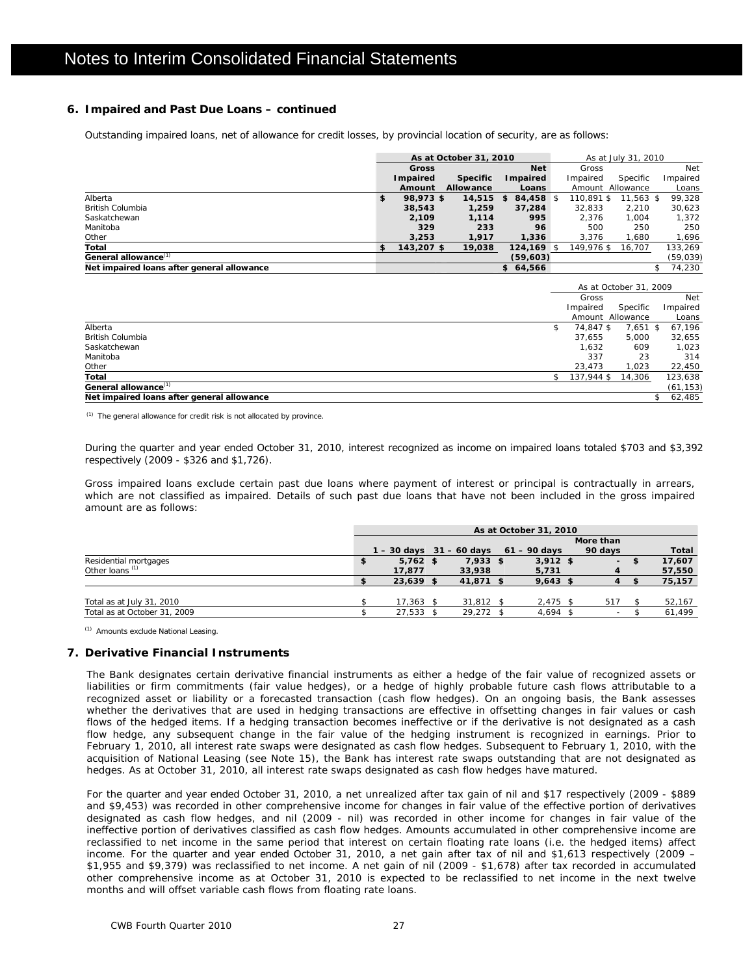### **6. Impaired and Past Due Loans – continued**

Outstanding impaired loans, net of allowance for credit losses, by provincial location of security, are as follows:

|                                            | As at October 31, 2010 |                  |                 |    |                 |  | As at July 31, 2010 |                  |  |          |  |
|--------------------------------------------|------------------------|------------------|-----------------|----|-----------------|--|---------------------|------------------|--|----------|--|
|                                            |                        | <b>Gross</b>     |                 |    | <b>Net</b>      |  | Gross               |                  |  | Net      |  |
|                                            |                        | <b>I</b> mpaired | <b>Specific</b> |    | <b>Impaired</b> |  | Impaired            | Specific         |  | Impaired |  |
|                                            |                        | Amount           | Allowance       |    | Loans           |  |                     | Amount Allowance |  | Loans    |  |
| Alberta                                    | \$                     | 98,973 \$        | 14,515          | s. | 84,458 \$       |  | 110.891 \$          | $11.563$ \$      |  | 99.328   |  |
| <b>British Columbia</b>                    |                        | 38,543           | 1,259           |    | 37,284          |  | 32.833              | 2.210            |  | 30,623   |  |
| Saskatchewan                               |                        | 2,109            | 1.114           |    | 995             |  | 2.376               | 1.004            |  | 1,372    |  |
| Manitoba                                   |                        | 329              | 233             |    | 96              |  | 500                 | 250              |  | 250      |  |
| Other                                      |                        | 3,253            | 1.917           |    | 1,336           |  | 3.376               | 1.680            |  | 1,696    |  |
| Total                                      | \$                     | 143,207 \$       | 19,038          |    | $124.169$ \$    |  | 149.976 \$          | 16,707           |  | 133.269  |  |
| General allowance <sup>(1)</sup>           |                        |                  |                 |    | (59, 603)       |  |                     |                  |  | (59,039) |  |
| Net impaired loans after general allowance |                        |                  |                 |    | \$64,566        |  |                     |                  |  | 74.230   |  |

|                                            |            | As at October 31, 2009 |           |
|--------------------------------------------|------------|------------------------|-----------|
|                                            | Gross      |                        | Net       |
|                                            | Impaired   | Specific               | Impaired  |
|                                            |            | Amount Allowance       | Loans     |
| Alberta                                    | 74.847 \$  | 7,651 \$               | 67,196    |
| <b>British Columbia</b>                    | 37.655     | 5.000                  | 32,655    |
| Saskatchewan                               | 1.632      | 609                    | 1,023     |
| Manitoba                                   | 337        | 23                     | 314       |
| Other                                      | 23,473     | 1.023                  | 22,450    |
| Total                                      | 137,944 \$ | 14,306                 | 123,638   |
| General allowance <sup>(1)</sup>           |            |                        | (61, 153) |
| Net impaired loans after general allowance |            |                        | 62,485    |

(1) The general allowance for credit risk is not allocated by province.

During the quarter and year ended October 31, 2010, interest recognized as income on impaired loans totaled \$703 and \$3,392 respectively (2009 - \$326 and \$1,726).

Gross impaired loans exclude certain past due loans where payment of interest or principal is contractually in arrears, which are not classified as impaired. Details of such past due loans that have not been included in the gross impaired amount are as follows:

|                              | As at October 31, 2010    |  |             |                |  |         |  |        |  |
|------------------------------|---------------------------|--|-------------|----------------|--|---------|--|--------|--|
|                              | More than                 |  |             |                |  |         |  |        |  |
|                              | $-30$ days $31 - 60$ days |  |             | $61 - 90$ davs |  | 90 days |  | Total  |  |
| Residential mortgages        | \$<br>$5.762$ \$          |  | $7.933$ \$  | $3.912$ \$     |  | $\sim$  |  | 17.607 |  |
| Other loans <sup>(1)</sup>   | 17,877                    |  | 33,938      | 5,731          |  |         |  | 57,550 |  |
|                              | $23,639$ \$               |  | 41,871 \$   | $9,643$ \$     |  |         |  | 75,157 |  |
|                              |                           |  |             |                |  |         |  |        |  |
| Total as at July 31, 2010    | $17.363$ \$               |  | $31.812$ \$ | $2,475$ \$     |  | 517     |  | 52,167 |  |
| Total as at October 31, 2009 | 27,533 \$                 |  | 29,272 \$   | 4,694 \$       |  | $\sim$  |  | 61.499 |  |

(1) Amounts exclude National Leasing.

### **7. Derivative Financial Instruments**

The Bank designates certain derivative financial instruments as either a hedge of the fair value of recognized assets or liabilities or firm commitments (fair value hedges), or a hedge of highly probable future cash flows attributable to a recognized asset or liability or a forecasted transaction (cash flow hedges). On an ongoing basis, the Bank assesses whether the derivatives that are used in hedging transactions are effective in offsetting changes in fair values or cash flows of the hedged items. If a hedging transaction becomes ineffective or if the derivative is not designated as a cash flow hedge, any subsequent change in the fair value of the hedging instrument is recognized in earnings. Prior to February 1, 2010, all interest rate swaps were designated as cash flow hedges. Subsequent to February 1, 2010, with the acquisition of National Leasing (see Note 15), the Bank has interest rate swaps outstanding that are not designated as hedges. As at October 31, 2010, all interest rate swaps designated as cash flow hedges have matured.

For the quarter and year ended October 31, 2010, a net unrealized after tax gain of nil and \$17 respectively (2009 - \$889 and \$9,453) was recorded in other comprehensive income for changes in fair value of the effective portion of derivatives designated as cash flow hedges, and nil (2009 - nil) was recorded in other income for changes in fair value of the ineffective portion of derivatives classified as cash flow hedges. Amounts accumulated in other comprehensive income are reclassified to net income in the same period that interest on certain floating rate loans (i.e. the hedged items) affect income. For the quarter and year ended October 31, 2010, a net gain after tax of nil and \$1,613 respectively (2009 – \$1,955 and \$9,379) was reclassified to net income. A net gain of nil (2009 - \$1,678) after tax recorded in accumulated other comprehensive income as at October 31, 2010 is expected to be reclassified to net income in the next twelve months and will offset variable cash flows from floating rate loans.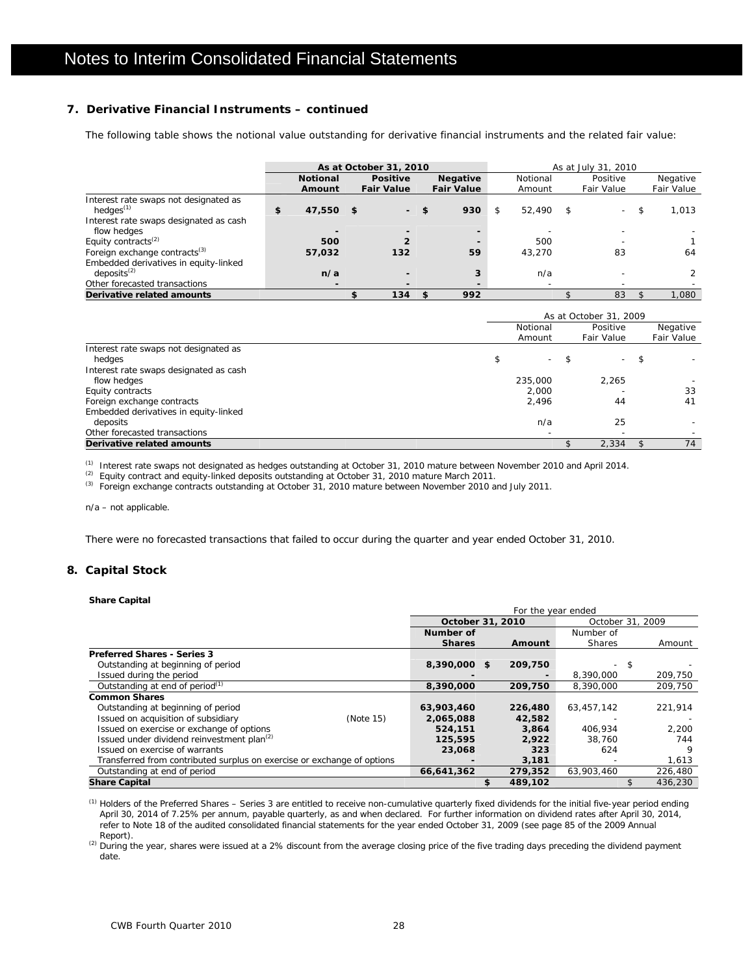### **7. Derivative Financial Instruments – continued**

The following table shows the notional value outstanding for derivative financial instruments and the related fair value:

|                                           | As at October 31, 2010 |      |                          |    |                   |    | As at July 31, 2010      |      |            |    |            |  |  |
|-------------------------------------------|------------------------|------|--------------------------|----|-------------------|----|--------------------------|------|------------|----|------------|--|--|
|                                           | <b>Notional</b>        |      | <b>Positive</b>          |    | <b>Negative</b>   |    | Notional                 |      | Positive   |    | Negative   |  |  |
|                                           | Amount                 |      | <b>Fair Value</b>        |    | <b>Fair Value</b> |    | Amount                   |      | Fair Value |    | Fair Value |  |  |
| Interest rate swaps not designated as     |                        |      |                          |    |                   |    |                          |      |            |    |            |  |  |
| hedges $(1)$                              | \$<br>47,550           | - \$ | н.                       | \$ | 930               | \$ | 52,490                   | - \$ | $\sim$     | \$ | 1.013      |  |  |
| Interest rate swaps designated as cash    |                        |      |                          |    |                   |    |                          |      |            |    |            |  |  |
| flow hedges                               |                        |      |                          |    |                   |    |                          |      |            |    |            |  |  |
| Equity contracts <sup>(2)</sup>           | 500                    |      |                          |    |                   |    | 500                      |      |            |    |            |  |  |
| Foreign exchange contracts <sup>(3)</sup> | 57,032                 |      | 132                      |    | 59                |    | 43.270                   |      | 83         |    | 64         |  |  |
| Embedded derivatives in equity-linked     |                        |      |                          |    |                   |    |                          |      |            |    |            |  |  |
| deposits <sup>(2)</sup>                   | n/a                    |      | $\overline{\phantom{0}}$ |    |                   |    | n/a                      |      |            |    |            |  |  |
| Other forecasted transactions             |                        |      |                          |    |                   |    | $\overline{\phantom{a}}$ |      |            |    |            |  |  |
| Derivative related amounts                |                        |      | 134                      | S  | 992               |    |                          |      | 83         |    | 1.080      |  |  |

|                                        | As at October 31, 2009   |     |            |     |            |  |  |  |
|----------------------------------------|--------------------------|-----|------------|-----|------------|--|--|--|
|                                        | Notional                 |     | Positive   |     | Negative   |  |  |  |
|                                        | Amount                   |     | Fair Value |     | Fair Value |  |  |  |
| Interest rate swaps not designated as  |                          |     |            |     |            |  |  |  |
| hedges                                 | \$<br>$\sim$             | -\$ | $\sim$     | -\$ |            |  |  |  |
| Interest rate swaps designated as cash |                          |     |            |     |            |  |  |  |
| flow hedges                            | 235,000                  |     | 2,265      |     |            |  |  |  |
| Equity contracts                       | 2.000                    |     |            |     | 33         |  |  |  |
| Foreign exchange contracts             | 2,496                    |     | 44         |     | 41         |  |  |  |
| Embedded derivatives in equity-linked  |                          |     |            |     |            |  |  |  |
| deposits                               | n/a                      |     | 25         |     |            |  |  |  |
| Other forecasted transactions          | $\overline{\phantom{0}}$ |     |            |     |            |  |  |  |
| Derivative related amounts             |                          |     | 2.334      |     | 74         |  |  |  |

<sup>(1)</sup> Interest rate swaps not designated as hedges outstanding at October 31, 2010 mature between November 2010 and April 2014.<br><sup>(2)</sup> Equity contract and equity-linked deposits outstanding at October 31, 2010 mature March

n/a – not applicable.

There were no forecasted transactions that failed to occur during the quarter and year ended October 31, 2010.

### **8. Capital Stock**

#### **Share Capital**

|                                                                         |                  | For the year ended |                          |     |         |
|-------------------------------------------------------------------------|------------------|--------------------|--------------------------|-----|---------|
|                                                                         | October 31, 2010 |                    | October 31, 2009         |     |         |
|                                                                         | Number of        |                    | Number of                |     |         |
|                                                                         | <b>Shares</b>    | Amount             | <b>Shares</b>            |     | Amount  |
| <b>Preferred Shares - Series 3</b>                                      |                  |                    |                          |     |         |
| Outstanding at beginning of period                                      | 8,390,000 \$     | 209,750            | $\overline{\phantom{0}}$ | -\$ |         |
| Issued during the period                                                |                  |                    | 8,390,000                |     | 209,750 |
| Outstanding at end of period <sup>(1)</sup>                             | 8,390,000        | 209,750            | 8,390,000                |     | 209.750 |
| <b>Common Shares</b>                                                    |                  |                    |                          |     |         |
| Outstanding at beginning of period                                      | 63,903,460       | 226,480            | 63.457.142               |     | 221,914 |
| Issued on acquisition of subsidiary<br>(Note 15)                        | 2,065,088        | 42,582             |                          |     |         |
| Issued on exercise or exchange of options                               | 524,151          | 3,864              | 406.934                  |     | 2.200   |
| Issued under dividend reinvestment plan <sup>(2)</sup>                  | 125,595          | 2.922              | 38.760                   |     | 744     |
| Issued on exercise of warrants                                          | 23,068           | 323                | 624                      |     | 9       |
| Transferred from contributed surplus on exercise or exchange of options |                  | 3,181              |                          |     | 1,613   |
| Outstanding at end of period                                            | 66,641,362       | 279,352            | 63.903.460               |     | 226,480 |
| <b>Share Capital</b>                                                    |                  | 489,102            |                          |     | 436.230 |

(1) Holders of the Preferred Shares – Series 3 are entitled to receive non-cumulative quarterly fixed dividends for the initial five-year period ending April 30, 2014 of 7.25% per annum, payable quarterly, as and when declared. For further information on dividend rates after April 30, 2014, refer to Note 18 of the audited consolidated financial statements for the year ended October 31, 2009 (see page 85 of the 2009 Annual Report).

(2) During the year, shares were issued at a 2% discount from the average closing price of the five trading days preceding the dividend payment date.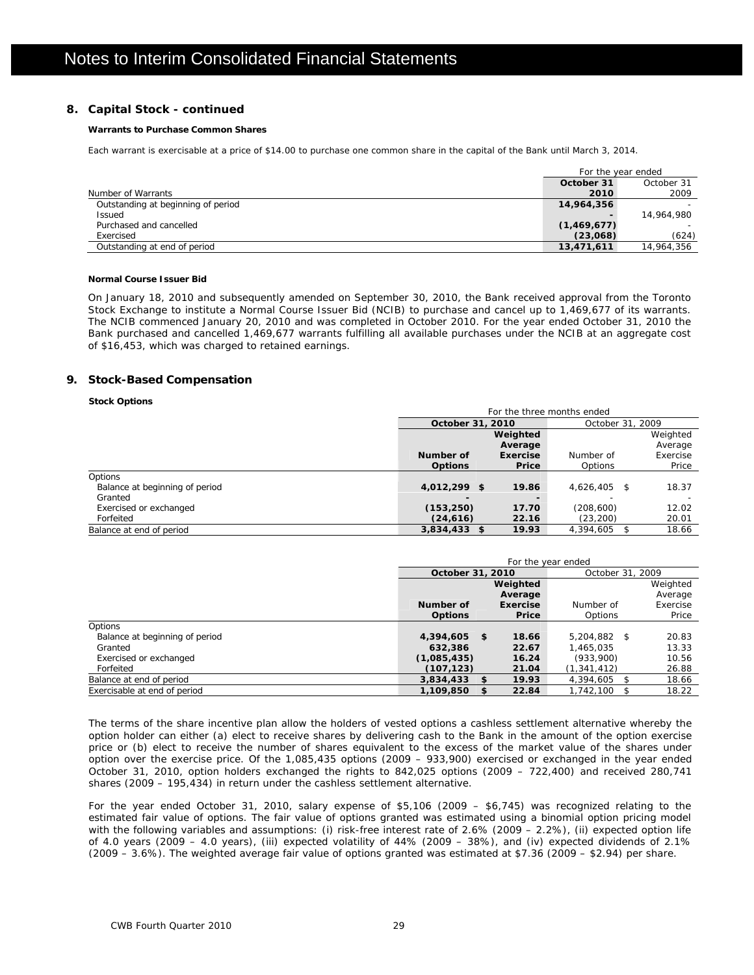### **8. Capital Stock - continued**

### **Warrants to Purchase Common Shares**

Each warrant is exercisable at a price of \$14.00 to purchase one common share in the capital of the Bank until March 3, 2014.

|                                    |             | For the year ended       |
|------------------------------------|-------------|--------------------------|
|                                    | October 31  | October 31               |
| Number of Warrants                 | 2010        | 2009                     |
| Outstanding at beginning of period | 14,964,356  | $\overline{\phantom{0}}$ |
| <b>Issued</b>                      |             | 14,964,980               |
| Purchased and cancelled            | (1,469,677) |                          |
| Exercised                          | (23,068)    | (624)                    |
| Outstanding at end of period       | 13,471,611  | 14,964,356               |

### **Normal Course Issuer Bid**

On January 18, 2010 and subsequently amended on September 30, 2010, the Bank received approval from the Toronto Stock Exchange to institute a Normal Course Issuer Bid (NCIB) to purchase and cancel up to 1,469,677 of its warrants. The NCIB commenced January 20, 2010 and was completed in October 2010. For the year ended October 31, 2010 the Bank purchased and cancelled 1,469,677 warrants fulfilling all available purchases under the NCIB at an aggregate cost of \$16,453, which was charged to retained earnings.

### **9. Stock-Based Compensation**

### **Stock Options**

|                                | For the three months ended           |                 |              |          |  |  |  |  |
|--------------------------------|--------------------------------------|-----------------|--------------|----------|--|--|--|--|
|                                | October 31, 2009<br>October 31, 2010 |                 |              |          |  |  |  |  |
|                                |                                      | Weighted        |              | Weighted |  |  |  |  |
|                                |                                      | Average         |              | Average  |  |  |  |  |
|                                | Number of                            | <b>Exercise</b> | Number of    | Exercise |  |  |  |  |
|                                | <b>Options</b>                       | Price           | Options      | Price    |  |  |  |  |
| <b>Options</b>                 |                                      |                 |              |          |  |  |  |  |
| Balance at beginning of period | $4,012,299$ \$                       | 19.86           | 4,626,405 \$ | 18.37    |  |  |  |  |
| Granted                        |                                      |                 |              |          |  |  |  |  |
| Exercised or exchanged         | (153, 250)                           | 17.70           | (208,600)    | 12.02    |  |  |  |  |
| Forfeited                      | (24, 616)                            | 22.16           | (23, 200)    | 20.01    |  |  |  |  |
| Balance at end of period       | $3.834.433$ \$                       | 19.93           | 4,394,605 \$ | 18.66    |  |  |  |  |

|                                | For the year ended |          |                  |          |  |  |  |  |  |
|--------------------------------|--------------------|----------|------------------|----------|--|--|--|--|--|
|                                | October 31, 2010   |          | October 31, 2009 |          |  |  |  |  |  |
|                                |                    | Weighted |                  | Weighted |  |  |  |  |  |
|                                |                    | Average  |                  | Average  |  |  |  |  |  |
|                                | Number of          | Exercise | Number of        | Exercise |  |  |  |  |  |
|                                | <b>Options</b>     | Price    | Options          | Price    |  |  |  |  |  |
| Options                        |                    |          |                  |          |  |  |  |  |  |
| Balance at beginning of period | 4,394,605<br>- \$  | 18.66    | $5.204.882$ \$   | 20.83    |  |  |  |  |  |
| Granted                        | 632,386            | 22.67    | 1.465.035        | 13.33    |  |  |  |  |  |
| Exercised or exchanged         | (1,085,435)        | 16.24    | (933,900)        | 10.56    |  |  |  |  |  |
| Forfeited                      | (107,123)          | 21.04    | (1, 341, 412)    | 26.88    |  |  |  |  |  |
| Balance at end of period       | 3,834,433<br>\$    | 19.93    | 4,394,605 \$     | 18.66    |  |  |  |  |  |
| Exercisable at end of period   | 1,109,850<br>\$    | 22.84    | 1.742.100 \$     | 18.22    |  |  |  |  |  |

The terms of the share incentive plan allow the holders of vested options a cashless settlement alternative whereby the option holder can either (a) elect to receive shares by delivering cash to the Bank in the amount of the option exercise price or (b) elect to receive the number of shares equivalent to the excess of the market value of the shares under option over the exercise price. Of the 1,085,435 options (2009 – 933,900) exercised or exchanged in the year ended October 31, 2010, option holders exchanged the rights to 842,025 options (2009 – 722,400) and received 280,741 shares (2009 – 195,434) in return under the cashless settlement alternative.

For the year ended October 31, 2010, salary expense of \$5,106 (2009 – \$6,745) was recognized relating to the estimated fair value of options. The fair value of options granted was estimated using a binomial option pricing model with the following variables and assumptions: (i) risk-free interest rate of 2.6% (2009 – 2.2%), (ii) expected option life of 4.0 years (2009 – 4.0 years), (iii) expected volatility of 44% (2009 – 38%), and (iv) expected dividends of 2.1% (2009 – 3.6%). The weighted average fair value of options granted was estimated at \$7.36 (2009 – \$2.94) per share.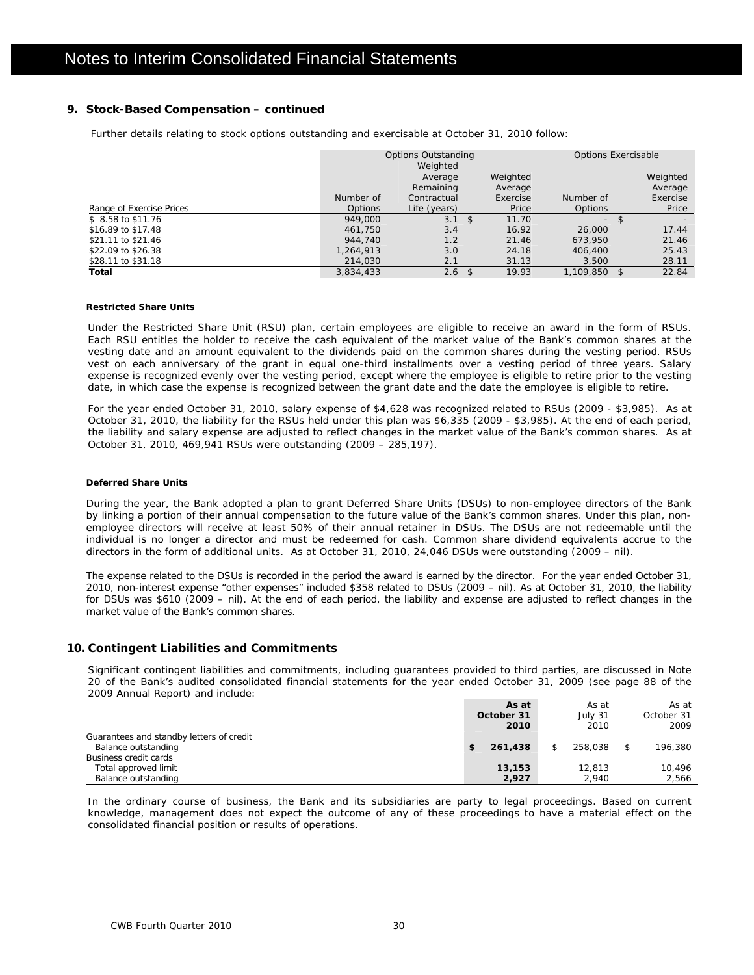### **9. Stock-Based Compensation – continued**

Further details relating to stock options outstanding and exercisable at October 31, 2010 follow:

|                          |                | <b>Options Outstanding</b> |             | Options Exercisable |      |          |
|--------------------------|----------------|----------------------------|-------------|---------------------|------|----------|
|                          |                | Weighted                   |             |                     |      |          |
|                          |                | Average                    | Weighted    |                     |      | Weighted |
|                          |                | Remaining                  | Average     |                     |      | Average  |
|                          | Number of      | Contractual                | Exercise    | Number of           |      | Exercise |
| Range of Exercise Prices | <b>Options</b> | Life (years)               | Price       | <b>Options</b>      |      | Price    |
| $$8.58$ to \$11.76       | 949,000        | $3.1 \text{ }$ \$          | 11.70       | ÷.                  |      |          |
| \$16.89 to \$17.48       | 461.750        | 3.4                        | 16.92       | 26,000              |      | 17.44    |
| \$21.11 to \$21.46       | 944.740        | 1.2                        | 21.46       | 673.950             |      | 21.46    |
| \$22.09 to \$26.38       | 1,264,913      | 3.0                        | 24.18       | 406,400             |      | 25.43    |
| \$28.11 to \$31.18       | 214,030        | 2.1                        | 31.13       | 3.500               |      | 28.11    |
| Total                    | 3.834.433      | 2.6                        | 19.93<br>\$ | 1,109,850           | - \$ | 22.84    |

### **Restricted Share Units**

Under the Restricted Share Unit (RSU) plan, certain employees are eligible to receive an award in the form of RSUs. Each RSU entitles the holder to receive the cash equivalent of the market value of the Bank's common shares at the vesting date and an amount equivalent to the dividends paid on the common shares during the vesting period. RSUs vest on each anniversary of the grant in equal one-third installments over a vesting period of three years. Salary expense is recognized evenly over the vesting period, except where the employee is eligible to retire prior to the vesting date, in which case the expense is recognized between the grant date and the date the employee is eligible to retire.

For the year ended October 31, 2010, salary expense of \$4,628 was recognized related to RSUs (2009 - \$3,985). As at October 31, 2010, the liability for the RSUs held under this plan was \$6,335 (2009 - \$3,985). At the end of each period, the liability and salary expense are adjusted to reflect changes in the market value of the Bank's common shares. As at October 31, 2010, 469,941 RSUs were outstanding (2009 – 285,197).

### **Deferred Share Units**

During the year, the Bank adopted a plan to grant Deferred Share Units (DSUs) to non-employee directors of the Bank by linking a portion of their annual compensation to the future value of the Bank's common shares. Under this plan, nonemployee directors will receive at least 50% of their annual retainer in DSUs. The DSUs are not redeemable until the individual is no longer a director and must be redeemed for cash. Common share dividend equivalents accrue to the directors in the form of additional units. As at October 31, 2010, 24,046 DSUs were outstanding (2009 – nil).

The expense related to the DSUs is recorded in the period the award is earned by the director. For the year ended October 31, 2010, non-interest expense "other expenses" included \$358 related to DSUs (2009 – nil). As at October 31, 2010, the liability for DSUs was \$610 (2009 – nil). At the end of each period, the liability and expense are adjusted to reflect changes in the market value of the Bank's common shares.

### **10. Contingent Liabilities and Commitments**

Significant contingent liabilities and commitments, including guarantees provided to third parties, are discussed in Note 20 of the Bank's audited consolidated financial statements for the year ended October 31, 2009 (see page 88 of the 2009 Annual Report) and include:

|                                          | As at      | As at   | As at      |
|------------------------------------------|------------|---------|------------|
|                                          | October 31 | July 31 | October 31 |
|                                          | 2010       | 2010    | 2009       |
| Guarantees and standby letters of credit |            |         |            |
| Balance outstanding                      | 261,438    | 258,038 | 196,380    |
| Business credit cards                    |            |         |            |
| Total approved limit                     | 13,153     | 12,813  | 10.496     |
| Balance outstanding                      | 2,927      | 2,940   | 2,566      |

In the ordinary course of business, the Bank and its subsidiaries are party to legal proceedings. Based on current knowledge, management does not expect the outcome of any of these proceedings to have a material effect on the consolidated financial position or results of operations.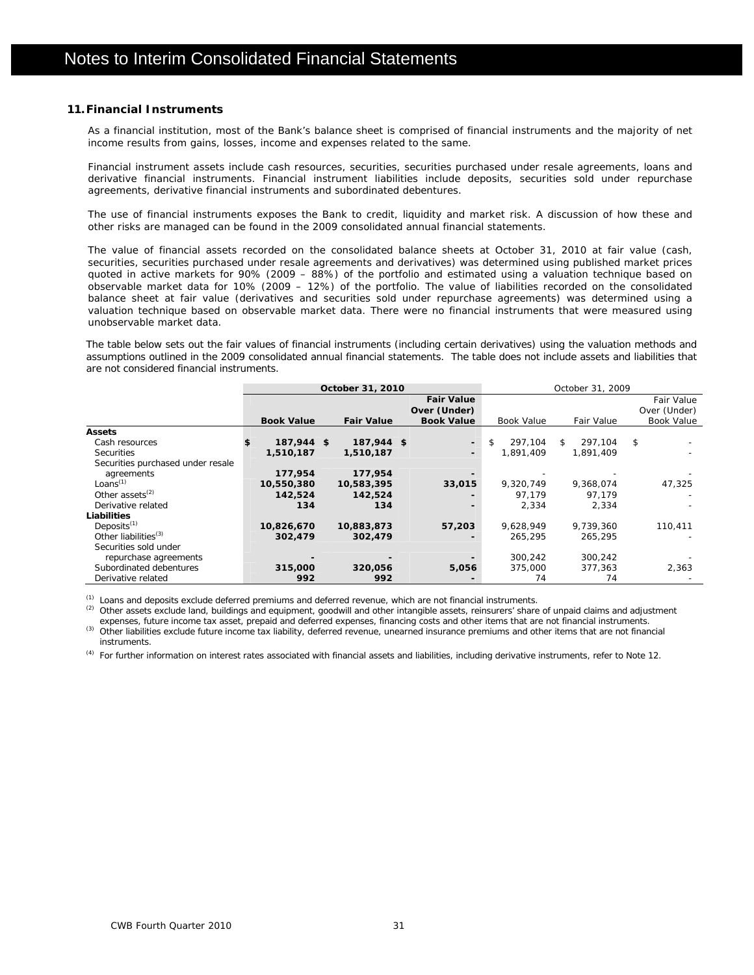### **11.Financial Instruments**

As a financial institution, most of the Bank's balance sheet is comprised of financial instruments and the majority of net income results from gains, losses, income and expenses related to the same.

Financial instrument assets include cash resources, securities, securities purchased under resale agreements, loans and derivative financial instruments. Financial instrument liabilities include deposits, securities sold under repurchase agreements, derivative financial instruments and subordinated debentures.

The use of financial instruments exposes the Bank to credit, liquidity and market risk. A discussion of how these and other risks are managed can be found in the 2009 consolidated annual financial statements.

The value of financial assets recorded on the consolidated balance sheets at October 31, 2010 at fair value (cash, securities, securities purchased under resale agreements and derivatives) was determined using published market prices quoted in active markets for 90% (2009 – 88%) of the portfolio and estimated using a valuation technique based on observable market data for 10% (2009 – 12%) of the portfolio. The value of liabilities recorded on the consolidated balance sheet at fair value (derivatives and securities sold under repurchase agreements) was determined using a valuation technique based on observable market data. There were no financial instruments that were measured using unobservable market data.

The table below sets out the fair values of financial instruments (including certain derivatives) using the valuation methods and assumptions outlined in the 2009 consolidated annual financial statements. The table does not include assets and liabilities that are not considered financial instruments.

|                                   |                   | October 31, 2010  |                          | October 31, 2009  |                   |                   |  |  |  |
|-----------------------------------|-------------------|-------------------|--------------------------|-------------------|-------------------|-------------------|--|--|--|
|                                   |                   |                   | <b>Fair Value</b>        |                   |                   | <b>Fair Value</b> |  |  |  |
|                                   |                   |                   | Over (Under)             |                   |                   | Over (Under)      |  |  |  |
|                                   | <b>Book Value</b> | <b>Fair Value</b> | <b>Book Value</b>        | <b>Book Value</b> | <b>Fair Value</b> | <b>Book Value</b> |  |  |  |
| <b>Assets</b>                     |                   |                   |                          |                   |                   |                   |  |  |  |
| Cash resources                    | 187,944 \$        | 187,944 \$        | $\overline{\phantom{0}}$ | \$<br>297.104     | 297.104<br>\$     | \$                |  |  |  |
| <b>Securities</b>                 | 1,510,187         | 1,510,187         |                          | 1,891,409         | 1,891,409         |                   |  |  |  |
| Securities purchased under resale |                   |                   |                          |                   |                   |                   |  |  |  |
| agreements                        | 177,954           | 177.954           |                          |                   |                   |                   |  |  |  |
| Loans $(1)$                       | 10,550,380        | 10,583,395        | 33,015                   | 9.320.749         | 9.368.074         | 47.325            |  |  |  |
| Other assets $^{(2)}$             | 142,524           | 142,524           |                          | 97.179            | 97.179            |                   |  |  |  |
| Derivative related                | 134               | 134               |                          | 2,334             | 2,334             |                   |  |  |  |
| Liabilities                       |                   |                   |                          |                   |                   |                   |  |  |  |
| Deposits <sup>(1)</sup>           | 10,826,670        | 10,883,873        | 57,203                   | 9.628.949         | 9.739.360         | 110,411           |  |  |  |
| Other liabilities <sup>(3)</sup>  | 302,479           | 302,479           |                          | 265.295           | 265.295           |                   |  |  |  |
| Securities sold under             |                   |                   |                          |                   |                   |                   |  |  |  |
| repurchase agreements             |                   |                   |                          | 300.242           | 300,242           |                   |  |  |  |
| Subordinated debentures           | 315,000           | 320,056           | 5,056                    | 375,000           | 377,363           | 2,363             |  |  |  |
| Derivative related                | 992               | 992               |                          | 74                | 74                |                   |  |  |  |

<sup>(1)</sup> Loans and deposits exclude deferred premiums and deferred revenue, which are not financial instruments.<br><sup>(2)</sup> Other assets exclude land, buildings and equipment, goodwill and other intangible assets, reinsurers' shar

(3) Other liabilities exclude future income tax liability, deferred revenue, unearned insurance premiums and other items that are not financial instruments.

(4) For further information on interest rates associated with financial assets and liabilities, including derivative instruments, refer to Note 12.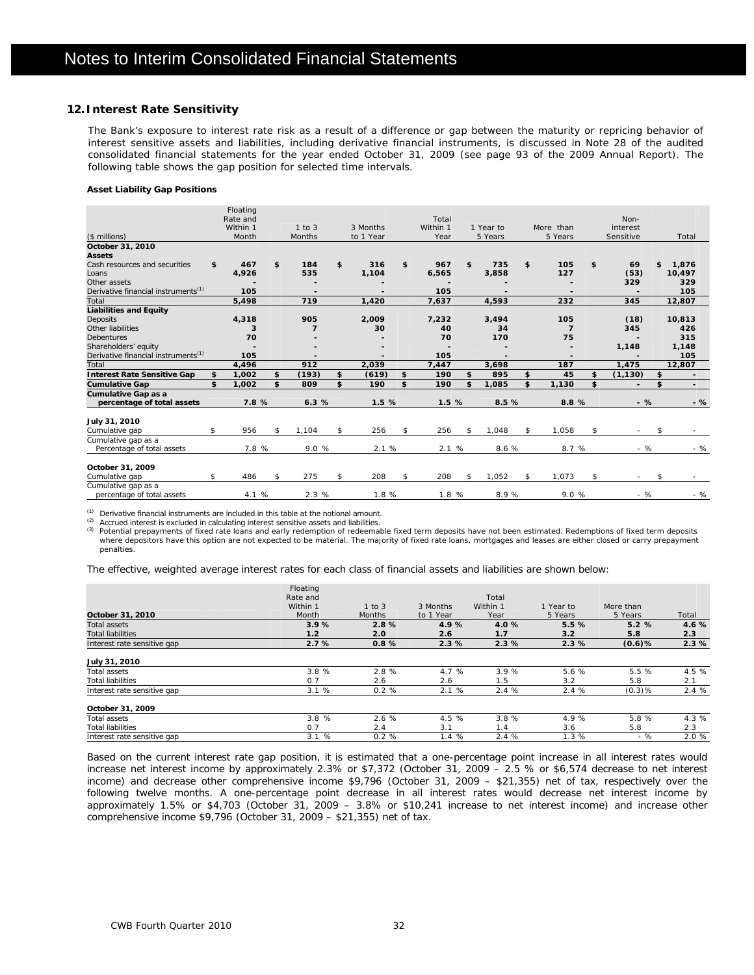### **12.Interest Rate Sensitivity**

The Bank's exposure to interest rate risk as a result of a difference or gap between the maturity or repricing behavior of interest sensitive assets and liabilities, including derivative financial instruments, is discussed in Note 28 of the audited consolidated financial statements for the year ended October 31, 2009 (see page 93 of the 2009 Annual Report). The following table shows the gap position for selected time intervals.

### **Asset Liability Gap Positions**

|                                                 | Floating<br>Rate and |                |             | Total     |             |                | Non-                 |              |
|-------------------------------------------------|----------------------|----------------|-------------|-----------|-------------|----------------|----------------------|--------------|
|                                                 | Within 1             | $1$ to $3$     | 3 Months    | Within 1  | 1 Year to   | More than      | interest             |              |
| (\$ millions)                                   | Month                | Months         | to 1 Year   | Year      | 5 Years     | 5 Years        | Sensitive            | Total        |
| October 31, 2010<br><b>Assets</b>               |                      |                |             |           |             |                |                      |              |
| Cash resources and securities                   | \$<br>467            | \$<br>184      | \$<br>316   | \$<br>967 | \$<br>735   | \$<br>105      | \$<br>69             | \$<br>1.876  |
| Loans                                           | 4,926                | 535            | 1,104       | 6,565     | 3,858       | 127            | (53)                 | 10,497       |
| Other assets                                    |                      |                |             |           |             |                | 329                  | 329          |
| Derivative financial instruments <sup>(1)</sup> | 105                  |                |             | 105       |             |                |                      | 105          |
| Total                                           | 5,498                | 719            | 1.420       | 7,637     | 4.593       | 232            | 345                  | 12,807       |
| <b>Liabilities and Equity</b>                   |                      |                |             |           |             |                |                      |              |
| <b>Deposits</b>                                 | 4,318                | 905            | 2,009       | 7,232     | 3,494       | 105            | (18)                 | 10,813       |
| Other liabilities                               | 3                    | $\overline{7}$ | 30          | 40        | 34          | $\overline{7}$ | 345                  | 426          |
| <b>Debentures</b>                               | 70                   |                |             | 70        | 170         | 75             |                      | 315          |
| Shareholders' equity                            |                      |                |             |           |             |                | 1,148                | 1,148        |
| Derivative financial instruments <sup>(1)</sup> | 105                  |                |             | 105       |             | $\blacksquare$ |                      | 105          |
| Total                                           | 4.496                | 912            | 2.039       | 7.447     | 3.698       | 187            | 1.475                | 12,807       |
| <b>Interest Rate Sensitive Gap</b>              | \$<br>1,002          | \$<br>(193)    | \$<br>(619) | \$<br>190 | \$<br>895   | \$<br>45       | \$<br>(1, 130)       | \$           |
| <b>Cumulative Gap</b>                           | \$<br>1,002          | \$<br>809      | \$<br>190   | \$<br>190 | \$<br>1,085 | \$<br>1,130    | \$<br>$\blacksquare$ | \$<br>$\sim$ |
| Cumulative Gap as a                             |                      |                |             |           |             |                |                      |              |
| percentage of total assets                      | 7.8 %                | 6.3%           | 1.5%        | 1.5 %     | 8.5%        | 8.8 %          | $-$ %                | $-$ %        |
| July 31, 2010                                   |                      |                |             |           |             |                |                      |              |
| Cumulative gap                                  | \$<br>956            | \$<br>1.104    | \$<br>256   | \$<br>256 | \$<br>1,048 | \$<br>1,058    | \$                   | \$           |
| Cumulative gap as a                             |                      |                |             |           |             |                |                      |              |
| Percentage of total assets                      | 7.8 %                | 9.0 %          | 2.1 %       | 2.1%      | 8.6 %       | 8.7 %          | - %                  | - %          |
| October 31, 2009                                |                      |                |             |           |             |                |                      |              |
| Cumulative gap                                  | \$<br>486            | \$<br>275      | \$<br>208   | \$<br>208 | \$<br>1,052 | \$<br>1,073    | \$                   | \$           |
| Cumulative gap as a                             | 4.1 %                | 2.3 %          | 1.8 %       | 1.8 %     | 8.9%        | 9.0 %          | - %                  | $-$ %        |
| percentage of total assets                      |                      |                |             |           |             |                |                      |              |

<sup>(1)</sup> Derivative financial instruments are included in this table at the notional amount.<br><sup>(2)</sup> Accrued interest is excluded in calculating interest sensitive assets and liabilities.<br><sup>(3)</sup> Potential prepayments of fixed ra penalties.

The effective, weighted average interest rates for each class of financial assets and liabilities are shown below:

|                             | Floating |               |           |          |           |           |       |
|-----------------------------|----------|---------------|-----------|----------|-----------|-----------|-------|
|                             | Rate and |               |           | Total    |           |           |       |
|                             | Within 1 | $1$ to $3$    | 3 Months  | Within 1 | 1 Year to | More than |       |
| October 31, 2010            | Month    | <b>Months</b> | to 1 Year | Year     | 5 Years   | 5 Years   | Total |
| <b>Total assets</b>         | 3.9%     | 2.8%          | 4.9%      | 4.0%     | 5.5%      | 5.2%      | 4.6%  |
| <b>Total liabilities</b>    | 1.2      | 2.0           | 2.6       | 1.7      | 3.2       | 5.8       | 2.3   |
| Interest rate sensitive gap | 2.7%     | 0.8%          | 2.3%      | 2.3%     | 2.3%      | $(0.6)$ % | 2.3%  |
| July 31, 2010               |          |               |           |          |           |           |       |
| Total assets                | 3.8%     | 2.8 %         | 4.7 %     | 3.9%     | 5.6 %     | 5.5%      | 4.5%  |
| <b>Total liabilities</b>    | 0.7      | 2.6           | 2.6       | 1.5      | 3.2       | 5.8       | 2.1   |
| Interest rate sensitive gap | 3.1%     | 0.2%          | 2.1%      | 2.4 %    | 2.4 %     | $(0.3)$ % | 2.4%  |
| October 31, 2009            |          |               |           |          |           |           |       |
| Total assets                | 3.8%     | 2.6%          | 4.5%      | 3.8%     | 4.9 %     | 5.8 %     | 4.3%  |
| <b>Total liabilities</b>    | 0.7      | 2.4           | 3.1       | 1.4      | 3.6       | 5.8       | 2.3   |
| Interest rate sensitive gap | 3.1%     | 0.2%          | 1.4%      | 2.4%     | 1.3%      | - %       | 2.0%  |

Based on the current interest rate gap position, it is estimated that a one-percentage point increase in all interest rates would increase net interest income by approximately 2.3% or \$7,372 (October 31, 2009 – 2.5 % or \$6,574 decrease to net interest income) and decrease other comprehensive income \$9,796 (October 31, 2009 – \$21,355) net of tax, respectively over the following twelve months. A one-percentage point decrease in all interest rates would decrease net interest income by approximately 1.5% or \$4,703 (October 31, 2009 – 3.8% or \$10,241 increase to net interest income) and increase other comprehensive income \$9,796 (October 31, 2009 – \$21,355) net of tax.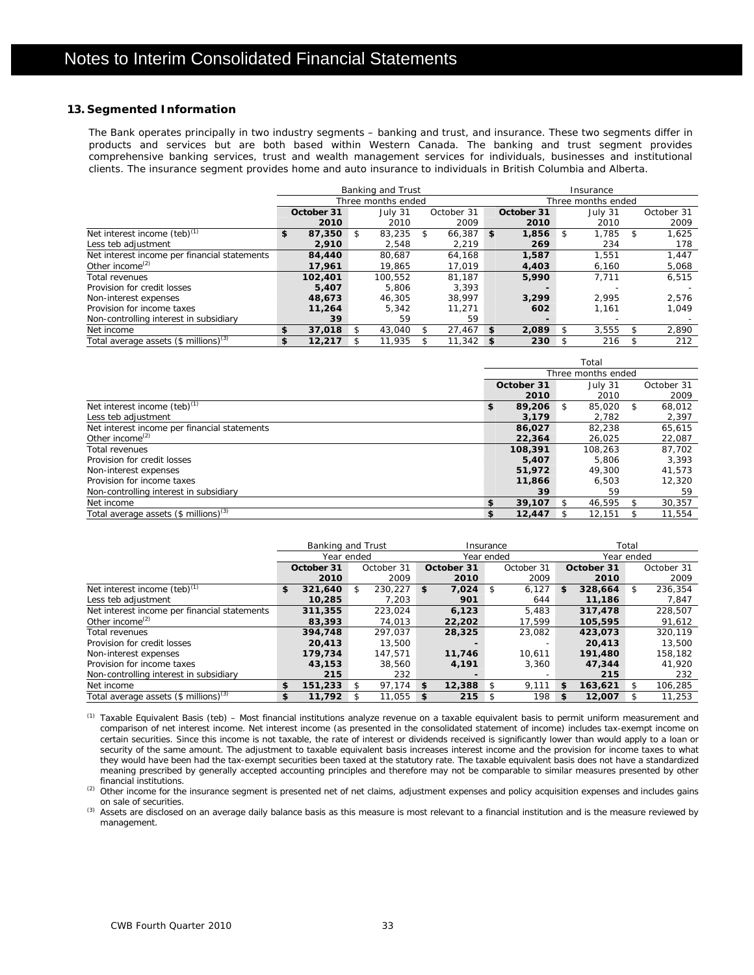### **13. Segmented Information**

The Bank operates principally in two industry segments – banking and trust, and insurance. These two segments differ in products and services but are both based within Western Canada. The banking and trust segment provides comprehensive banking services, trust and wealth management services for individuals, businesses and institutional clients. The insurance segment provides home and auto insurance to individuals in British Columbia and Alberta.

|                                              | Banking and Trust  |            |    |         |    | Insurance          |          |            |     |         |     |            |
|----------------------------------------------|--------------------|------------|----|---------|----|--------------------|----------|------------|-----|---------|-----|------------|
|                                              | Three months ended |            |    |         |    | Three months ended |          |            |     |         |     |            |
|                                              |                    | October 31 |    | July 31 |    | October 31         |          | October 31 |     | July 31 |     | October 31 |
|                                              |                    | 2010       |    | 2010    |    | 2009               |          | 2010       |     | 2010    |     | 2009       |
| Net interest income (teb) <sup>(1)</sup>     | \$                 | 87,350     | \$ | 83.235  | \$ | 66.387             | \$       | 1,856      | \$  | 1.785   | \$  | 1.625      |
| Less teb adjustment                          |                    | 2,910      |    | 2,548   |    | 2,219              |          | 269        |     | 234     |     | 178        |
| Net interest income per financial statements |                    | 84,440     |    | 80.687  |    | 64.168             |          | 1,587      |     | 1.551   |     | 1.447      |
| Other income <sup><math>(2)</math></sup>     |                    | 17.961     |    | 19.865  |    | 17.019             |          | 4,403      |     | 6,160   |     | 5,068      |
| Total revenues                               |                    | 102,401    |    | 100.552 |    | 81.187             |          | 5,990      |     | 7.711   |     | 6,515      |
| Provision for credit losses                  |                    | 5,407      |    | 5.806   |    | 3.393              |          |            |     |         |     |            |
| Non-interest expenses                        |                    | 48,673     |    | 46.305  |    | 38.997             |          | 3,299      |     | 2.995   |     | 2,576      |
| Provision for income taxes                   |                    | 11,264     |    | 5,342   |    | 11.271             |          | 602        |     | 1.161   |     | 1,049      |
| Non-controlling interest in subsidiary       |                    | 39         |    | 59      |    | 59                 |          |            |     |         |     |            |
| Net income                                   | \$                 | 37,018     | S  | 43.040  | £. | $27,467$ \$        |          | 2.089      | \$. | 3.555   | SS. | 2,890      |
| Total average assets $(\$$ millions) $(3)$   | \$                 | 12,217     |    | 11.935  |    | 11,342             | <b>S</b> | 230        |     | 216     |     | 212        |

|                                                     | Total                 |         |    |         |   |            |
|-----------------------------------------------------|-----------------------|---------|----|---------|---|------------|
|                                                     | Three months ended    |         |    |         |   |            |
|                                                     | July 31<br>October 31 |         |    |         |   | October 31 |
|                                                     |                       | 2010    |    | 2010    |   | 2009       |
| Net interest income $(teb)^{(1)}$                   | \$                    | 89,206  | \$ | 85,020  | S | 68,012     |
| Less teb adjustment                                 |                       | 3,179   |    | 2,782   |   | 2,397      |
| Net interest income per financial statements        |                       | 86.027  |    | 82.238  |   | 65,615     |
| Other income <sup><math>(2)</math></sup>            |                       | 22,364  |    | 26,025  |   | 22,087     |
| Total revenues                                      |                       | 108,391 |    | 108.263 |   | 87.702     |
| Provision for credit losses                         |                       | 5,407   |    | 5.806   |   | 3.393      |
| Non-interest expenses                               |                       | 51,972  |    | 49,300  |   | 41.573     |
| Provision for income taxes                          |                       | 11,866  |    | 6.503   |   | 12,320     |
| Non-controlling interest in subsidiary              |                       | 39      |    | 59      |   | 59         |
| Net income                                          | \$                    | 39,107  | ፍ  | 46.595  |   | 30,357     |
| Total average assets $(\$$ millions) <sup>(3)</sup> | S                     | 12,447  |    | 12.151  |   | 11,554     |

|                                              | Banking and Trust |         |            |         | Insurance  |        |                    |            | Total      |            |    |            |  |
|----------------------------------------------|-------------------|---------|------------|---------|------------|--------|--------------------|------------|------------|------------|----|------------|--|
|                                              | Year ended        |         |            |         | Year ended |        |                    |            | Year ended |            |    |            |  |
|                                              | October 31        |         | October 31 |         | October 31 |        |                    | October 31 |            | October 31 |    | October 31 |  |
|                                              |                   | 2010    |            | 2009    |            | 2010   |                    | 2009       |            | 2010       |    | 2009       |  |
| Net interest income $(teb)^{(1)}$            | \$                | 321.640 |            | 230.227 | \$         | 7.024  | -\$                | 6.127      | \$         | 328,664    | S. | 236.354    |  |
| Less teb adjustment                          |                   | 10,285  |            | 7,203   |            | 901    |                    | 644        |            | 11,186     |    | 7,847      |  |
| Net interest income per financial statements |                   | 311,355 |            | 223.024 |            | 6.123  |                    | 5.483      |            | 317,478    |    | 228,507    |  |
| Other income <sup>(2)</sup>                  |                   | 83,393  |            | 74,013  |            | 22,202 |                    | 17.599     |            | 105,595    |    | 91,612     |  |
| Total revenues                               |                   | 394,748 |            | 297.037 |            | 28,325 |                    | 23.082     |            | 423,073    |    | 320.119    |  |
| Provision for credit losses                  |                   | 20,413  |            | 13,500  |            |        |                    |            |            | 20,413     |    | 13,500     |  |
| Non-interest expenses                        |                   | 179.734 |            | 147.571 |            | 11,746 |                    | 10.611     |            | 191,480    |    | 158,182    |  |
| Provision for income taxes                   |                   | 43,153  |            | 38,560  |            | 4,191  |                    | 3,360      |            | 47,344     |    | 41.920     |  |
| Non-controlling interest in subsidiary       |                   | 215     |            | 232     |            |        |                    |            |            | 215        |    | 232        |  |
| Net income                                   | \$                | 151,233 |            | 97.174  | \$         | 12,388 | -\$                | 9.111      | S          | 163,621    |    | 106,285    |  |
| Total average assets $(\$$ millions) $(3)$   | \$                | 11,792  |            | 11,055  | \$         | 215    | $\mathbf{\hat{S}}$ | 198        | \$         | 12,007     |    | 11,253     |  |

 (1) Taxable Equivalent Basis (teb) – Most financial institutions analyze revenue on a taxable equivalent basis to permit uniform measurement and comparison of net interest income. Net interest income (as presented in the consolidated statement of income) includes tax-exempt income on certain securities. Since this income is not taxable, the rate of interest or dividends received is significantly lower than would apply to a loan or security of the same amount. The adjustment to taxable equivalent basis increases interest income and the provision for income taxes to what they would have been had the tax-exempt securities been taxed at the statutory rate. The taxable equivalent basis does not have a standardized meaning prescribed by generally accepted accounting principles and therefore may not be comparable to similar measures presented by other financial institutions.

(2) Other income for the insurance segment is presented net of net claims, adjustment expenses and policy acquisition expenses and includes gains

on sale of securities.<br><sup>(3)</sup> Assets are disclosed on an average daily balance basis as this measure is most relevant to a financial institution and is the measure reviewed by management.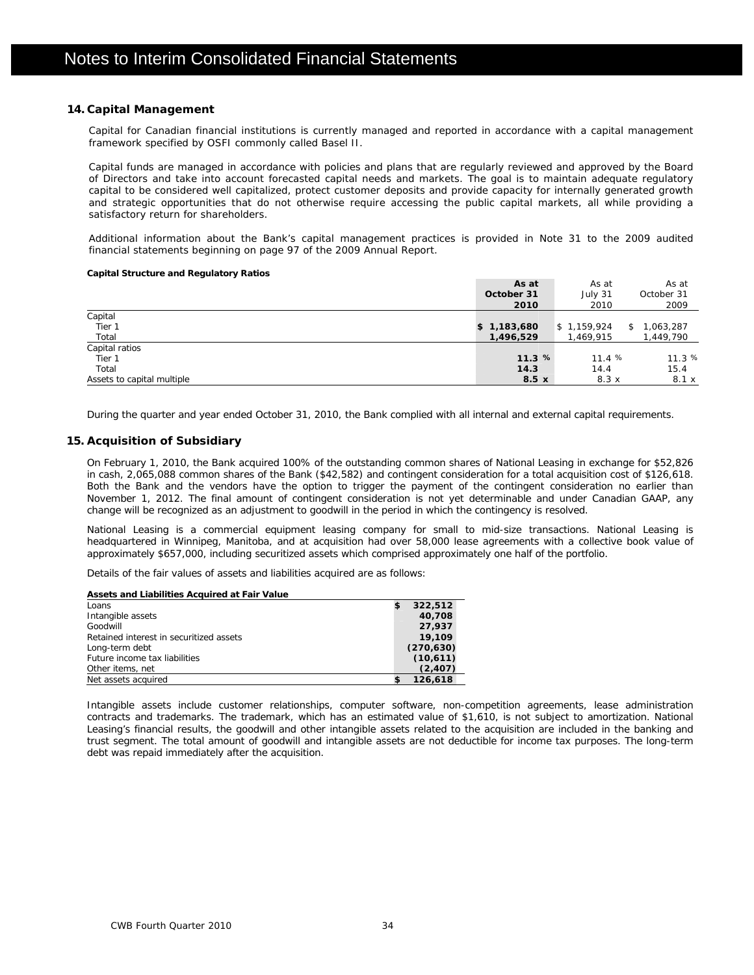### **14. Capital Management**

Capital for Canadian financial institutions is currently managed and reported in accordance with a capital management framework specified by OSFI commonly called Basel II.

Capital funds are managed in accordance with policies and plans that are regularly reviewed and approved by the Board of Directors and take into account forecasted capital needs and markets. The goal is to maintain adequate regulatory capital to be considered well capitalized, protect customer deposits and provide capacity for internally generated growth and strategic opportunities that do not otherwise require accessing the public capital markets, all while providing a satisfactory return for shareholders.

Additional information about the Bank's capital management practices is provided in Note 31 to the 2009 audited financial statements beginning on page 97 of the 2009 Annual Report.

### **Capital Structure and Regulatory Ratios**

|                            | As at        | As at       | As at           |
|----------------------------|--------------|-------------|-----------------|
|                            | October 31   | July 31     | October 31      |
|                            | 2010         | 2010        | 2009            |
| Capital                    |              |             |                 |
| Tier 1                     | \$1,183,680  | \$1,159,924 | 1,063,287<br>\$ |
| Total                      | 1,496,529    | 1,469,915   | 1,449,790       |
| Capital ratios             |              |             |                 |
| Tier 1                     | 11.3%        | 11.4%       | 11.3%           |
| Total                      | 14.3         | 14.4        | 15.4            |
| Assets to capital multiple | $8.5 \times$ | 8.3x        | 8.1 x           |

During the quarter and year ended October 31, 2010, the Bank complied with all internal and external capital requirements.

### **15. Acquisition of Subsidiary**

On February 1, 2010, the Bank acquired 100% of the outstanding common shares of National Leasing in exchange for \$52,826 in cash, 2,065,088 common shares of the Bank (\$42,582) and contingent consideration for a total acquisition cost of \$126,618. Both the Bank and the vendors have the option to trigger the payment of the contingent consideration no earlier than November 1, 2012. The final amount of contingent consideration is not yet determinable and under Canadian GAAP, any change will be recognized as an adjustment to goodwill in the period in which the contingency is resolved.

National Leasing is a commercial equipment leasing company for small to mid-size transactions. National Leasing is headquartered in Winnipeg, Manitoba, and at acquisition had over 58,000 lease agreements with a collective book value of approximately \$657,000, including securitized assets which comprised approximately one half of the portfolio.

Details of the fair values of assets and liabilities acquired are as follows:

| Assets and Liabilities Acquired at Fair Value |            |
|-----------------------------------------------|------------|
| Loans                                         | 322,512    |
| Intangible assets                             | 40,708     |
| Goodwill                                      | 27,937     |
| Retained interest in securitized assets       | 19,109     |
| Long-term debt                                | (270, 630) |
| Future income tax liabilities                 | (10,611)   |
| Other items, net                              | (2,407)    |
| Net assets acquired                           | 126,618    |

Intangible assets include customer relationships, computer software, non-competition agreements, lease administration contracts and trademarks. The trademark, which has an estimated value of \$1,610, is not subject to amortization. National Leasing's financial results, the goodwill and other intangible assets related to the acquisition are included in the banking and trust segment. The total amount of goodwill and intangible assets are not deductible for income tax purposes. The long-term debt was repaid immediately after the acquisition.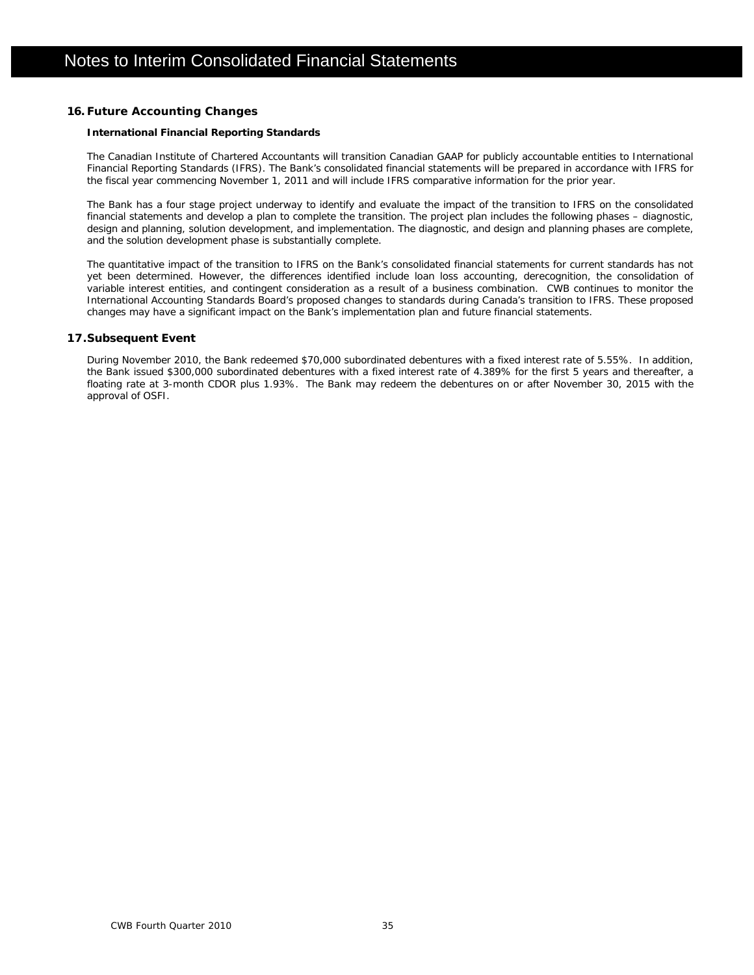### **16. Future Accounting Changes**

### **International Financial Reporting Standards**

The Canadian Institute of Chartered Accountants will transition Canadian GAAP for publicly accountable entities to International Financial Reporting Standards (IFRS). The Bank's consolidated financial statements will be prepared in accordance with IFRS for the fiscal year commencing November 1, 2011 and will include IFRS comparative information for the prior year.

The Bank has a four stage project underway to identify and evaluate the impact of the transition to IFRS on the consolidated financial statements and develop a plan to complete the transition. The project plan includes the following phases – diagnostic, design and planning, solution development, and implementation. The diagnostic, and design and planning phases are complete, and the solution development phase is substantially complete.

The quantitative impact of the transition to IFRS on the Bank's consolidated financial statements for current standards has not yet been determined. However, the differences identified include loan loss accounting, derecognition, the consolidation of variable interest entities, and contingent consideration as a result of a business combination. CWB continues to monitor the International Accounting Standards Board's proposed changes to standards during Canada's transition to IFRS. These proposed changes may have a significant impact on the Bank's implementation plan and future financial statements.

### **17.Subsequent Event**

During November 2010, the Bank redeemed \$70,000 subordinated debentures with a fixed interest rate of 5.55%. In addition, the Bank issued \$300,000 subordinated debentures with a fixed interest rate of 4.389% for the first 5 years and thereafter, a floating rate at 3-month CDOR plus 1.93%. The Bank may redeem the debentures on or after November 30, 2015 with the approval of OSFI.